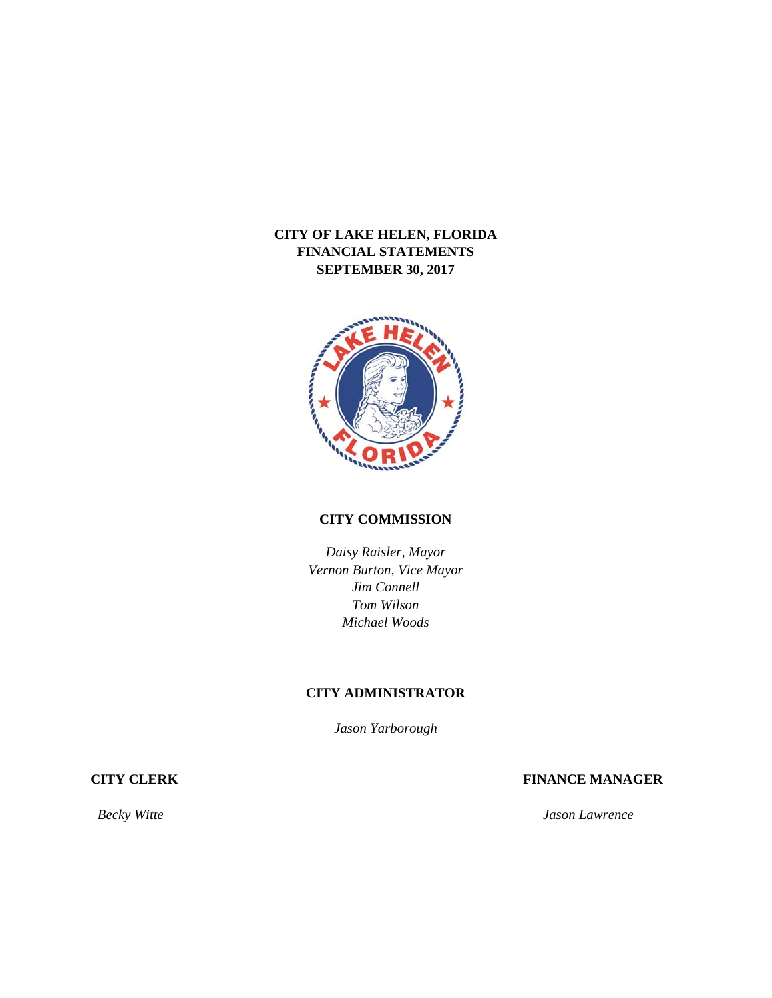

## **CITY COMMISSION**

*Daisy Raisler, Mayor Vernon Burton, Vice Mayor Jim Connell Tom Wilson Michael Woods* 

### **CITY ADMINISTRATOR**

*Jason Yarborough* 

**CITY CLERK FINANCE MANAGER** 

 *Becky Witte Jason Lawrence*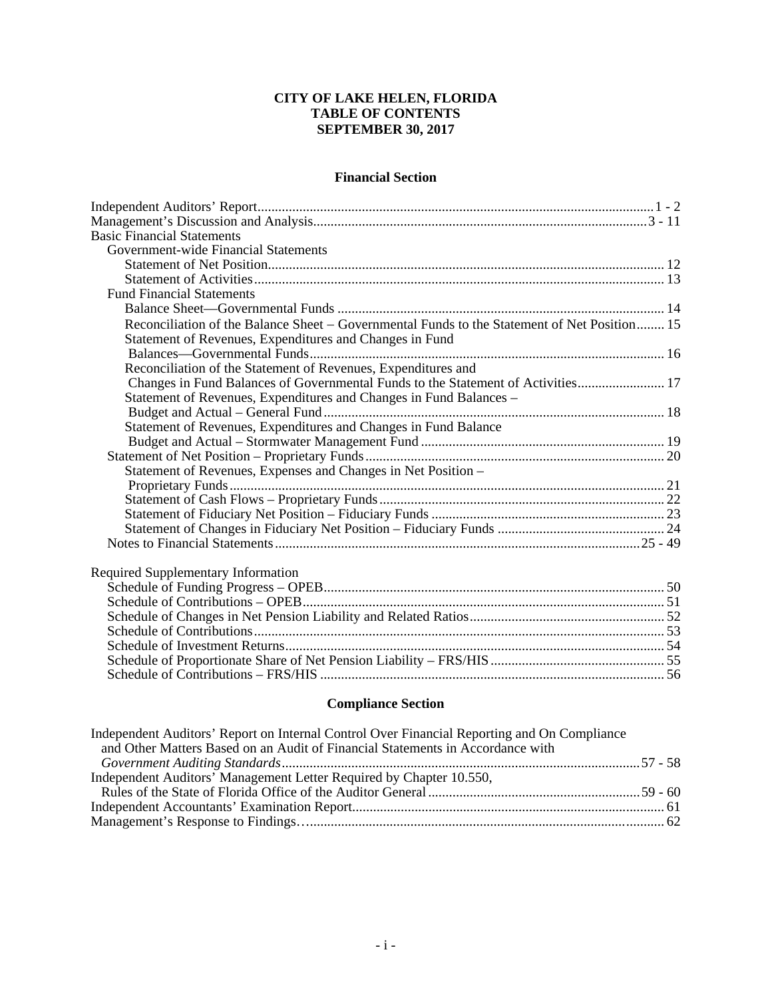# **CITY OF LAKE HELEN, FLORIDA TABLE OF CONTENTS SEPTEMBER 30, 2017**

# **Financial Section**

| <b>Basic Financial Statements</b>                                                            |  |
|----------------------------------------------------------------------------------------------|--|
| Government-wide Financial Statements                                                         |  |
|                                                                                              |  |
|                                                                                              |  |
| <b>Fund Financial Statements</b>                                                             |  |
|                                                                                              |  |
| Reconciliation of the Balance Sheet – Governmental Funds to the Statement of Net Position 15 |  |
| Statement of Revenues, Expenditures and Changes in Fund                                      |  |
|                                                                                              |  |
| Reconciliation of the Statement of Revenues, Expenditures and                                |  |
| Changes in Fund Balances of Governmental Funds to the Statement of Activities 17             |  |
| Statement of Revenues, Expenditures and Changes in Fund Balances -                           |  |
|                                                                                              |  |
| Statement of Revenues, Expenditures and Changes in Fund Balance                              |  |
|                                                                                              |  |
|                                                                                              |  |
| Statement of Revenues, Expenses and Changes in Net Position -                                |  |
|                                                                                              |  |
|                                                                                              |  |
|                                                                                              |  |
|                                                                                              |  |
|                                                                                              |  |
|                                                                                              |  |
| <b>Required Supplementary Information</b>                                                    |  |
|                                                                                              |  |
|                                                                                              |  |
|                                                                                              |  |
|                                                                                              |  |
|                                                                                              |  |
|                                                                                              |  |

# **Compliance Section**

Schedule of Contributions – FRS/HIS ................................................................................................... 56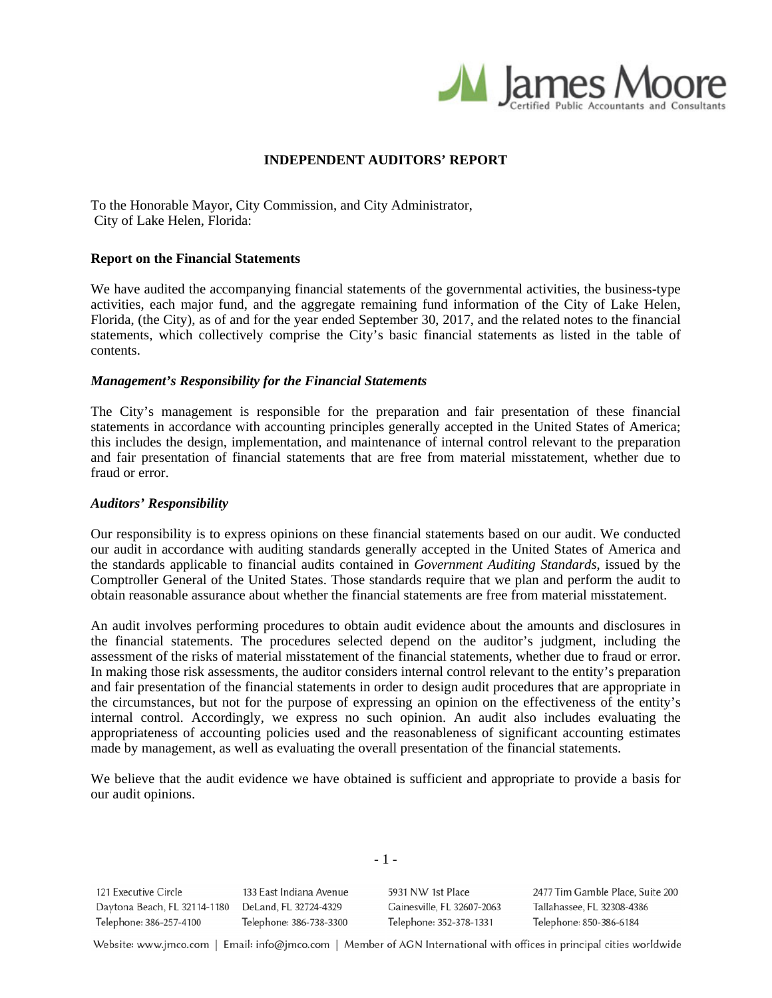

# **INDEPENDENT AUDITORS' REPORT**

To the Honorable Mayor, City Commission, and City Administrator, City of Lake Helen, Florida:

#### **Report on the Financial Statements**

We have audited the accompanying financial statements of the governmental activities, the business-type activities, each major fund, and the aggregate remaining fund information of the City of Lake Helen, Florida, (the City), as of and for the year ended September 30, 2017, and the related notes to the financial statements, which collectively comprise the City's basic financial statements as listed in the table of contents.

#### *Management's Responsibility for the Financial Statements*

The City's management is responsible for the preparation and fair presentation of these financial statements in accordance with accounting principles generally accepted in the United States of America; this includes the design, implementation, and maintenance of internal control relevant to the preparation and fair presentation of financial statements that are free from material misstatement, whether due to fraud or error.

#### *Auditors' Responsibility*

Our responsibility is to express opinions on these financial statements based on our audit. We conducted our audit in accordance with auditing standards generally accepted in the United States of America and the standards applicable to financial audits contained in *Government Auditing Standards*, issued by the Comptroller General of the United States. Those standards require that we plan and perform the audit to obtain reasonable assurance about whether the financial statements are free from material misstatement.

An audit involves performing procedures to obtain audit evidence about the amounts and disclosures in the financial statements. The procedures selected depend on the auditor's judgment, including the assessment of the risks of material misstatement of the financial statements, whether due to fraud or error. In making those risk assessments, the auditor considers internal control relevant to the entity's preparation and fair presentation of the financial statements in order to design audit procedures that are appropriate in the circumstances, but not for the purpose of expressing an opinion on the effectiveness of the entity's internal control. Accordingly, we express no such opinion. An audit also includes evaluating the appropriateness of accounting policies used and the reasonableness of significant accounting estimates made by management, as well as evaluating the overall presentation of the financial statements.

We believe that the audit evidence we have obtained is sufficient and appropriate to provide a basis for our audit opinions.

- 1 -

121 Executive Circle 133 East Indiana Avenue 5931 NW 1st Place 2477 Tim Gamble Place, Suite 200 Daytona Beach, FL 32114-1180 DeLand, FL 32724-4329 Gainesville, FL 32607-2063 Tallahassee, FL 32308-4386 Telephone: 386-257-4100 Telephone: 386-738-3300 Telephone: 352-378-1331 Telephone: 850-386-6184

Website: www.jmco.com | Email: info@jmco.com | Member of AGN International with offices in principal cities worldwide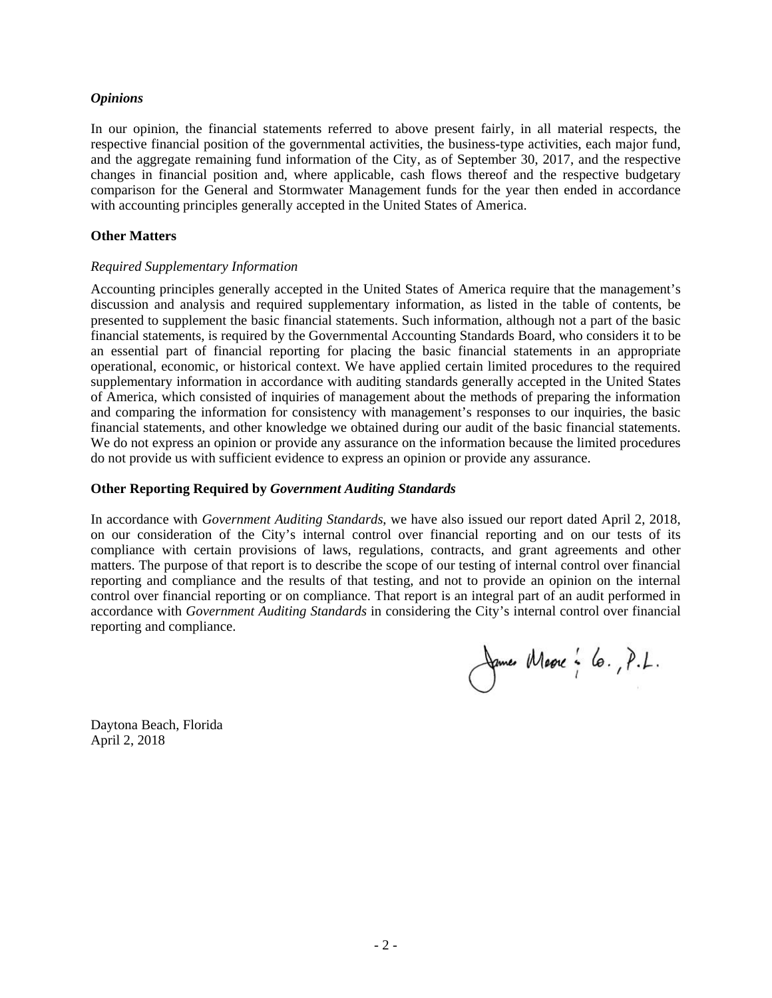#### *Opinions*

In our opinion, the financial statements referred to above present fairly, in all material respects, the respective financial position of the governmental activities, the business-type activities, each major fund, and the aggregate remaining fund information of the City, as of September 30, 2017, and the respective changes in financial position and, where applicable, cash flows thereof and the respective budgetary comparison for the General and Stormwater Management funds for the year then ended in accordance with accounting principles generally accepted in the United States of America.

## **Other Matters**

### *Required Supplementary Information*

Accounting principles generally accepted in the United States of America require that the management's discussion and analysis and required supplementary information, as listed in the table of contents, be presented to supplement the basic financial statements. Such information, although not a part of the basic financial statements, is required by the Governmental Accounting Standards Board, who considers it to be an essential part of financial reporting for placing the basic financial statements in an appropriate operational, economic, or historical context. We have applied certain limited procedures to the required supplementary information in accordance with auditing standards generally accepted in the United States of America, which consisted of inquiries of management about the methods of preparing the information and comparing the information for consistency with management's responses to our inquiries, the basic financial statements, and other knowledge we obtained during our audit of the basic financial statements. We do not express an opinion or provide any assurance on the information because the limited procedures do not provide us with sufficient evidence to express an opinion or provide any assurance.

### **Other Reporting Required by** *Government Auditing Standards*

In accordance with *Government Auditing Standards*, we have also issued our report dated April 2, 2018, on our consideration of the City's internal control over financial reporting and on our tests of its compliance with certain provisions of laws, regulations, contracts, and grant agreements and other matters. The purpose of that report is to describe the scope of our testing of internal control over financial reporting and compliance and the results of that testing, and not to provide an opinion on the internal control over financial reporting or on compliance. That report is an integral part of an audit performed in accordance with *Government Auditing Standards* in considering the City's internal control over financial reporting and compliance.

James Masse : 6., P.L.

Daytona Beach, Florida April 2, 2018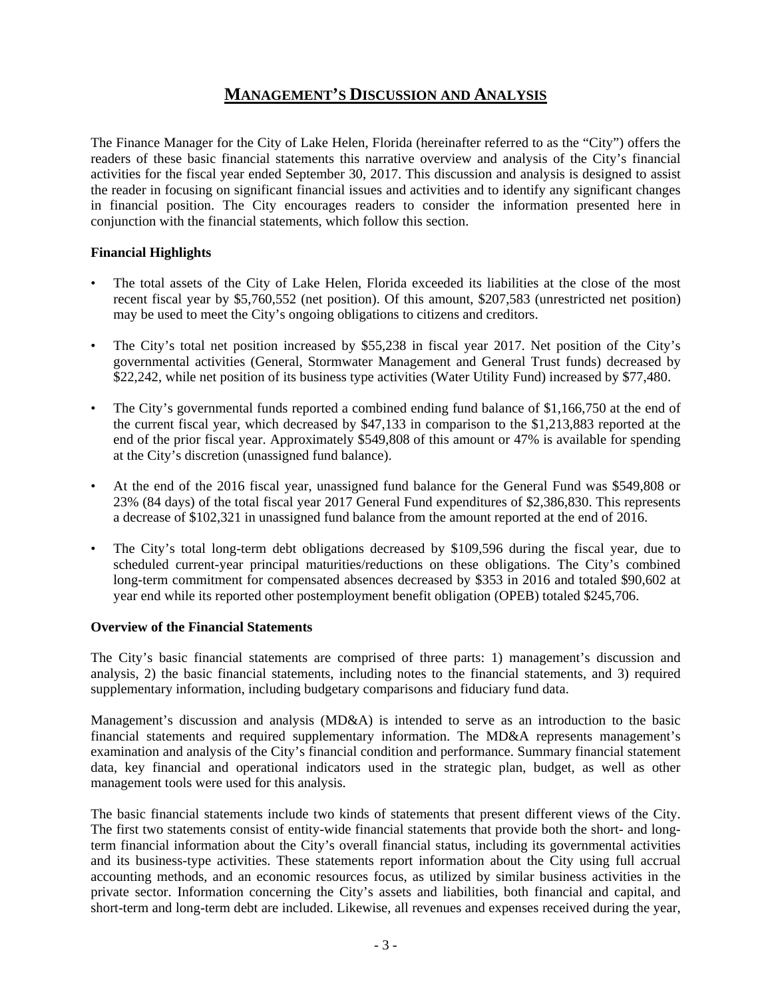# **MANAGEMENT'S DISCUSSION AND ANALYSIS**

The Finance Manager for the City of Lake Helen, Florida (hereinafter referred to as the "City") offers the readers of these basic financial statements this narrative overview and analysis of the City's financial activities for the fiscal year ended September 30, 2017. This discussion and analysis is designed to assist the reader in focusing on significant financial issues and activities and to identify any significant changes in financial position. The City encourages readers to consider the information presented here in conjunction with the financial statements, which follow this section.

# **Financial Highlights**

- The total assets of the City of Lake Helen, Florida exceeded its liabilities at the close of the most recent fiscal year by \$5,760,552 (net position). Of this amount, \$207,583 (unrestricted net position) may be used to meet the City's ongoing obligations to citizens and creditors.
- The City's total net position increased by \$55,238 in fiscal year 2017. Net position of the City's governmental activities (General, Stormwater Management and General Trust funds) decreased by \$22,242, while net position of its business type activities (Water Utility Fund) increased by \$77,480.
- The City's governmental funds reported a combined ending fund balance of \$1,166,750 at the end of the current fiscal year, which decreased by \$47,133 in comparison to the \$1,213,883 reported at the end of the prior fiscal year. Approximately \$549,808 of this amount or 47% is available for spending at the City's discretion (unassigned fund balance).
- At the end of the 2016 fiscal year, unassigned fund balance for the General Fund was \$549,808 or 23% (84 days) of the total fiscal year 2017 General Fund expenditures of \$2,386,830. This represents a decrease of \$102,321 in unassigned fund balance from the amount reported at the end of 2016.
- The City's total long-term debt obligations decreased by \$109,596 during the fiscal year, due to scheduled current-year principal maturities/reductions on these obligations. The City's combined long-term commitment for compensated absences decreased by \$353 in 2016 and totaled \$90,602 at year end while its reported other postemployment benefit obligation (OPEB) totaled \$245,706.

## **Overview of the Financial Statements**

The City's basic financial statements are comprised of three parts: 1) management's discussion and analysis, 2) the basic financial statements, including notes to the financial statements, and 3) required supplementary information, including budgetary comparisons and fiduciary fund data.

Management's discussion and analysis (MD&A) is intended to serve as an introduction to the basic financial statements and required supplementary information. The MD&A represents management's examination and analysis of the City's financial condition and performance. Summary financial statement data, key financial and operational indicators used in the strategic plan, budget, as well as other management tools were used for this analysis.

The basic financial statements include two kinds of statements that present different views of the City. The first two statements consist of entity-wide financial statements that provide both the short- and longterm financial information about the City's overall financial status, including its governmental activities and its business-type activities. These statements report information about the City using full accrual accounting methods, and an economic resources focus, as utilized by similar business activities in the private sector. Information concerning the City's assets and liabilities, both financial and capital, and short-term and long-term debt are included. Likewise, all revenues and expenses received during the year,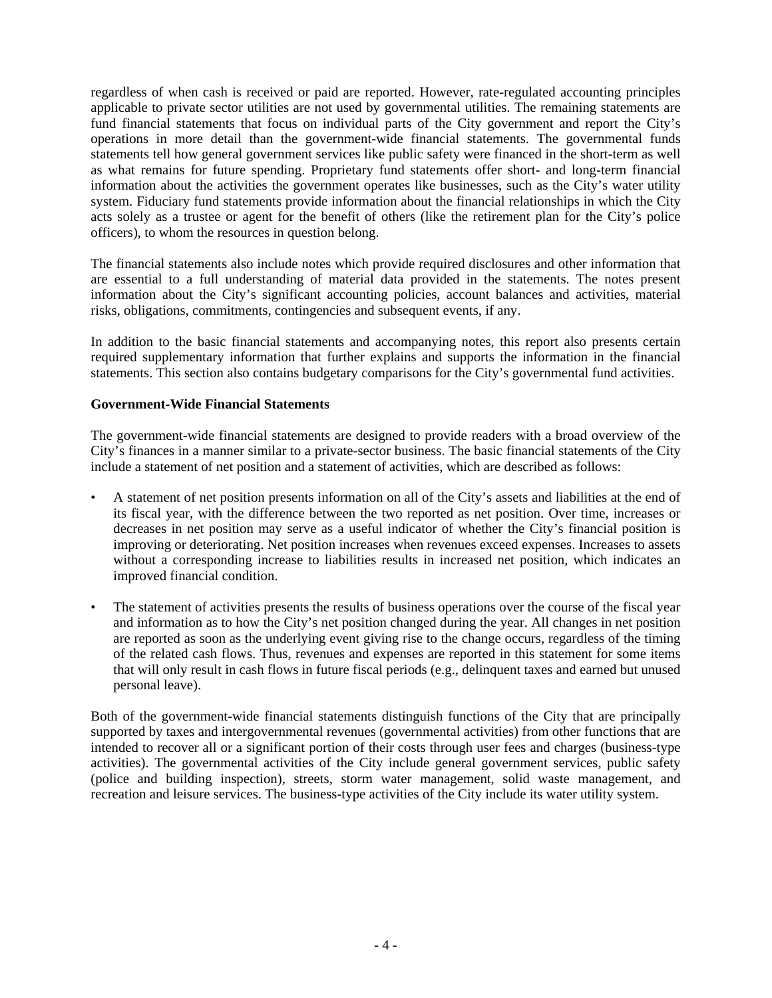regardless of when cash is received or paid are reported. However, rate-regulated accounting principles applicable to private sector utilities are not used by governmental utilities. The remaining statements are fund financial statements that focus on individual parts of the City government and report the City's operations in more detail than the government-wide financial statements. The governmental funds statements tell how general government services like public safety were financed in the short-term as well as what remains for future spending. Proprietary fund statements offer short- and long-term financial information about the activities the government operates like businesses, such as the City's water utility system. Fiduciary fund statements provide information about the financial relationships in which the City acts solely as a trustee or agent for the benefit of others (like the retirement plan for the City's police officers), to whom the resources in question belong.

The financial statements also include notes which provide required disclosures and other information that are essential to a full understanding of material data provided in the statements. The notes present information about the City's significant accounting policies, account balances and activities, material risks, obligations, commitments, contingencies and subsequent events, if any.

In addition to the basic financial statements and accompanying notes, this report also presents certain required supplementary information that further explains and supports the information in the financial statements. This section also contains budgetary comparisons for the City's governmental fund activities.

## **Government-Wide Financial Statements**

The government-wide financial statements are designed to provide readers with a broad overview of the City's finances in a manner similar to a private-sector business. The basic financial statements of the City include a statement of net position and a statement of activities, which are described as follows:

- A statement of net position presents information on all of the City's assets and liabilities at the end of its fiscal year, with the difference between the two reported as net position. Over time, increases or decreases in net position may serve as a useful indicator of whether the City's financial position is improving or deteriorating. Net position increases when revenues exceed expenses. Increases to assets without a corresponding increase to liabilities results in increased net position, which indicates an improved financial condition.
- The statement of activities presents the results of business operations over the course of the fiscal year and information as to how the City's net position changed during the year. All changes in net position are reported as soon as the underlying event giving rise to the change occurs, regardless of the timing of the related cash flows. Thus, revenues and expenses are reported in this statement for some items that will only result in cash flows in future fiscal periods (e.g., delinquent taxes and earned but unused personal leave).

Both of the government-wide financial statements distinguish functions of the City that are principally supported by taxes and intergovernmental revenues (governmental activities) from other functions that are intended to recover all or a significant portion of their costs through user fees and charges (business-type activities). The governmental activities of the City include general government services, public safety (police and building inspection), streets, storm water management, solid waste management, and recreation and leisure services. The business-type activities of the City include its water utility system.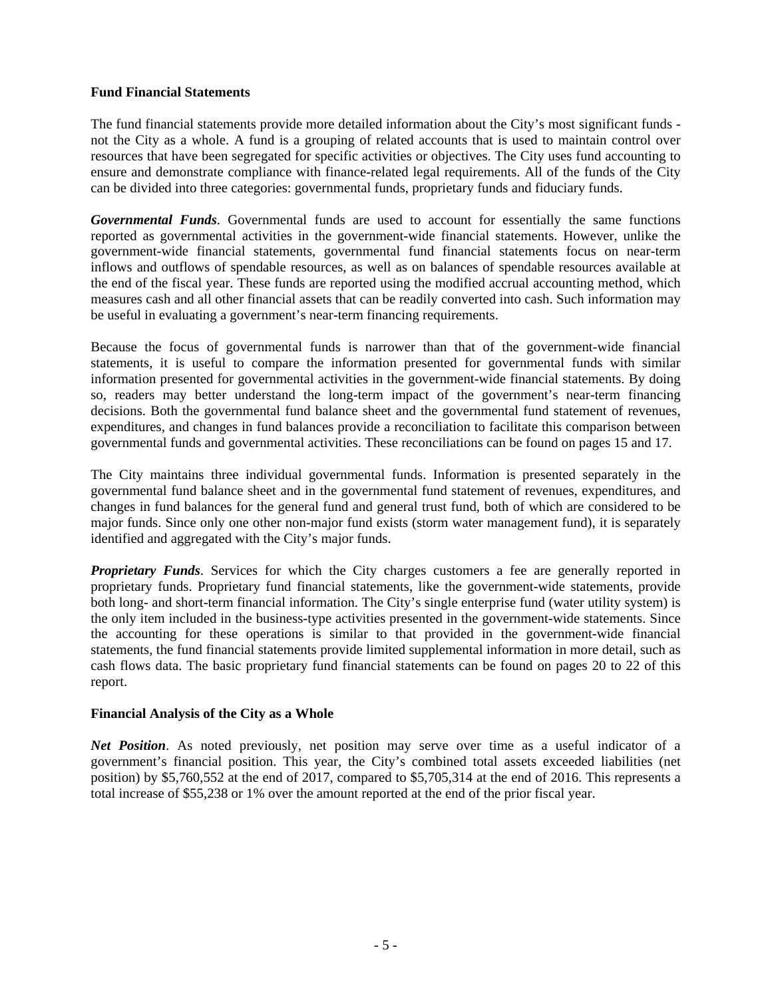### **Fund Financial Statements**

The fund financial statements provide more detailed information about the City's most significant funds not the City as a whole. A fund is a grouping of related accounts that is used to maintain control over resources that have been segregated for specific activities or objectives. The City uses fund accounting to ensure and demonstrate compliance with finance-related legal requirements. All of the funds of the City can be divided into three categories: governmental funds, proprietary funds and fiduciary funds.

*Governmental Funds*. Governmental funds are used to account for essentially the same functions reported as governmental activities in the government-wide financial statements. However, unlike the government-wide financial statements, governmental fund financial statements focus on near-term inflows and outflows of spendable resources, as well as on balances of spendable resources available at the end of the fiscal year. These funds are reported using the modified accrual accounting method, which measures cash and all other financial assets that can be readily converted into cash. Such information may be useful in evaluating a government's near-term financing requirements.

Because the focus of governmental funds is narrower than that of the government-wide financial statements, it is useful to compare the information presented for governmental funds with similar information presented for governmental activities in the government-wide financial statements. By doing so, readers may better understand the long-term impact of the government's near-term financing decisions. Both the governmental fund balance sheet and the governmental fund statement of revenues, expenditures, and changes in fund balances provide a reconciliation to facilitate this comparison between governmental funds and governmental activities. These reconciliations can be found on pages 15 and 17.

The City maintains three individual governmental funds. Information is presented separately in the governmental fund balance sheet and in the governmental fund statement of revenues, expenditures, and changes in fund balances for the general fund and general trust fund, both of which are considered to be major funds. Since only one other non-major fund exists (storm water management fund), it is separately identified and aggregated with the City's major funds.

*Proprietary Funds*. Services for which the City charges customers a fee are generally reported in proprietary funds. Proprietary fund financial statements, like the government-wide statements, provide both long- and short-term financial information. The City's single enterprise fund (water utility system) is the only item included in the business-type activities presented in the government-wide statements. Since the accounting for these operations is similar to that provided in the government-wide financial statements, the fund financial statements provide limited supplemental information in more detail, such as cash flows data. The basic proprietary fund financial statements can be found on pages 20 to 22 of this report.

## **Financial Analysis of the City as a Whole**

*Net Position*. As noted previously, net position may serve over time as a useful indicator of a government's financial position. This year, the City's combined total assets exceeded liabilities (net position) by \$5,760,552 at the end of 2017, compared to \$5,705,314 at the end of 2016. This represents a total increase of \$55,238 or 1% over the amount reported at the end of the prior fiscal year.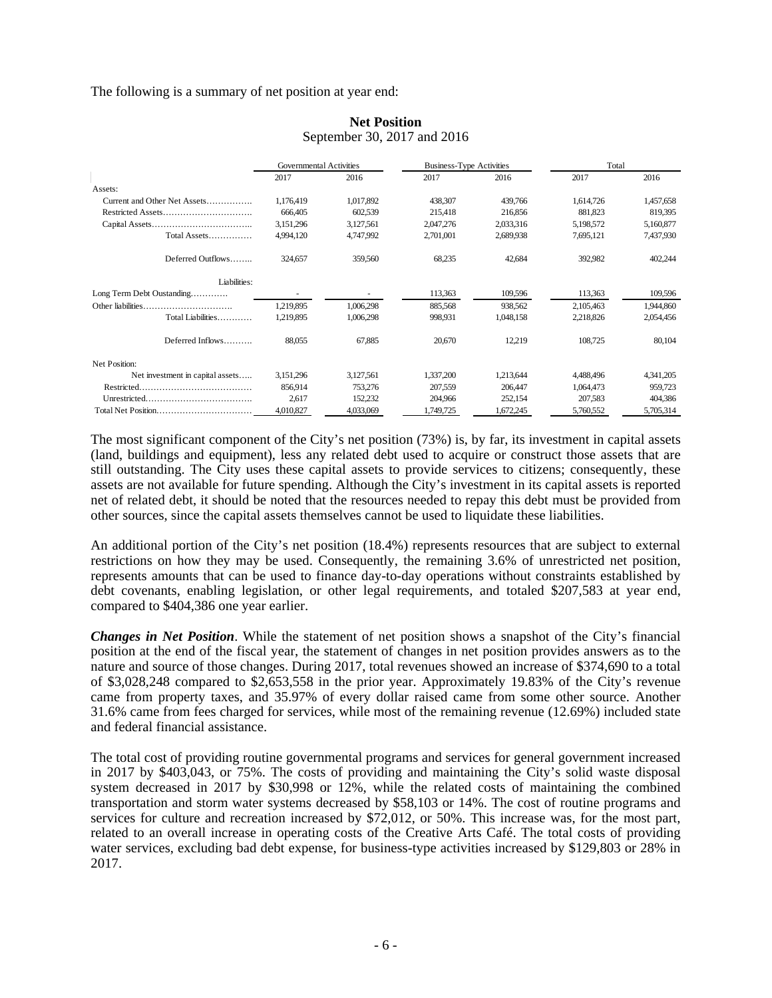The following is a summary of net position at year end:

|                                  | Governmental Activities |           | <b>Business-Type Activities</b> |           | Total     |           |  |
|----------------------------------|-------------------------|-----------|---------------------------------|-----------|-----------|-----------|--|
|                                  | 2017                    | 2016      | 2017                            | 2016      | 2017      | 2016      |  |
| Assets:                          |                         |           |                                 |           |           |           |  |
| Current and Other Net Assets     | 1,176,419               | 1,017,892 | 438,307                         | 439,766   | 1,614,726 | 1,457,658 |  |
|                                  | 666,405                 | 602,539   | 215,418                         | 216,856   | 881,823   | 819,395   |  |
|                                  | 3,151,296               | 3,127,561 | 2,047,276                       | 2,033,316 | 5,198,572 | 5,160,877 |  |
| Total Assets                     | 4,994,120               | 4,747,992 | 2,701,001                       | 2,689,938 | 7,695,121 | 7,437,930 |  |
| Deferred Outflows                | 324,657                 | 359,560   | 68,235                          | 42,684    | 392,982   | 402,244   |  |
| Liabilities:                     |                         |           |                                 |           |           |           |  |
| Long Term Debt Oustanding        |                         |           | 113,363                         | 109,596   | 113,363   | 109,596   |  |
|                                  | 1,219,895               | 1,006,298 | 885,568                         | 938,562   | 2,105,463 | 1,944,860 |  |
| Total Liabilities                | 1,219,895               | 1,006,298 | 998,931                         | 1,048,158 | 2,218,826 | 2,054,456 |  |
| Deferred Inflows                 | 88,055                  | 67,885    | 20,670                          | 12,219    | 108,725   | 80,104    |  |
| Net Position:                    |                         |           |                                 |           |           |           |  |
| Net investment in capital assets | 3,151,296               | 3,127,561 | 1,337,200                       | 1,213,644 | 4,488,496 | 4,341,205 |  |
| Restricted.                      | 856,914                 | 753,276   | 207,559                         | 206,447   | 1,064,473 | 959,723   |  |
|                                  | 2,617                   | 152,232   | 204,966                         | 252,154   | 207,583   | 404,386   |  |
|                                  | 4,010,827               | 4,033,069 | 1,749,725                       | 1,672,245 | 5,760,552 | 5,705,314 |  |

### **Net Position**  September 30, 2017 and 2016

The most significant component of the City's net position (73%) is, by far, its investment in capital assets (land, buildings and equipment), less any related debt used to acquire or construct those assets that are still outstanding. The City uses these capital assets to provide services to citizens; consequently, these assets are not available for future spending. Although the City's investment in its capital assets is reported net of related debt, it should be noted that the resources needed to repay this debt must be provided from other sources, since the capital assets themselves cannot be used to liquidate these liabilities.

An additional portion of the City's net position (18.4%) represents resources that are subject to external restrictions on how they may be used. Consequently, the remaining 3.6% of unrestricted net position, represents amounts that can be used to finance day-to-day operations without constraints established by debt covenants, enabling legislation, or other legal requirements, and totaled \$207,583 at year end, compared to \$404,386 one year earlier.

*Changes in Net Position*. While the statement of net position shows a snapshot of the City's financial position at the end of the fiscal year, the statement of changes in net position provides answers as to the nature and source of those changes. During 2017, total revenues showed an increase of \$374,690 to a total of \$3,028,248 compared to \$2,653,558 in the prior year. Approximately 19.83% of the City's revenue came from property taxes, and 35.97% of every dollar raised came from some other source. Another 31.6% came from fees charged for services, while most of the remaining revenue (12.69%) included state and federal financial assistance.

The total cost of providing routine governmental programs and services for general government increased in 2017 by \$403,043, or 75%. The costs of providing and maintaining the City's solid waste disposal system decreased in 2017 by \$30,998 or 12%, while the related costs of maintaining the combined transportation and storm water systems decreased by \$58,103 or 14%. The cost of routine programs and services for culture and recreation increased by \$72,012, or 50%. This increase was, for the most part, related to an overall increase in operating costs of the Creative Arts Café. The total costs of providing water services, excluding bad debt expense, for business-type activities increased by \$129,803 or 28% in 2017.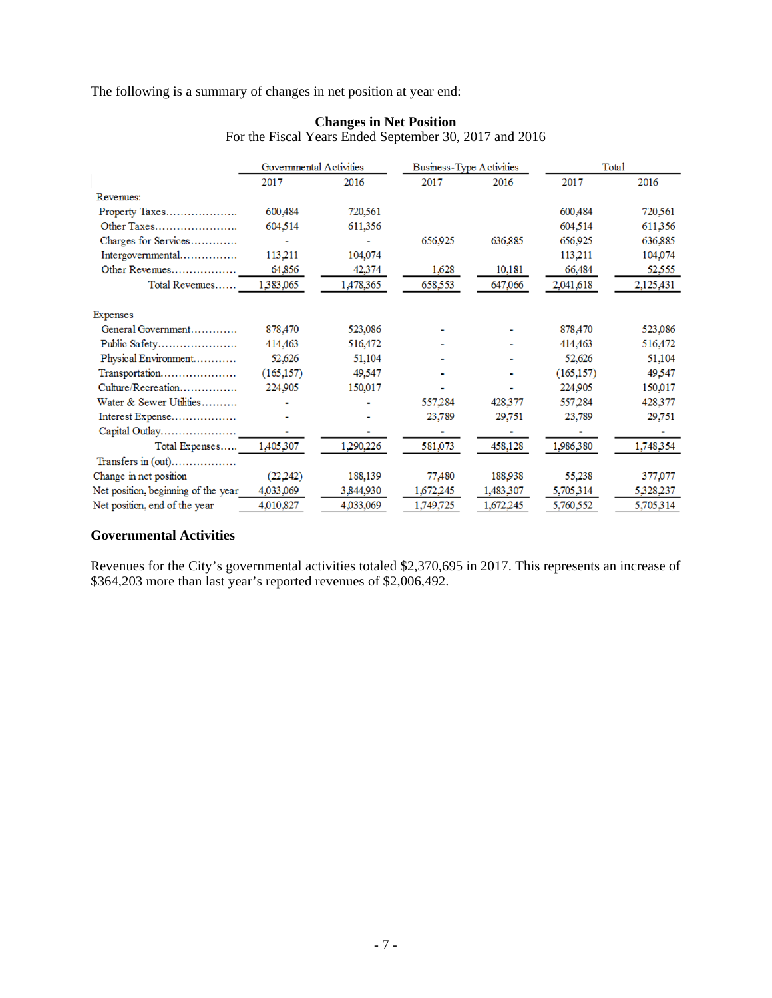The following is a summary of changes in net position at year end:

|                                     | Governmental Activities |           | <b>Business-Type Activities</b> |           | <b>Total</b> |           |  |
|-------------------------------------|-------------------------|-----------|---------------------------------|-----------|--------------|-----------|--|
|                                     | 2017                    | 2016      | 2017                            | 2016      | 2017         | 2016      |  |
| Revenues:                           |                         |           |                                 |           |              |           |  |
| Property Taxes                      | 600,484                 | 720,561   |                                 |           | 600,484      | 720,561   |  |
| Other Taxes                         | 604.514                 | 611,356   |                                 |           | 604,514      | 611,356   |  |
| Charges for Services                |                         |           | 656.925                         | 636,885   | 656.925      | 636,885   |  |
| Intergovernmental                   | 113,211                 | 104,074   |                                 |           | 113,211      | 104,074   |  |
| Other Revenues                      | 64,856                  | 42,374    | 1,628                           | 10.181    | 66,484       | 52,555    |  |
| Total Revenues                      | 1,383,065               | 1,478,365 | 658,553                         | 647,066   | 2,041,618    | 2,125,431 |  |
| Expenses                            |                         |           |                                 |           |              |           |  |
| General Government                  | 878,470                 | 523,086   |                                 |           | 878,470      | 523,086   |  |
| Public Safety                       | 414,463                 | 516,472   |                                 |           | 414,463      | 516,472   |  |
| Physical Environment                | 52,626                  | 51,104    |                                 |           | 52,626       | 51,104    |  |
| Transportation                      | (165, 157)              | 49,547    |                                 |           | (165, 157)   | 49,547    |  |
| Culture/Recreation                  | 224,905                 | 150,017   |                                 |           | 224,905      | 150,017   |  |
| Water & Sewer Utilities             |                         |           | 557,284                         | 428,377   | 557,284      | 428,377   |  |
| Interest Expense                    |                         |           | 23,789                          | 29,751    | 23,789       | 29,751    |  |
|                                     | ۰                       |           |                                 |           |              | ٠         |  |
| Total Expenses                      | 1,405,307               | 1,290,226 | 581,073                         | 458,128   | 1,986,380    | 1,748,354 |  |
| Transfers in (out)                  |                         |           |                                 |           |              |           |  |
| Change in net position              | (22,242)                | 188,139   | 77,480                          | 188.938   | 55,238       | 377,077   |  |
| Net position, beginning of the year | 4,033,069               | 3,844,930 | 1,672,245                       | 1,483,307 | 5,705,314    | 5,328,237 |  |
| Net position, end of the year       | 4,010,827               | 4,033,069 | 1,749,725                       | 1,672,245 | 5,760,552    | 5,705,314 |  |

# **Changes in Net Position**  For the Fiscal Years Ended September 30, 2017 and 2016

# **Governmental Activities**

Revenues for the City's governmental activities totaled \$2,370,695 in 2017. This represents an increase of \$364,203 more than last year's reported revenues of \$2,006,492.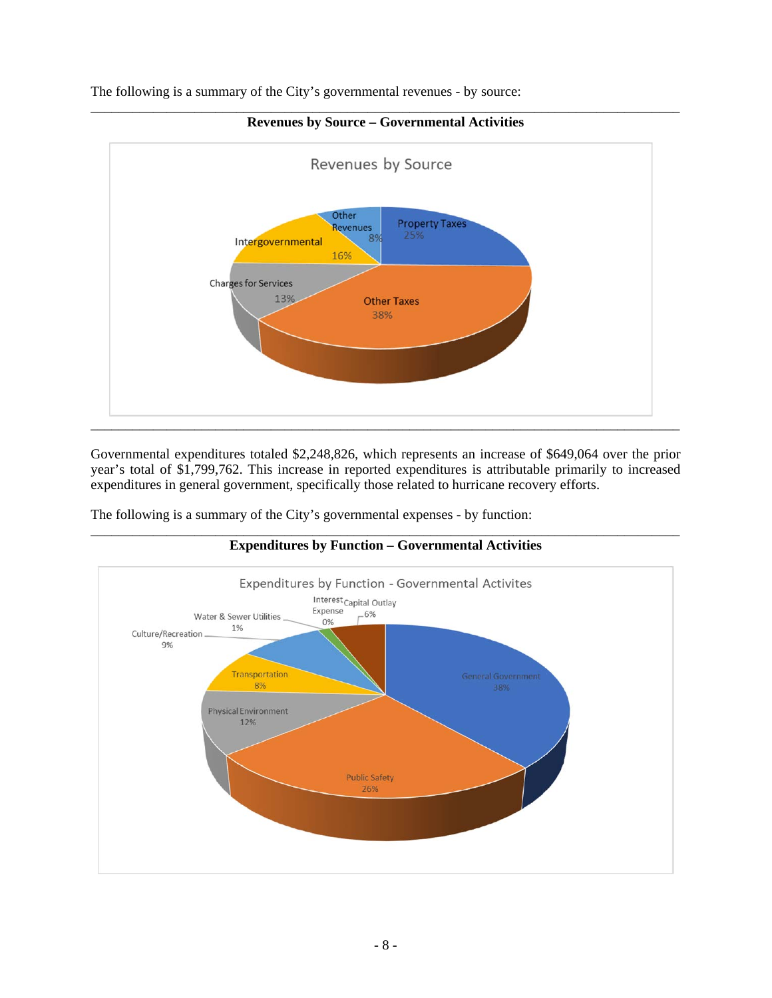The following is a summary of the City's governmental revenues - by source:



\_\_\_\_\_\_\_\_\_\_\_\_\_\_\_\_\_\_\_\_\_\_\_\_\_\_\_\_\_\_\_\_\_\_\_\_\_\_\_\_\_\_\_\_\_\_\_\_\_\_\_\_\_\_\_\_\_\_\_\_\_\_\_\_\_\_\_\_\_\_\_\_\_\_\_\_\_\_\_\_\_\_\_\_\_ **Revenues by Source – Governmental Activities** 

Governmental expenditures totaled \$2,248,826, which represents an increase of \$649,064 over the prior year's total of \$1,799,762. This increase in reported expenditures is attributable primarily to increased expenditures in general government, specifically those related to hurricane recovery efforts.

The following is a summary of the City's governmental expenses - by function:



#### \_\_\_\_\_\_\_\_\_\_\_\_\_\_\_\_\_\_\_\_\_\_\_\_\_\_\_\_\_\_\_\_\_\_\_\_\_\_\_\_\_\_\_\_\_\_\_\_\_\_\_\_\_\_\_\_\_\_\_\_\_\_\_\_\_\_\_\_\_\_\_\_\_\_\_\_\_\_\_\_\_\_\_\_\_ **Expenditures by Function – Governmental Activities**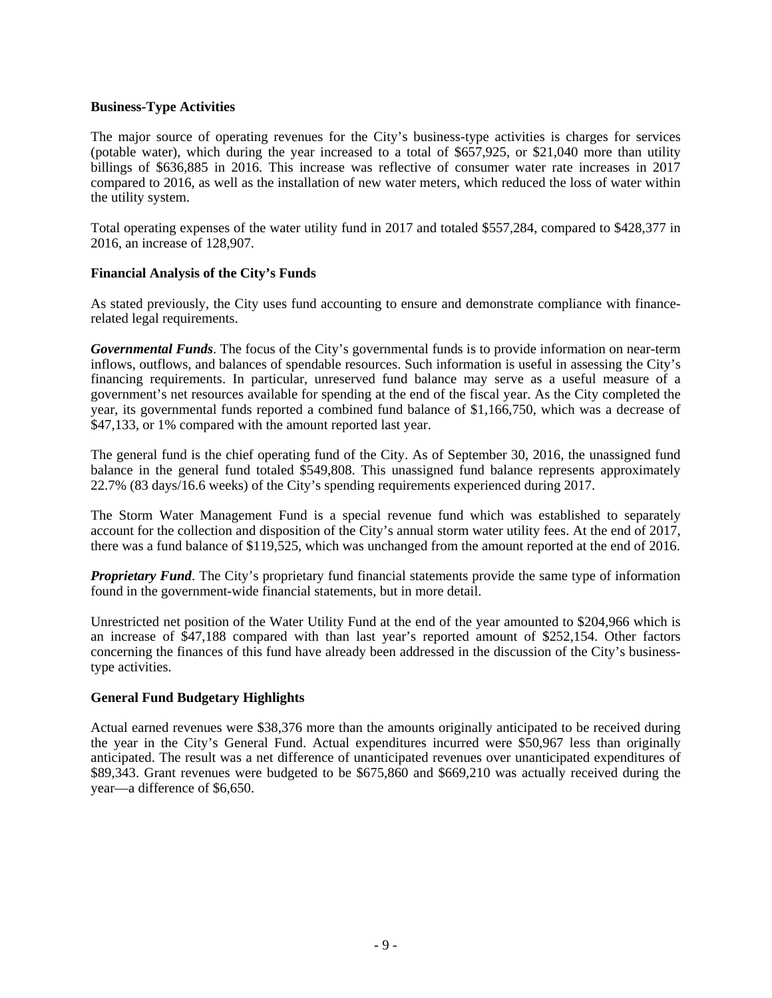## **Business-Type Activities**

The major source of operating revenues for the City's business-type activities is charges for services (potable water), which during the year increased to a total of \$657,925, or \$21,040 more than utility billings of \$636,885 in 2016. This increase was reflective of consumer water rate increases in 2017 compared to 2016, as well as the installation of new water meters, which reduced the loss of water within the utility system.

Total operating expenses of the water utility fund in 2017 and totaled \$557,284, compared to \$428,377 in 2016, an increase of 128,907.

### **Financial Analysis of the City's Funds**

As stated previously, the City uses fund accounting to ensure and demonstrate compliance with financerelated legal requirements.

*Governmental Funds*. The focus of the City's governmental funds is to provide information on near-term inflows, outflows, and balances of spendable resources. Such information is useful in assessing the City's financing requirements. In particular, unreserved fund balance may serve as a useful measure of a government's net resources available for spending at the end of the fiscal year. As the City completed the year, its governmental funds reported a combined fund balance of \$1,166,750, which was a decrease of \$47,133, or 1% compared with the amount reported last year.

The general fund is the chief operating fund of the City. As of September 30, 2016, the unassigned fund balance in the general fund totaled \$549,808. This unassigned fund balance represents approximately 22.7% (83 days/16.6 weeks) of the City's spending requirements experienced during 2017.

The Storm Water Management Fund is a special revenue fund which was established to separately account for the collection and disposition of the City's annual storm water utility fees. At the end of 2017, there was a fund balance of \$119,525, which was unchanged from the amount reported at the end of 2016.

*Proprietary Fund*. The City's proprietary fund financial statements provide the same type of information found in the government-wide financial statements, but in more detail.

Unrestricted net position of the Water Utility Fund at the end of the year amounted to \$204,966 which is an increase of \$47,188 compared with than last year's reported amount of \$252,154. Other factors concerning the finances of this fund have already been addressed in the discussion of the City's businesstype activities.

#### **General Fund Budgetary Highlights**

Actual earned revenues were \$38,376 more than the amounts originally anticipated to be received during the year in the City's General Fund. Actual expenditures incurred were \$50,967 less than originally anticipated. The result was a net difference of unanticipated revenues over unanticipated expenditures of \$89,343. Grant revenues were budgeted to be \$675,860 and \$669,210 was actually received during the year—a difference of \$6,650.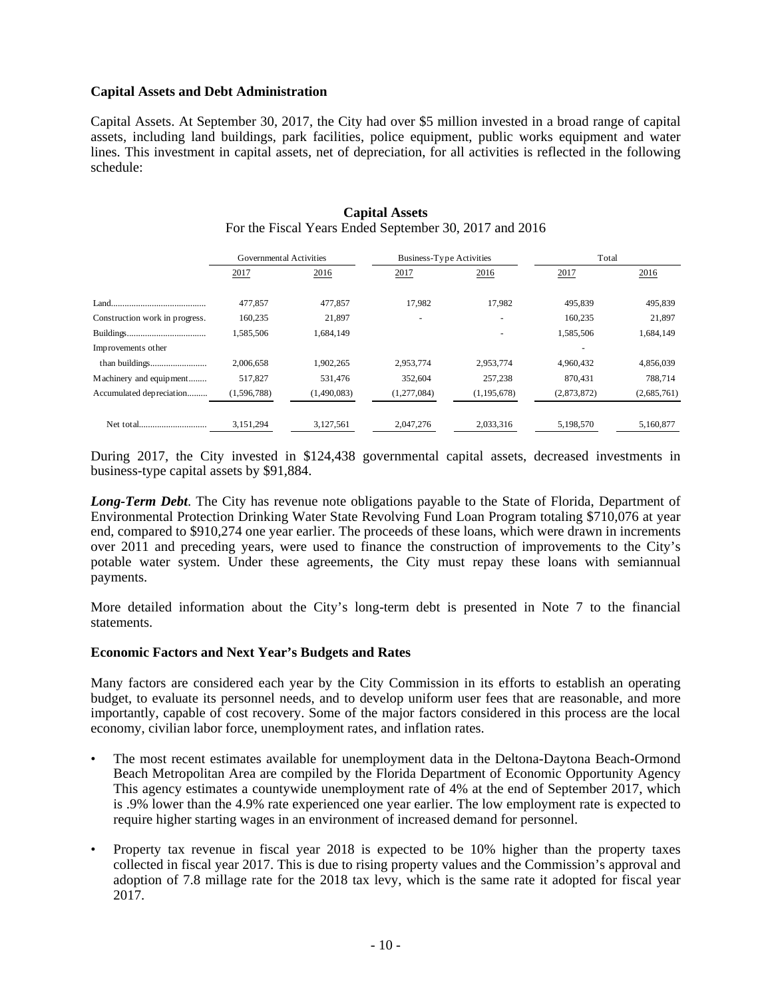### **Capital Assets and Debt Administration**

Capital Assets. At September 30, 2017, the City had over \$5 million invested in a broad range of capital assets, including land buildings, park facilities, police equipment, public works equipment and water lines. This investment in capital assets, net of depreciation, for all activities is reflected in the following schedule:

|                                | Governmental Activities |             | Business-Type Activities |             | Total       |             |  |
|--------------------------------|-------------------------|-------------|--------------------------|-------------|-------------|-------------|--|
|                                | 2017                    | 2016        | 2017                     | 2016        | 2017        | 2016        |  |
|                                | 477,857                 | 477,857     | 17.982                   | 17.982      | 495,839     | 495,839     |  |
| Construction work in progress. | 160,235                 | 21,897      |                          |             | 160,235     | 21,897      |  |
|                                | 1,585,506               | 1,684,149   |                          |             | 1,585,506   | 1,684,149   |  |
| Improvements other             |                         |             |                          |             |             |             |  |
|                                | 2,006,658               | 1,902,265   | 2,953,774                | 2,953,774   | 4,960,432   | 4,856,039   |  |
| Machinery and equipment        | 517,827                 | 531,476     | 352,604                  | 257,238     | 870.431     | 788,714     |  |
| Accumulated depreciation       | (1, 596, 788)           | (1,490,083) | (1,277,084)              | (1,195,678) | (2,873,872) | (2,685,761) |  |
|                                | 3.151.294               | 3,127,561   | 2.047.276                | 2.033.316   | 5.198.570   | 5.160.877   |  |

### **Capital Assets**  For the Fiscal Years Ended September 30, 2017 and 2016

During 2017, the City invested in \$124,438 governmental capital assets, decreased investments in business-type capital assets by \$91,884.

*Long-Term Debt*. The City has revenue note obligations payable to the State of Florida, Department of Environmental Protection Drinking Water State Revolving Fund Loan Program totaling \$710,076 at year end, compared to \$910,274 one year earlier. The proceeds of these loans, which were drawn in increments over 2011 and preceding years, were used to finance the construction of improvements to the City's potable water system. Under these agreements, the City must repay these loans with semiannual payments.

More detailed information about the City's long-term debt is presented in Note 7 to the financial statements.

### **Economic Factors and Next Year's Budgets and Rates**

Many factors are considered each year by the City Commission in its efforts to establish an operating budget, to evaluate its personnel needs, and to develop uniform user fees that are reasonable, and more importantly, capable of cost recovery. Some of the major factors considered in this process are the local economy, civilian labor force, unemployment rates, and inflation rates.

- The most recent estimates available for unemployment data in the Deltona-Daytona Beach-Ormond Beach Metropolitan Area are compiled by the Florida Department of Economic Opportunity Agency This agency estimates a countywide unemployment rate of 4% at the end of September 2017, which is .9% lower than the 4.9% rate experienced one year earlier. The low employment rate is expected to require higher starting wages in an environment of increased demand for personnel.
- Property tax revenue in fiscal year 2018 is expected to be 10% higher than the property taxes collected in fiscal year 2017. This is due to rising property values and the Commission's approval and adoption of 7.8 millage rate for the 2018 tax levy, which is the same rate it adopted for fiscal year 2017.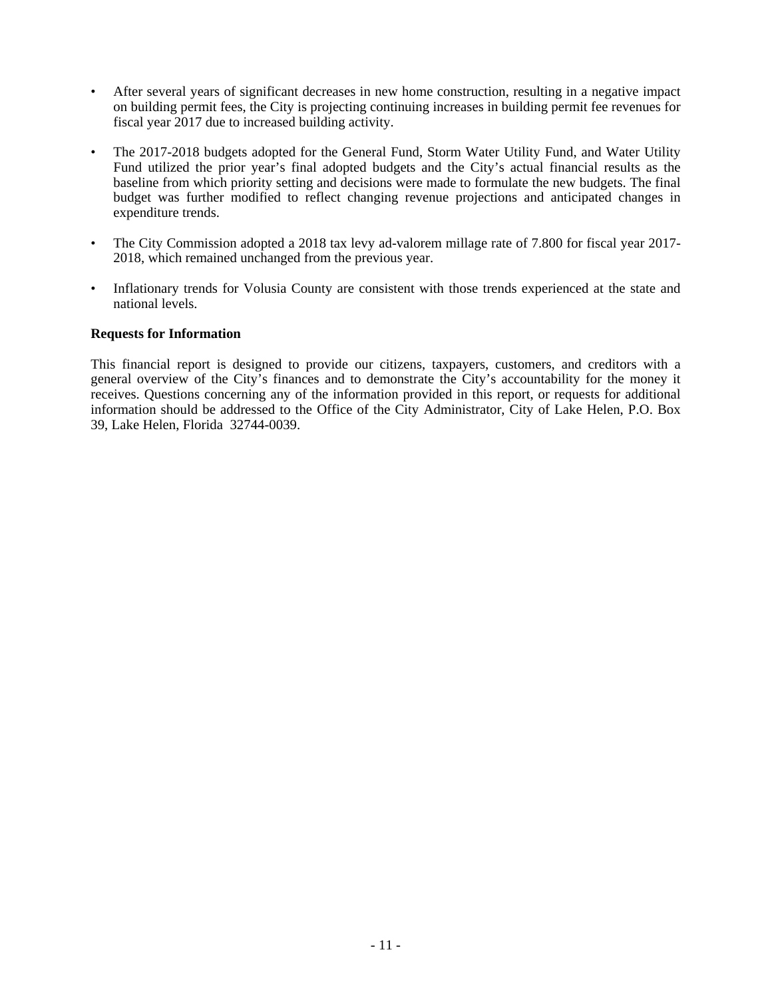- After several years of significant decreases in new home construction, resulting in a negative impact on building permit fees, the City is projecting continuing increases in building permit fee revenues for fiscal year 2017 due to increased building activity.
- The 2017-2018 budgets adopted for the General Fund, Storm Water Utility Fund, and Water Utility Fund utilized the prior year's final adopted budgets and the City's actual financial results as the baseline from which priority setting and decisions were made to formulate the new budgets. The final budget was further modified to reflect changing revenue projections and anticipated changes in expenditure trends.
- The City Commission adopted a 2018 tax levy ad-valorem millage rate of 7.800 for fiscal year 2017- 2018, which remained unchanged from the previous year.
- Inflationary trends for Volusia County are consistent with those trends experienced at the state and national levels.

### **Requests for Information**

This financial report is designed to provide our citizens, taxpayers, customers, and creditors with a general overview of the City's finances and to demonstrate the City's accountability for the money it receives. Questions concerning any of the information provided in this report, or requests for additional information should be addressed to the Office of the City Administrator, City of Lake Helen, P.O. Box 39, Lake Helen, Florida 32744-0039.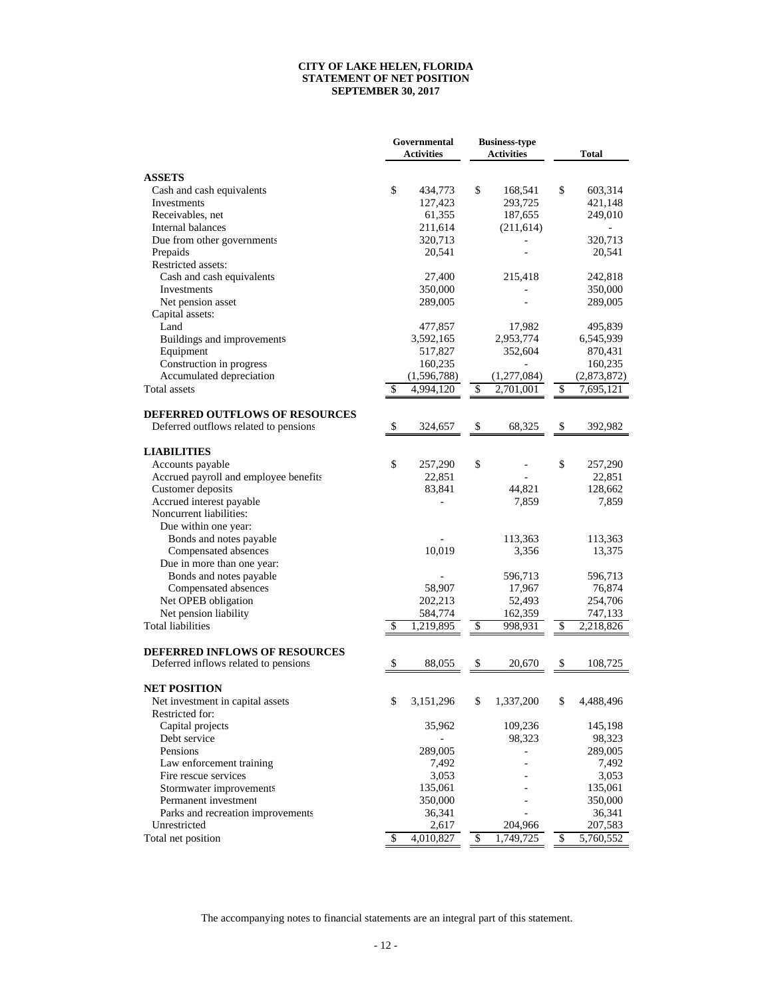#### **CITY OF LAKE HELEN, FLORIDA STATEMENT OF NET POSITION SEPTEMBER 30, 2017**

|                                                   | Governmental<br><b>Activities</b> |                 |                          | <b>Business-type</b><br><b>Activities</b> |    | Total       |
|---------------------------------------------------|-----------------------------------|-----------------|--------------------------|-------------------------------------------|----|-------------|
| <b>ASSETS</b>                                     |                                   |                 |                          |                                           |    |             |
| Cash and cash equivalents                         | \$                                | 434,773         | \$                       | 168,541                                   | \$ | 603,314     |
| Investments                                       |                                   | 127,423         |                          | 293,725                                   |    | 421,148     |
| Receivables, net                                  |                                   | 61,355          |                          | 187,655                                   |    | 249,010     |
| Internal balances                                 |                                   |                 |                          |                                           |    |             |
|                                                   |                                   | 211,614         |                          | (211, 614)                                |    |             |
| Due from other governments                        |                                   | 320,713         |                          | ÷,                                        |    | 320,713     |
| Prepaids<br>Restricted assets:                    |                                   | 20,541          |                          | L,                                        |    | 20,541      |
|                                                   |                                   |                 |                          |                                           |    |             |
| Cash and cash equivalents                         |                                   | 27,400          |                          | 215,418                                   |    | 242,818     |
| Investments                                       |                                   | 350,000         |                          |                                           |    | 350,000     |
| Net pension asset                                 |                                   | 289,005         |                          |                                           |    | 289,005     |
| Capital assets:                                   |                                   |                 |                          |                                           |    |             |
| Land                                              |                                   | 477,857         |                          | 17,982                                    |    | 495,839     |
| Buildings and improvements                        |                                   | 3,592,165       |                          | 2,953,774                                 |    | 6,545,939   |
| Equipment                                         |                                   | 517,827         |                          | 352,604                                   |    | 870,431     |
| Construction in progress                          |                                   | 160,235         |                          |                                           |    | 160,235     |
| Accumulated depreciation                          |                                   | (1,596,788)     |                          | (1,277,084)                               |    | (2,873,872) |
| Total assets                                      | \$                                | 4,994,120       | \$                       | 2,701,001                                 | \$ | 7,695,121   |
| <b>DEFERRED OUTFLOWS OF RESOURCES</b>             |                                   |                 |                          |                                           |    |             |
| Deferred outflows related to pensions             | \$                                | 324,657         | \$                       | 68,325                                    | \$ | 392,982     |
|                                                   |                                   |                 |                          |                                           |    |             |
| <b>LIABILITIES</b>                                |                                   |                 |                          |                                           |    |             |
| Accounts payable                                  | \$                                | 257,290         | \$                       |                                           | \$ | 257,290     |
| Accrued payroll and employee benefits             |                                   | 22,851          |                          |                                           |    | 22,851      |
| Customer deposits                                 |                                   | 83,841          |                          | 44,821                                    |    | 128,662     |
| Accrued interest payable                          |                                   |                 |                          | 7,859                                     |    | 7,859       |
| Noncurrent liabilities:                           |                                   |                 |                          |                                           |    |             |
| Due within one year:                              |                                   |                 |                          |                                           |    |             |
| Bonds and notes payable                           |                                   |                 |                          | 113,363                                   |    | 113,363     |
| Compensated absences                              |                                   | 10,019          |                          | 3,356                                     |    | 13,375      |
| Due in more than one year:                        |                                   |                 |                          |                                           |    |             |
| Bonds and notes payable                           |                                   |                 |                          | 596,713                                   |    | 596,713     |
| Compensated absences                              |                                   | 58,907          |                          | 17,967                                    |    | 76,874      |
| Net OPEB obligation                               |                                   | 202,213         |                          | 52,493                                    |    | 254,706     |
| Net pension liability                             |                                   | 584,774         |                          | 162,359                                   |    | 747,133     |
| <b>Total liabilities</b>                          | \$                                | 1,219,895       | $\overline{\mathcal{S}}$ | 998,931                                   | \$ | 2,218,826   |
|                                                   |                                   |                 |                          |                                           |    |             |
| DEFERRED INFLOWS OF RESOURCES                     |                                   |                 |                          |                                           |    |             |
| Deferred inflows related to pensions              | \$                                | 88,055          | \$                       | 20,670                                    | \$ | 108,725     |
| NET POSITION                                      |                                   |                 |                          |                                           |    |             |
| Net investment in capital assets                  | \$                                | 3,151,296       | S.                       | 1,337,200                                 | S  | 4,488,496   |
| Restricted for:                                   |                                   |                 |                          |                                           |    |             |
| Capital projects                                  |                                   | 35,962          |                          | 109,236                                   |    | 145,198     |
| Debt service                                      |                                   |                 |                          | 98,323                                    |    | 98,323      |
| Pensions                                          |                                   | 289,005         |                          |                                           |    | 289,005     |
| Law enforcement training                          |                                   | 7,492           |                          |                                           |    | 7,492       |
| Fire rescue services                              |                                   | 3,053           |                          |                                           |    | 3,053       |
|                                                   |                                   |                 |                          |                                           |    |             |
| Stormwater improvements<br>Permanent investment   |                                   | 135,061         |                          |                                           |    | 135,061     |
|                                                   |                                   | 350,000         |                          |                                           |    | 350,000     |
| Parks and recreation improvements<br>Unrestricted |                                   | 36,341<br>2,617 |                          | 204,966                                   |    | 36,341      |
|                                                   |                                   |                 |                          |                                           |    | 207,583     |
| Total net position                                | \$                                | 4,010,827       | \$                       | 1,749,725                                 | \$ | 5,760,552   |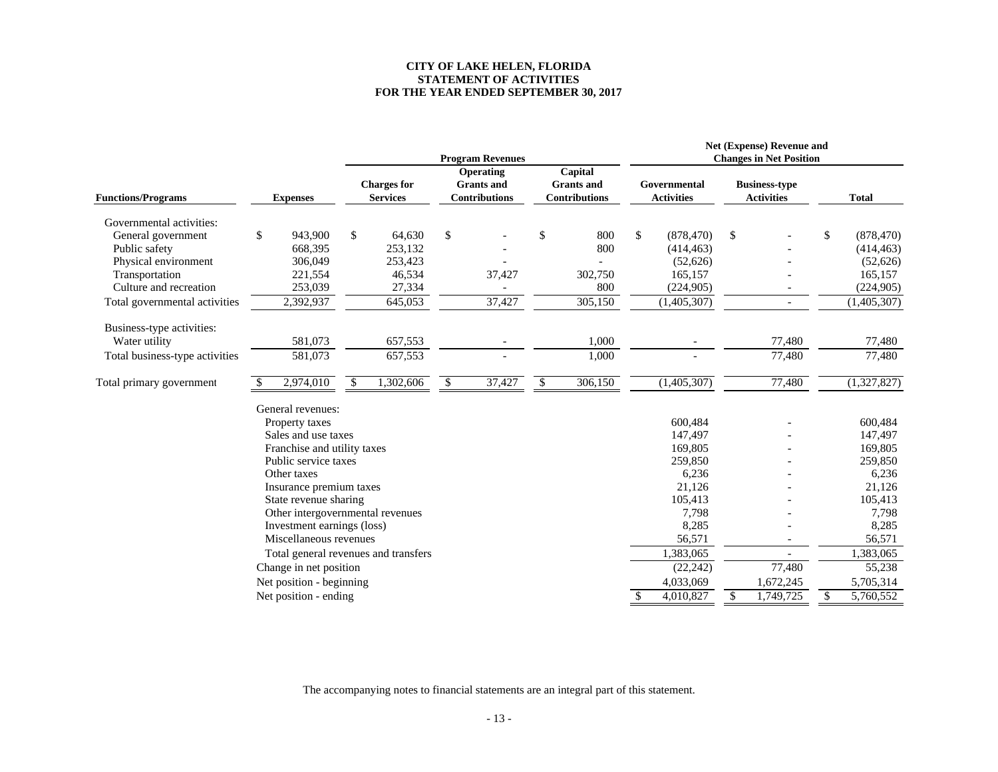#### **CITY OF LAKE HELEN, FLORIDA STATEMENT OF ACTIVITIESFOR THE YEAR ENDED SEPTEMBER 30, 2017**

|                                |    |                                      |                                       | <b>Program Revenues</b> |                                                        |        |                                                      |         | <b>Net (Expense) Revenue and</b><br><b>Changes in Net Position</b> |             |                                           |                          |    |              |
|--------------------------------|----|--------------------------------------|---------------------------------------|-------------------------|--------------------------------------------------------|--------|------------------------------------------------------|---------|--------------------------------------------------------------------|-------------|-------------------------------------------|--------------------------|----|--------------|
| <b>Functions/Programs</b>      |    | <b>Expenses</b>                      | <b>Charges for</b><br><b>Services</b> |                         | Operating<br><b>Grants</b> and<br><b>Contributions</b> |        | Capital<br><b>Grants</b> and<br><b>Contributions</b> |         | Governmental<br><b>Activities</b>                                  |             | <b>Business-type</b><br><b>Activities</b> |                          |    | <b>Total</b> |
| Governmental activities:       |    |                                      |                                       |                         |                                                        |        |                                                      |         |                                                                    |             |                                           |                          |    |              |
| General government             | \$ | 943,900                              | \$                                    | 64,630                  | \$                                                     |        | \$                                                   | 800     | \$                                                                 | (878, 470)  | \$                                        |                          | \$ | (878, 470)   |
| Public safety                  |    | 668,395                              |                                       | 253,132                 |                                                        |        |                                                      | 800     |                                                                    | (414, 463)  |                                           |                          |    | (414, 463)   |
| Physical environment           |    | 306,049                              |                                       | 253,423                 |                                                        |        |                                                      |         |                                                                    | (52,626)    |                                           |                          |    | (52, 626)    |
| Transportation                 |    | 221,554                              |                                       | 46,534                  |                                                        | 37,427 |                                                      | 302,750 |                                                                    | 165,157     |                                           |                          |    | 165,157      |
| Culture and recreation         |    | 253,039                              |                                       | 27,334                  |                                                        |        |                                                      | 800     |                                                                    | (224, 905)  |                                           |                          |    | (224, 905)   |
| Total governmental activities  |    | 2,392,937                            |                                       | 645,053                 |                                                        | 37,427 |                                                      | 305,150 |                                                                    | (1,405,307) |                                           | $\overline{\phantom{a}}$ |    | (1,405,307)  |
| Business-type activities:      |    |                                      |                                       |                         |                                                        |        |                                                      |         |                                                                    |             |                                           |                          |    |              |
| Water utility                  |    | 581,073                              |                                       | 657,553                 |                                                        |        |                                                      | 1,000   |                                                                    |             |                                           | 77,480                   |    | 77,480       |
| Total business-type activities |    | 581,073                              |                                       | 657,553                 |                                                        |        |                                                      | 1,000   |                                                                    |             |                                           | 77,480                   |    | 77,480       |
| Total primary government       |    | 2,974,010                            | \$.                                   | 1,302,606               | \$                                                     | 37,427 | \$                                                   | 306,150 |                                                                    | (1,405,307) |                                           | 77,480                   |    | (1,327,827)  |
|                                |    | General revenues:                    |                                       |                         |                                                        |        |                                                      |         |                                                                    |             |                                           |                          |    |              |
|                                |    | Property taxes                       |                                       |                         |                                                        |        |                                                      |         |                                                                    | 600,484     |                                           |                          |    | 600,484      |
|                                |    | Sales and use taxes                  |                                       |                         |                                                        |        |                                                      |         |                                                                    | 147,497     |                                           |                          |    | 147,497      |
|                                |    | Franchise and utility taxes          |                                       |                         |                                                        |        |                                                      |         |                                                                    | 169,805     |                                           |                          |    | 169,805      |
|                                |    | Public service taxes                 |                                       |                         |                                                        |        |                                                      |         |                                                                    | 259,850     |                                           |                          |    | 259,850      |
|                                |    | Other taxes                          |                                       |                         |                                                        |        |                                                      |         |                                                                    | 6,236       |                                           |                          |    | 6,236        |
|                                |    | Insurance premium taxes              |                                       |                         |                                                        |        |                                                      |         |                                                                    | 21,126      |                                           |                          |    | 21,126       |
|                                |    | State revenue sharing                |                                       |                         |                                                        |        |                                                      |         |                                                                    | 105,413     |                                           |                          |    | 105,413      |
|                                |    | Other intergovernmental revenues     |                                       |                         |                                                        |        |                                                      |         |                                                                    | 7,798       |                                           |                          |    | 7,798        |
|                                |    | Investment earnings (loss)           |                                       |                         |                                                        |        |                                                      |         |                                                                    | 8,285       |                                           |                          |    | 8,285        |
|                                |    | Miscellaneous revenues               |                                       |                         |                                                        |        |                                                      |         |                                                                    | 56,571      |                                           |                          |    | 56,571       |
|                                |    | Total general revenues and transfers |                                       |                         |                                                        |        |                                                      |         |                                                                    | 1,383,065   |                                           | $\sim$                   |    | 1,383,065    |
|                                |    | Change in net position               |                                       |                         |                                                        |        |                                                      |         |                                                                    | (22, 242)   |                                           | 77,480                   |    | 55,238       |
|                                |    | Net position - beginning             |                                       |                         |                                                        |        |                                                      |         |                                                                    | 4,033,069   |                                           | 1,672,245                |    | 5,705,314    |
|                                |    | Net position - ending                |                                       |                         |                                                        |        |                                                      |         | \$                                                                 | 4.010.827   | \$                                        | 1,749,725                | \$ | 5,760,552    |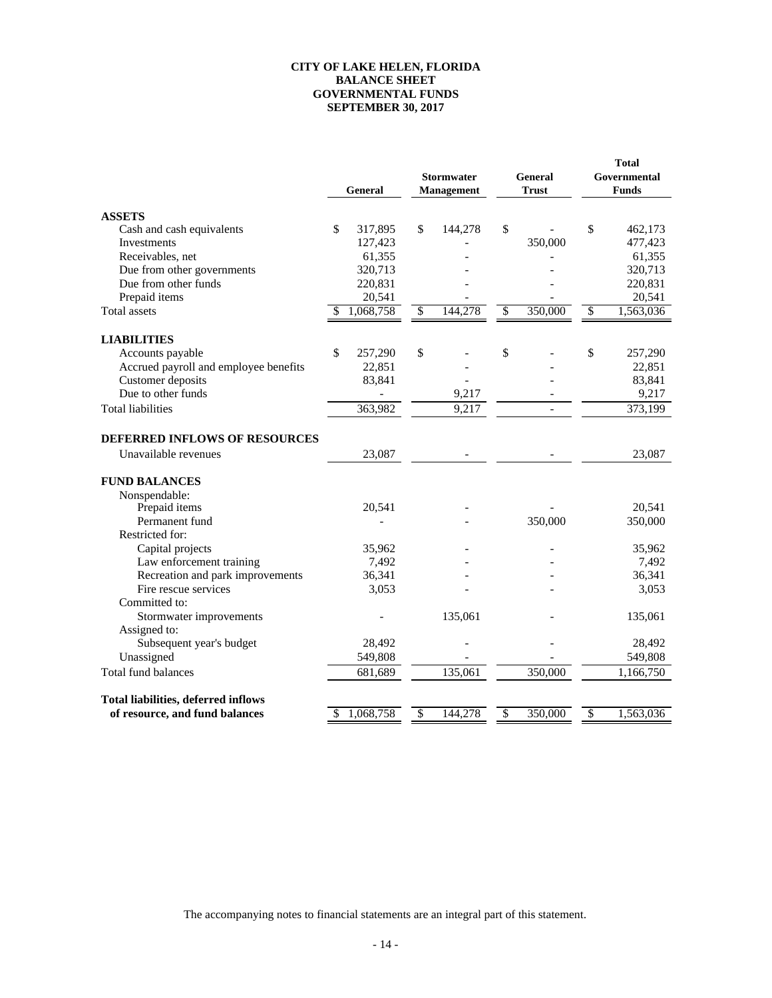#### **GOVERNMENTAL FUNDS SEPTEMBER 30, 2017 CITY OF LAKE HELEN, FLORIDA BALANCE SHEET**

|                                            |     | General   |                          | <b>Stormwater</b><br><b>Management</b> |                          | <b>General</b><br><b>Trust</b> | <b>Total</b><br>Governmental<br><b>Funds</b> |
|--------------------------------------------|-----|-----------|--------------------------|----------------------------------------|--------------------------|--------------------------------|----------------------------------------------|
| <b>ASSETS</b>                              |     |           |                          |                                        |                          |                                |                                              |
| Cash and cash equivalents                  | \$  | 317,895   | \$                       | 144,278                                | \$                       |                                | \$<br>462,173                                |
| Investments                                |     | 127,423   |                          |                                        |                          | 350,000                        | 477,423                                      |
| Receivables, net                           |     | 61,355    |                          |                                        |                          |                                | 61,355                                       |
| Due from other governments                 |     | 320,713   |                          |                                        |                          |                                | 320,713                                      |
| Due from other funds                       |     | 220,831   |                          |                                        |                          |                                | 220,831                                      |
| Prepaid items                              |     | 20,541    |                          |                                        |                          |                                | 20,541                                       |
| <b>Total</b> assets                        | \$. | 1,068,758 | $\overline{\$}$          | 144,278                                | $\overline{\mathcal{S}}$ | 350,000                        | \$<br>1,563,036                              |
| <b>LIABILITIES</b>                         |     |           |                          |                                        |                          |                                |                                              |
| Accounts payable                           | \$  | 257,290   | \$                       |                                        | \$                       |                                | \$<br>257,290                                |
| Accrued payroll and employee benefits      |     | 22,851    |                          |                                        |                          |                                | 22,851                                       |
| Customer deposits                          |     | 83,841    |                          |                                        |                          |                                | 83,841                                       |
| Due to other funds                         |     |           |                          | 9,217                                  |                          | $\overline{\phantom{a}}$       | 9,217                                        |
| <b>Total liabilities</b>                   |     | 363,982   |                          | 9,217                                  |                          | $\overline{a}$                 | 373,199                                      |
|                                            |     |           |                          |                                        |                          |                                |                                              |
| DEFERRED INFLOWS OF RESOURCES              |     |           |                          |                                        |                          |                                |                                              |
| Unavailable revenues                       |     | 23,087    |                          |                                        |                          |                                | 23,087                                       |
| <b>FUND BALANCES</b>                       |     |           |                          |                                        |                          |                                |                                              |
| Nonspendable:                              |     |           |                          |                                        |                          |                                |                                              |
| Prepaid items                              |     | 20,541    |                          |                                        |                          |                                | 20,541                                       |
| Permanent fund                             |     |           |                          |                                        |                          | 350,000                        | 350,000                                      |
| Restricted for:                            |     |           |                          |                                        |                          |                                |                                              |
| Capital projects                           |     | 35,962    |                          |                                        |                          |                                | 35,962                                       |
| Law enforcement training                   |     | 7,492     |                          |                                        |                          |                                | 7,492                                        |
| Recreation and park improvements           |     | 36,341    |                          |                                        |                          |                                | 36,341                                       |
| Fire rescue services                       |     | 3,053     |                          |                                        |                          |                                | 3,053                                        |
| Committed to:                              |     |           |                          |                                        |                          |                                |                                              |
| Stormwater improvements                    |     |           |                          | 135,061                                |                          |                                | 135,061                                      |
| Assigned to:                               |     |           |                          |                                        |                          |                                |                                              |
| Subsequent year's budget                   |     | 28,492    |                          |                                        |                          |                                | 28,492                                       |
| Unassigned                                 |     | 549,808   |                          |                                        |                          |                                | 549,808                                      |
| Total fund balances                        |     | 681,689   |                          | 135,061                                |                          | 350,000                        | $\overline{1,}166,750$                       |
| <b>Total liabilities, deferred inflows</b> |     |           |                          |                                        |                          |                                |                                              |
| of resource, and fund balances             | \$  | 1,068,758 | $\overline{\mathcal{S}}$ | 144,278                                | \$                       | 350,000                        | \$<br>1,563,036                              |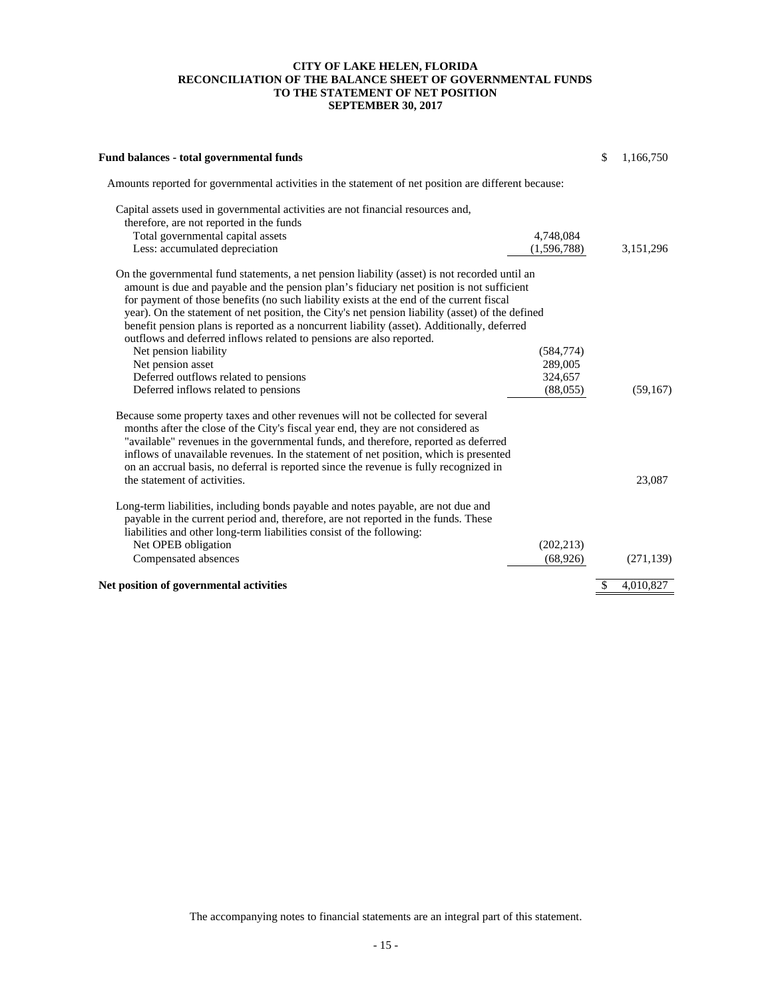#### **TO THE STATEMENT OF NET POSITION SEPTEMBER 30, 2017 CITY OF LAKE HELEN, FLORIDA RECONCILIATION OF THE BALANCE SHEET OF GOVERNMENTAL FUNDS**

| Fund balances - total governmental funds                                                             |             | \$<br>1,166,750 |
|------------------------------------------------------------------------------------------------------|-------------|-----------------|
| Amounts reported for governmental activities in the statement of net position are different because: |             |                 |
| Capital assets used in governmental activities are not financial resources and,                      |             |                 |
| therefore, are not reported in the funds                                                             |             |                 |
| Total governmental capital assets                                                                    | 4,748,084   |                 |
| Less: accumulated depreciation                                                                       | (1,596,788) | 3,151,296       |
| On the governmental fund statements, a net pension liability (asset) is not recorded until an        |             |                 |
| amount is due and payable and the pension plan's fiduciary net position is not sufficient            |             |                 |
| for payment of those benefits (no such liability exists at the end of the current fiscal             |             |                 |
| year). On the statement of net position, the City's net pension liability (asset) of the defined     |             |                 |
| benefit pension plans is reported as a noncurrent liability (asset). Additionally, deferred          |             |                 |
| outflows and deferred inflows related to pensions are also reported.                                 |             |                 |
| Net pension liability                                                                                | (584, 774)  |                 |
| Net pension asset                                                                                    | 289,005     |                 |
| Deferred outflows related to pensions                                                                | 324,657     |                 |
| Deferred inflows related to pensions                                                                 | (88,055)    | (59,167)        |
| Because some property taxes and other revenues will not be collected for several                     |             |                 |
| months after the close of the City's fiscal year end, they are not considered as                     |             |                 |
| "available" revenues in the governmental funds, and therefore, reported as deferred                  |             |                 |
| inflows of unavailable revenues. In the statement of net position, which is presented                |             |                 |
| on an accrual basis, no deferral is reported since the revenue is fully recognized in                |             |                 |
| the statement of activities.                                                                         |             | 23,087          |
|                                                                                                      |             |                 |
| Long-term liabilities, including bonds payable and notes payable, are not due and                    |             |                 |
| payable in the current period and, therefore, are not reported in the funds. These                   |             |                 |
| liabilities and other long-term liabilities consist of the following:                                |             |                 |
| Net OPEB obligation                                                                                  | (202, 213)  |                 |
| Compensated absences                                                                                 | (68,926)    | (271, 139)      |
| Net position of governmental activities                                                              |             | 4,010,827       |
|                                                                                                      |             |                 |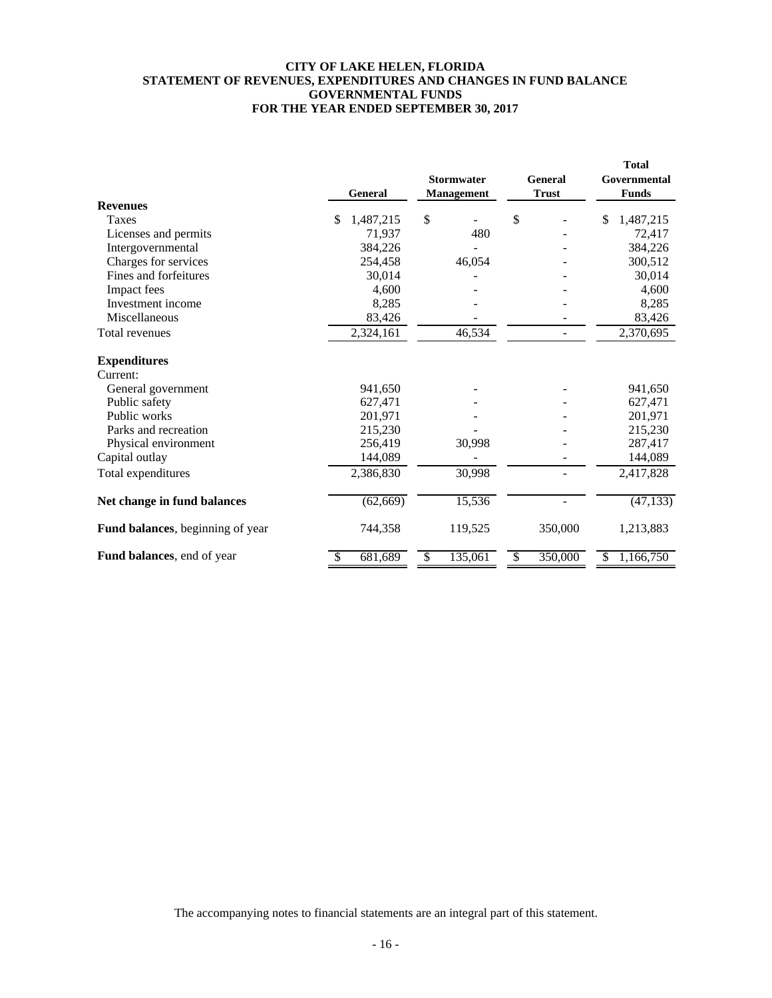#### **CITY OF LAKE HELEN, FLORIDA STATEMENT OF REVENUES, EXPENDITURES AND CHANGES IN FUND BALANCE GOVERNMENTAL FUNDS FOR THE YEAR ENDED SEPTEMBER 30, 2017**

|                                  |                 | <b>Stormwater</b> | General       | <b>Total</b><br>Governmental |
|----------------------------------|-----------------|-------------------|---------------|------------------------------|
|                                  | <b>General</b>  | <b>Management</b> | <b>Trust</b>  | <b>Funds</b>                 |
| <b>Revenues</b>                  |                 |                   |               |                              |
| Taxes                            | \$<br>1,487,215 | \$                | \$            | 1,487,215<br>S               |
| Licenses and permits             | 71,937          | 480               |               | 72,417                       |
| Intergovernmental                | 384,226         |                   |               | 384,226                      |
| Charges for services             | 254,458         | 46,054            |               | 300,512                      |
| Fines and forfeitures            | 30.014          |                   |               | 30,014                       |
| Impact fees                      | 4,600           |                   |               | 4,600                        |
| Investment income                | 8,285           |                   |               | 8,285                        |
| Miscellaneous                    | 83,426          |                   |               | 83,426                       |
| Total revenues                   | 2,324,161       | 46,534            |               | 2,370,695                    |
| <b>Expenditures</b>              |                 |                   |               |                              |
| Current:                         |                 |                   |               |                              |
| General government               | 941,650         |                   |               | 941,650                      |
| Public safety                    | 627,471         |                   |               | 627,471                      |
| Public works                     | 201,971         |                   |               | 201,971                      |
| Parks and recreation             | 215,230         |                   |               | 215,230                      |
| Physical environment             | 256.419         | 30,998            |               | 287,417                      |
| Capital outlay                   | 144,089         |                   |               | 144,089                      |
| Total expenditures               | 2,386,830       | 30,998            |               | 2,417,828                    |
| Net change in fund balances      | (62, 669)       | 15,536            |               | (47, 133)                    |
| Fund balances, beginning of year | 744,358         | 119,525           | 350,000       | 1,213,883                    |
| Fund balances, end of year       | 681,689         | 135,061<br>S      | 350,000<br>\$ | 1,166,750<br>S               |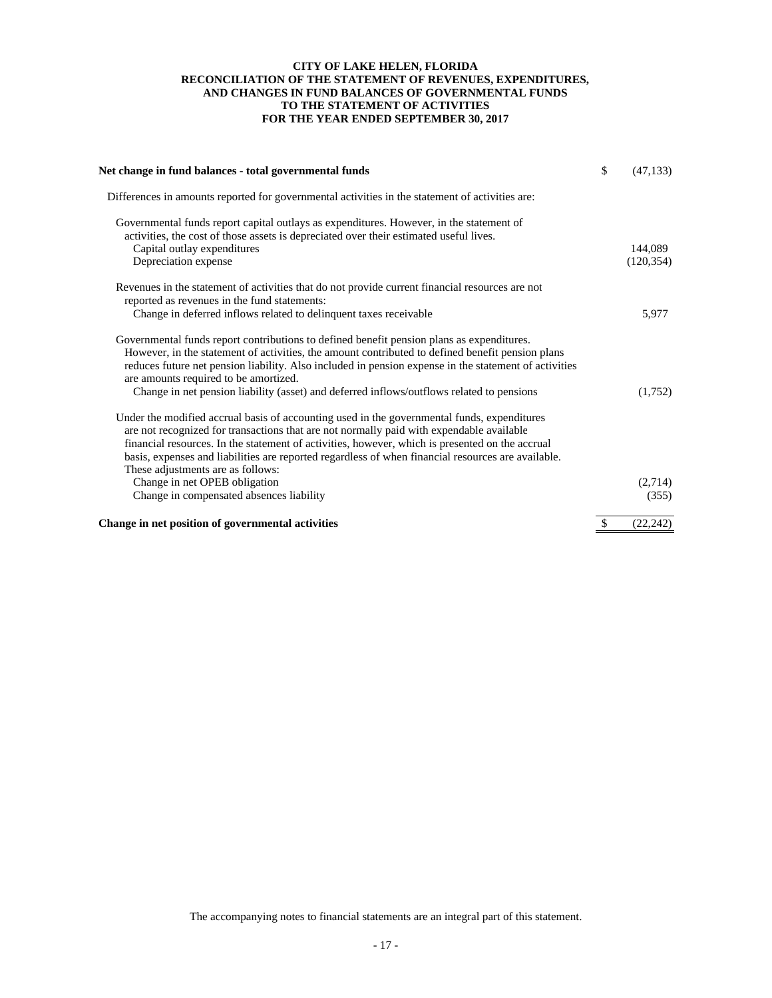#### **CITY OF LAKE HELEN, FLORIDA RECONCILIATION OF THE STATEMENT OF REVENUES, EXPENDITURES, TO THE STATEMENT OF ACTIVITIES FOR THE YEAR ENDED SEPTEMBER 30, 2017 AND CHANGES IN FUND BALANCES OF GOVERNMENTAL FUNDS**

| Net change in fund balances - total governmental funds                                                                                                                                                                                                                                                                                                                                                                                       | \$<br>(47, 133)       |
|----------------------------------------------------------------------------------------------------------------------------------------------------------------------------------------------------------------------------------------------------------------------------------------------------------------------------------------------------------------------------------------------------------------------------------------------|-----------------------|
| Differences in amounts reported for governmental activities in the statement of activities are:                                                                                                                                                                                                                                                                                                                                              |                       |
| Governmental funds report capital outlays as expenditures. However, in the statement of<br>activities, the cost of those assets is depreciated over their estimated useful lives.<br>Capital outlay expenditures<br>Depreciation expense                                                                                                                                                                                                     | 144,089<br>(120, 354) |
| Revenues in the statement of activities that do not provide current financial resources are not<br>reported as revenues in the fund statements:<br>Change in deferred inflows related to delinquent taxes receivable                                                                                                                                                                                                                         | 5,977                 |
| Governmental funds report contributions to defined benefit pension plans as expenditures.<br>However, in the statement of activities, the amount contributed to defined benefit pension plans<br>reduces future net pension liability. Also included in pension expense in the statement of activities<br>are amounts required to be amortized.<br>Change in net pension liability (asset) and deferred inflows/outflows related to pensions | (1,752)               |
| Under the modified accrual basis of accounting used in the governmental funds, expenditures<br>are not recognized for transactions that are not normally paid with expendable available<br>financial resources. In the statement of activities, however, which is presented on the accrual<br>basis, expenses and liabilities are reported regardless of when financial resources are available.<br>These adjustments are as follows:        |                       |
| Change in net OPEB obligation<br>Change in compensated absences liability                                                                                                                                                                                                                                                                                                                                                                    | (2,714)<br>(355)      |
| Change in net position of governmental activities                                                                                                                                                                                                                                                                                                                                                                                            | (22, 242)             |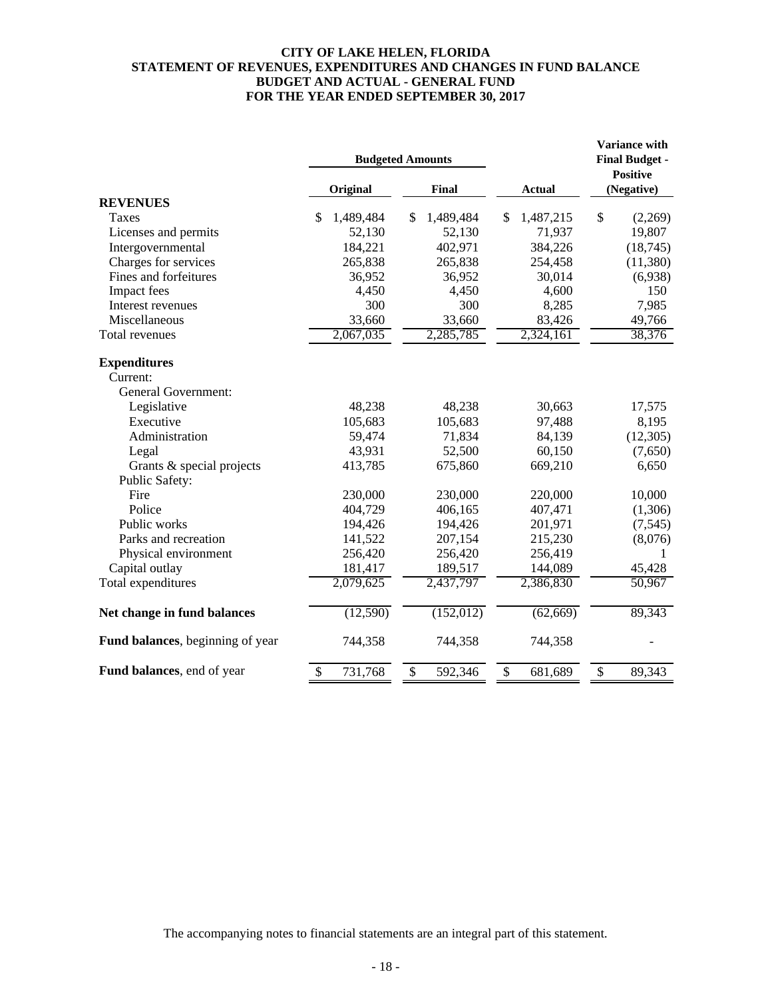#### **CITY OF LAKE HELEN, FLORIDA STATEMENT OF REVENUES, EXPENDITURES AND CHANGES IN FUND BALANCE BUDGET AND ACTUAL - GENERAL FUND FOR THE YEAR ENDED SEPTEMBER 30, 2017**

|                                  |                 | <b>Budgeted Amounts</b> |                 | Variance with<br><b>Final Budget -</b> |  |  |
|----------------------------------|-----------------|-------------------------|-----------------|----------------------------------------|--|--|
|                                  |                 |                         |                 | <b>Positive</b>                        |  |  |
|                                  | Original        | Final                   | <b>Actual</b>   | (Negative)                             |  |  |
| <b>REVENUES</b>                  |                 |                         |                 |                                        |  |  |
| <b>Taxes</b>                     | 1,489,484<br>\$ | \$<br>1,489,484         | \$<br>1,487,215 | \$<br>(2,269)                          |  |  |
| Licenses and permits             | 52,130          | 52,130                  | 71,937          | 19,807                                 |  |  |
| Intergovernmental                | 184,221         | 402,971                 | 384,226         | (18, 745)                              |  |  |
| Charges for services             | 265,838         | 265,838                 | 254,458         | (11, 380)                              |  |  |
| Fines and forfeitures            | 36,952          | 36,952                  | 30,014          | (6,938)                                |  |  |
| Impact fees                      | 4,450           | 4,450                   | 4,600           | 150                                    |  |  |
| Interest revenues                | 300             | 300                     | 8,285           | 7,985                                  |  |  |
| Miscellaneous                    | 33,660          | 33,660                  | 83,426          | 49,766                                 |  |  |
| Total revenues                   | 2,067,035       | 2,285,785               | 2,324,161       | 38,376                                 |  |  |
| <b>Expenditures</b>              |                 |                         |                 |                                        |  |  |
| Current:                         |                 |                         |                 |                                        |  |  |
| <b>General Government:</b>       |                 |                         |                 |                                        |  |  |
| Legislative                      | 48,238          | 48,238                  | 30,663          | 17,575                                 |  |  |
| Executive                        | 105,683         | 105,683                 | 97,488          | 8,195                                  |  |  |
| Administration                   | 59,474          | 71,834                  | 84,139          | (12, 305)                              |  |  |
| Legal                            | 43,931          | 52,500                  | 60,150          | (7,650)                                |  |  |
| Grants & special projects        | 413,785         | 675,860                 | 669,210         | 6,650                                  |  |  |
| Public Safety:                   |                 |                         |                 |                                        |  |  |
| Fire                             | 230,000         | 230,000                 | 220,000         | 10,000                                 |  |  |
| Police                           | 404,729         | 406,165                 | 407,471         | (1,306)                                |  |  |
| Public works                     | 194,426         | 194,426                 | 201,971         | (7, 545)                               |  |  |
| Parks and recreation             | 141,522         | 207,154                 | 215,230         | (8,076)                                |  |  |
| Physical environment             | 256,420         | 256,420                 | 256,419         | 1                                      |  |  |
| Capital outlay                   | 181,417         | 189,517                 | 144,089         | 45,428                                 |  |  |
| Total expenditures               | 2,079,625       | 2,437,797               | 2,386,830       | 50,967                                 |  |  |
| Net change in fund balances      | (12,590)        | (152, 012)              | (62, 669)       | 89,343                                 |  |  |
| Fund balances, beginning of year | 744,358         | 744,358                 | 744,358         |                                        |  |  |
| Fund balances, end of year       | \$<br>731,768   | \$<br>592,346           | \$<br>681,689   | $\$$<br>89,343                         |  |  |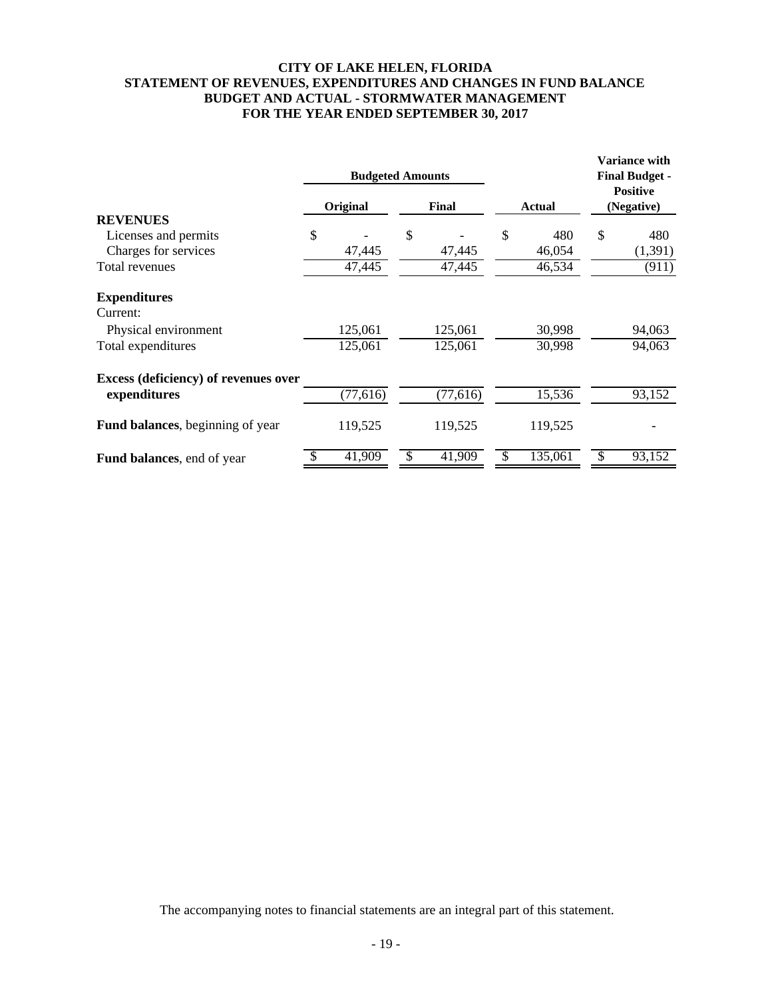# **CITY OF LAKE HELEN, FLORIDA STATEMENT OF REVENUES, EXPENDITURES AND CHANGES IN FUND BALANCE BUDGET AND ACTUAL - STORMWATER MANAGEMENT FOR THE YEAR ENDED SEPTEMBER 30, 2017**

|                                             | <b>Budgeted Amounts</b> |    |              |               | <b>Variance with</b><br><b>Final Budget -</b><br><b>Positive</b> |
|---------------------------------------------|-------------------------|----|--------------|---------------|------------------------------------------------------------------|
|                                             | Original                |    | <b>Final</b> | <b>Actual</b> | (Negative)                                                       |
| <b>REVENUES</b>                             |                         |    |              |               |                                                                  |
| Licenses and permits                        | \$                      | \$ |              | \$<br>480     | \$<br>480                                                        |
| Charges for services                        | 47,445                  |    | 47,445       | 46,054        | (1,391)                                                          |
| Total revenues                              | 47,445                  |    | 47,445       | 46,534        | (911)                                                            |
| <b>Expenditures</b>                         |                         |    |              |               |                                                                  |
| Current:                                    |                         |    |              |               |                                                                  |
| Physical environment                        | 125,061                 |    | 125,061      | 30,998        | 94,063                                                           |
| Total expenditures                          | 125,061                 |    | 125,061      | 30,998        | 94,063                                                           |
| <b>Excess (deficiency) of revenues over</b> |                         |    |              |               |                                                                  |
| expenditures                                | (77, 616)               |    | (77, 616)    | 15,536        | 93,152                                                           |
| Fund balances, beginning of year            | 119,525                 |    | 119,525      | 119,525       |                                                                  |
| Fund balances, end of year                  | 41,909                  | S  | 41,909       | 135,061       | 93,152                                                           |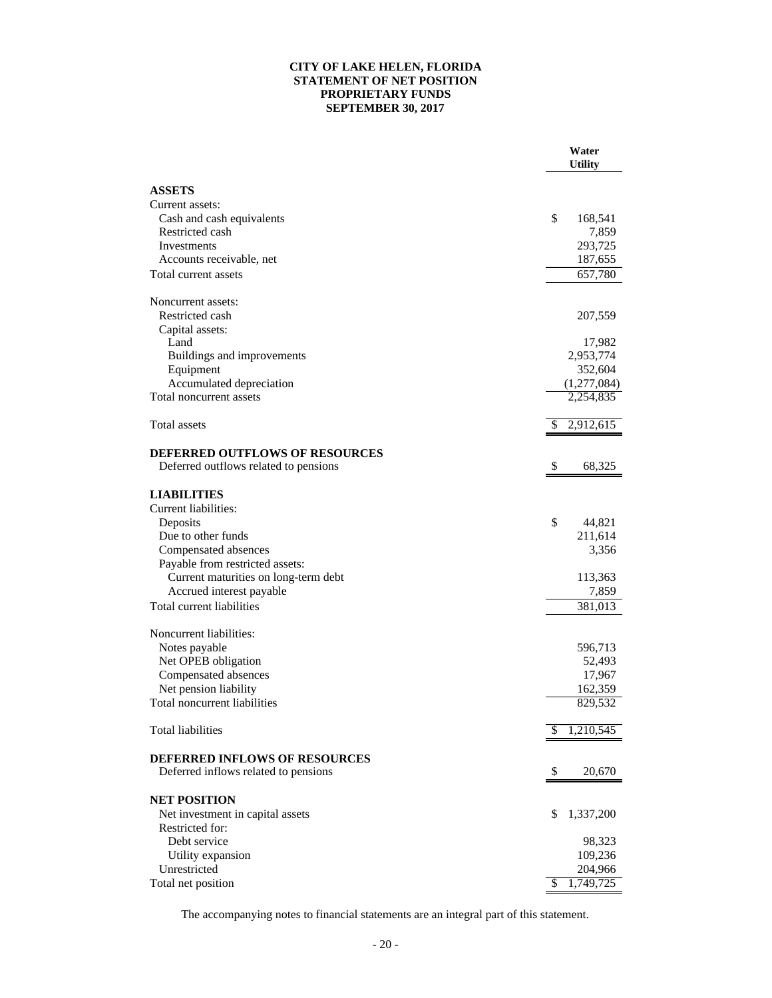#### **CITY OF LAKE HELEN, FLORIDA STATEMENT OF NET POSITION PROPRIETARY FUNDS SEPTEMBER 30, 2017**

|                                                                              |              | Water<br><b>Utility</b> |
|------------------------------------------------------------------------------|--------------|-------------------------|
| <b>ASSETS</b>                                                                |              |                         |
| Current assets:                                                              |              |                         |
| Cash and cash equivalents                                                    | \$           | 168,541                 |
| Restricted cash                                                              |              | 7,859                   |
| Investments                                                                  |              | 293,725                 |
| Accounts receivable, net                                                     |              | 187,655                 |
| Total current assets                                                         |              | 657,780                 |
| Noncurrent assets:                                                           |              |                         |
| Restricted cash                                                              |              | 207,559                 |
| Capital assets:                                                              |              |                         |
| Land                                                                         |              | 17,982                  |
| Buildings and improvements                                                   |              | 2,953,774               |
| Equipment                                                                    |              | 352,604                 |
| Accumulated depreciation                                                     |              | (1,277,084)             |
| Total noncurrent assets                                                      |              | 2,254,835               |
| Total assets                                                                 | \$           | 2,912,615               |
| <b>DEFERRED OUTFLOWS OF RESOURCES</b>                                        |              |                         |
| Deferred outflows related to pensions                                        | <sup>2</sup> | 68,325                  |
|                                                                              |              |                         |
| <b>LIABILITIES</b>                                                           |              |                         |
| Current liabilities:                                                         |              |                         |
| Deposits                                                                     | \$           | 44,821                  |
| Due to other funds                                                           |              | 211,614                 |
| Compensated absences                                                         |              | 3,356                   |
| Payable from restricted assets:                                              |              |                         |
| Current maturities on long-term debt                                         |              | 113,363<br>7,859        |
| Accrued interest payable<br>Total current liabilities                        |              | 381,013                 |
|                                                                              |              |                         |
| Noncurrent liabilities:                                                      |              |                         |
| Notes payable                                                                |              | 596,713                 |
| Net OPEB obligation                                                          |              | 52,493                  |
| Compensated absences                                                         |              | 17,967                  |
| Net pension liability                                                        |              | 162,359                 |
| Total noncurrent liabilities                                                 |              | 829,532                 |
| <b>Total liabilities</b>                                                     | \$           | 1,210,545               |
|                                                                              |              |                         |
| <b>DEFERRED INFLOWS OF RESOURCES</b><br>Deferred inflows related to pensions | \$           | 20,670                  |
|                                                                              |              |                         |
| <b>NET POSITION</b>                                                          |              |                         |
| Net investment in capital assets                                             | \$           | 1,337,200               |
| Restricted for:                                                              |              |                         |
| Debt service                                                                 |              | 98,323                  |
| Utility expansion<br>Unrestricted                                            |              | 109,236<br>204,966      |
| Total net position                                                           | \$           | 1,749,725               |
|                                                                              |              |                         |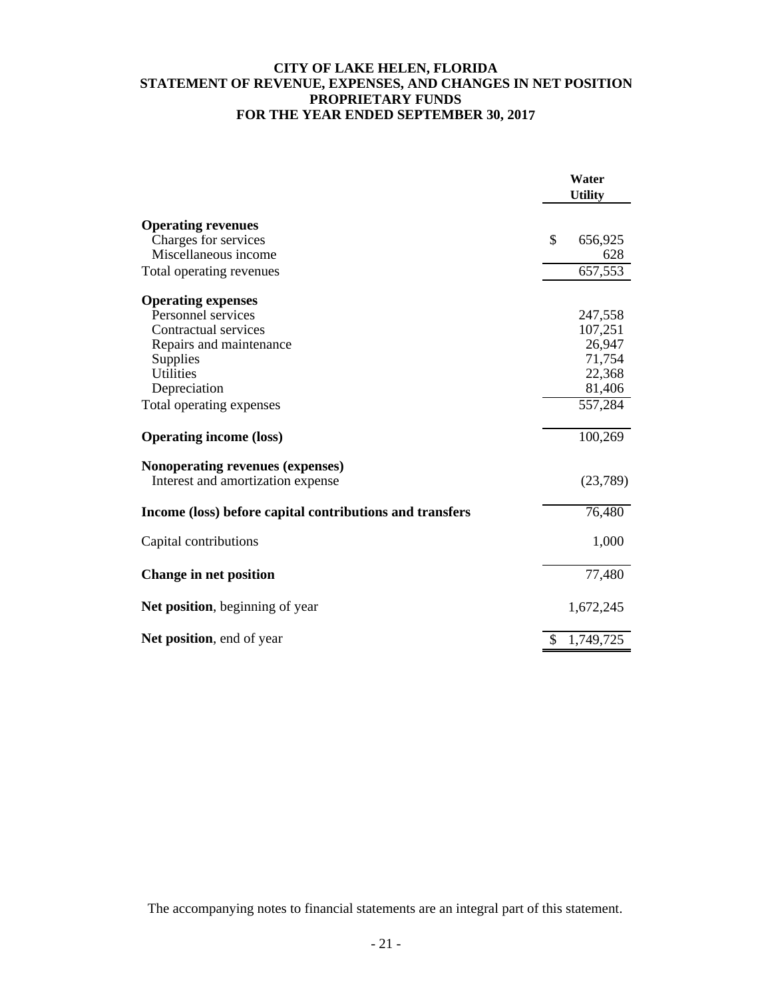# **CITY OF LAKE HELEN, FLORIDA STATEMENT OF REVENUE, EXPENSES, AND CHANGES IN NET POSITION PROPRIETARY FUNDS FOR THE YEAR ENDED SEPTEMBER 30, 2017**

|                                                          |              | Water<br><b>Utility</b> |
|----------------------------------------------------------|--------------|-------------------------|
| <b>Operating revenues</b>                                |              |                         |
| Charges for services                                     | $\mathbb{S}$ | 656,925                 |
| Miscellaneous income                                     |              | 628                     |
| Total operating revenues                                 |              | 657,553                 |
| <b>Operating expenses</b>                                |              |                         |
| Personnel services                                       |              | 247,558                 |
| Contractual services                                     |              | 107,251                 |
| Repairs and maintenance                                  |              | 26,947                  |
| Supplies                                                 |              | 71,754                  |
| <b>Utilities</b>                                         |              | 22,368                  |
| Depreciation                                             |              | 81,406                  |
| Total operating expenses                                 |              | 557,284                 |
| <b>Operating income (loss)</b>                           |              | 100,269                 |
| Nonoperating revenues (expenses)                         |              |                         |
| Interest and amortization expense                        |              | (23,789)                |
| Income (loss) before capital contributions and transfers |              | 76,480                  |
| Capital contributions                                    |              | 1,000                   |
| Change in net position                                   |              | 77,480                  |
| Net position, beginning of year                          |              | 1,672,245               |
| Net position, end of year                                | \$           | 1,749,725               |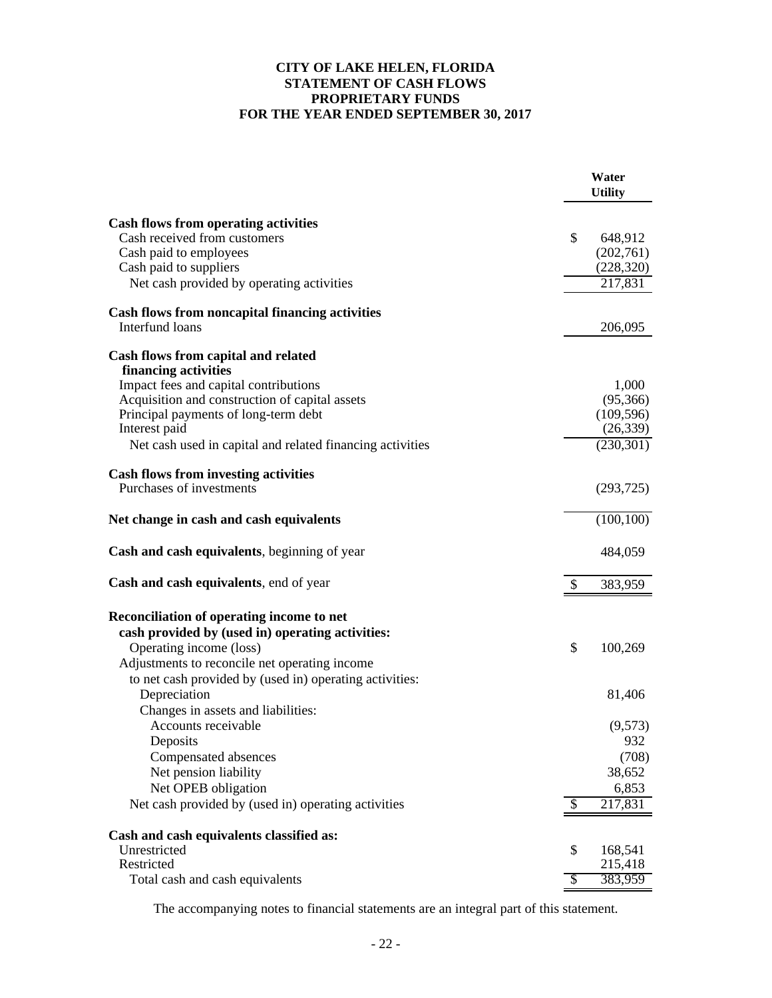# **CITY OF LAKE HELEN, FLORIDA STATEMENT OF CASH FLOWS PROPRIETARY FUNDS FOR THE YEAR ENDED SEPTEMBER 30, 2017**

|                                                             |                          | Water<br><b>Utility</b> |
|-------------------------------------------------------------|--------------------------|-------------------------|
| <b>Cash flows from operating activities</b>                 |                          |                         |
| Cash received from customers                                | \$                       | 648,912                 |
| Cash paid to employees                                      |                          | (202,761)               |
| Cash paid to suppliers                                      |                          | (228, 320)              |
| Net cash provided by operating activities                   |                          | 217,831                 |
| Cash flows from noncapital financing activities             |                          |                         |
| Interfund loans                                             |                          | 206,095                 |
| Cash flows from capital and related<br>financing activities |                          |                         |
| Impact fees and capital contributions                       |                          | 1,000                   |
| Acquisition and construction of capital assets              |                          | (95,366)                |
| Principal payments of long-term debt                        |                          | (109, 596)              |
| Interest paid                                               |                          | (26,339)                |
| Net cash used in capital and related financing activities   |                          | (230, 301)              |
| <b>Cash flows from investing activities</b>                 |                          |                         |
| Purchases of investments                                    |                          | (293, 725)              |
| Net change in cash and cash equivalents                     |                          | (100, 100)              |
| Cash and cash equivalents, beginning of year                |                          | 484,059                 |
| Cash and cash equivalents, end of year                      | \$                       | 383,959                 |
| Reconciliation of operating income to net                   |                          |                         |
| cash provided by (used in) operating activities:            |                          |                         |
| Operating income (loss)                                     | \$                       | 100,269                 |
| Adjustments to reconcile net operating income               |                          |                         |
| to net cash provided by (used in) operating activities:     |                          |                         |
| Depreciation                                                |                          | 81,406                  |
| Changes in assets and liabilities:                          |                          |                         |
| Accounts receivable                                         |                          | (9,573)                 |
| Deposits                                                    |                          | 932                     |
| Compensated absences                                        |                          | (708)                   |
| Net pension liability                                       |                          | 38,652                  |
| Net OPEB obligation                                         |                          | 6,853                   |
| Net cash provided by (used in) operating activities         | \$                       | 217,831                 |
| Cash and cash equivalents classified as:                    |                          |                         |
| Unrestricted                                                | \$                       | 168,541                 |
| Restricted                                                  |                          | 215,418                 |
| Total cash and cash equivalents                             | $\overline{\mathcal{S}}$ | 383,959                 |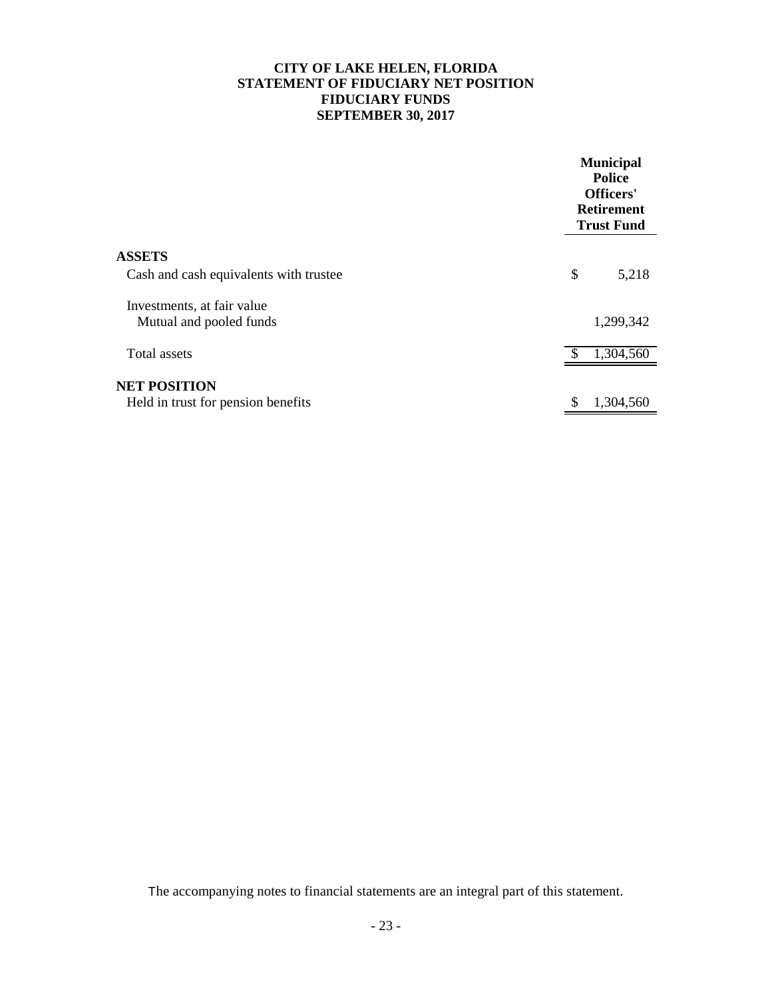# **CITY OF LAKE HELEN, FLORIDA STATEMENT OF FIDUCIARY NET POSITION FIDUCIARY FUNDS SEPTEMBER 30, 2017**

|                                        | <b>Municipal</b><br><b>Police</b><br>Officers'<br><b>Retirement</b><br><b>Trust Fund</b> |
|----------------------------------------|------------------------------------------------------------------------------------------|
| <b>ASSETS</b>                          |                                                                                          |
| Cash and cash equivalents with trustee | \$<br>5,218                                                                              |
| Investments, at fair value             |                                                                                          |
| Mutual and pooled funds                | 1,299,342                                                                                |
| Total assets                           | 1,304,560<br>\$                                                                          |
| <b>NET POSITION</b>                    |                                                                                          |
| Held in trust for pension benefits     | 1,304,560                                                                                |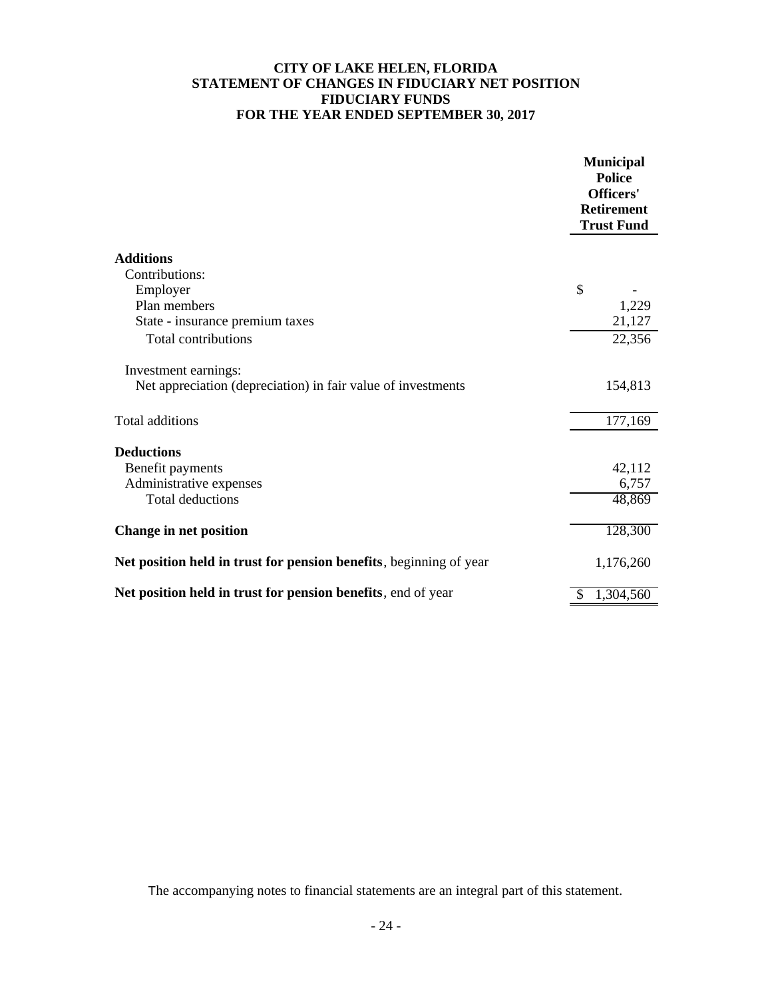## **CITY OF LAKE HELEN, FLORIDA STATEMENT OF CHANGES IN FIDUCIARY NET POSITION FIDUCIARY FUNDS FOR THE YEAR ENDED SEPTEMBER 30, 2017**

|                                                                    |               | <b>Municipal</b><br><b>Police</b><br>Officers'<br><b>Retirement</b><br><b>Trust Fund</b> |
|--------------------------------------------------------------------|---------------|------------------------------------------------------------------------------------------|
| <b>Additions</b>                                                   |               |                                                                                          |
| Contributions:                                                     |               |                                                                                          |
| Employer                                                           | $\mathcal{S}$ |                                                                                          |
| Plan members                                                       |               | 1,229                                                                                    |
| State - insurance premium taxes                                    |               | 21,127                                                                                   |
| <b>Total contributions</b>                                         |               | 22,356                                                                                   |
| Investment earnings:                                               |               |                                                                                          |
| Net appreciation (depreciation) in fair value of investments       |               | 154,813                                                                                  |
| Total additions                                                    |               | 177,169                                                                                  |
|                                                                    |               |                                                                                          |
| <b>Deductions</b>                                                  |               |                                                                                          |
| Benefit payments                                                   |               | 42,112                                                                                   |
| Administrative expenses                                            |               | 6,757                                                                                    |
| <b>Total deductions</b>                                            |               | 48,869                                                                                   |
| <b>Change in net position</b>                                      |               | 128,300                                                                                  |
| Net position held in trust for pension benefits, beginning of year |               | 1,176,260                                                                                |
| Net position held in trust for pension benefits, end of year       | \$            | 1,304,560                                                                                |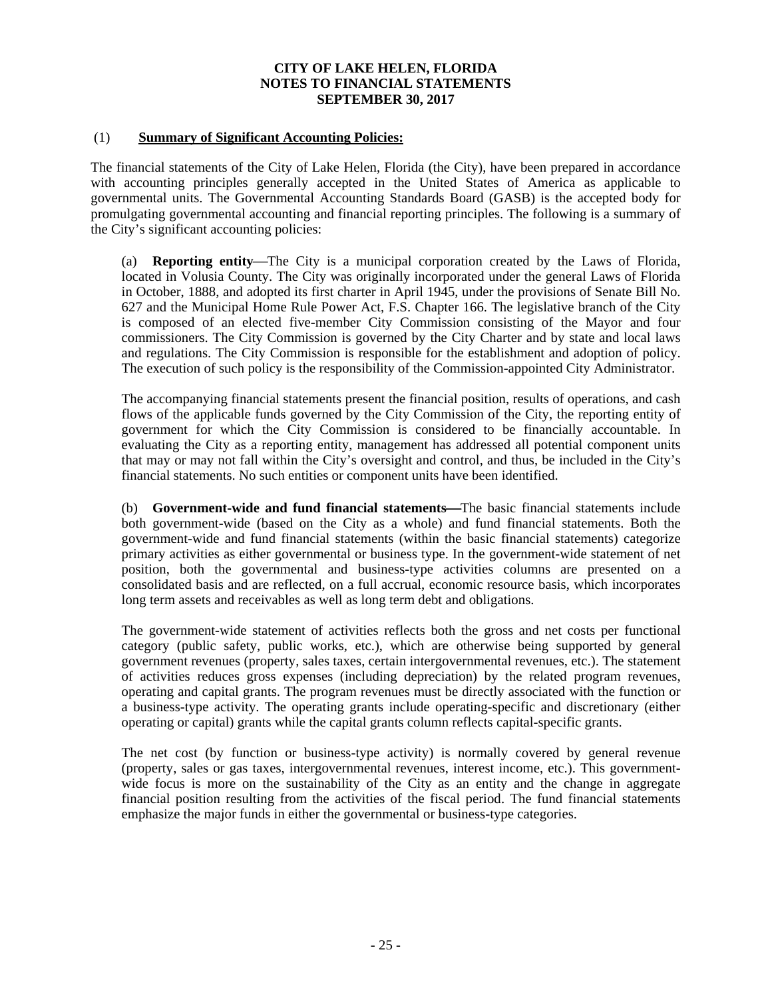### (1) **Summary of Significant Accounting Policies:**

The financial statements of the City of Lake Helen, Florida (the City), have been prepared in accordance with accounting principles generally accepted in the United States of America as applicable to governmental units. The Governmental Accounting Standards Board (GASB) is the accepted body for promulgating governmental accounting and financial reporting principles. The following is a summary of the City's significant accounting policies:

(a) **Reporting entity**—The City is a municipal corporation created by the Laws of Florida, located in Volusia County. The City was originally incorporated under the general Laws of Florida in October, 1888, and adopted its first charter in April 1945, under the provisions of Senate Bill No. 627 and the Municipal Home Rule Power Act, F.S. Chapter 166. The legislative branch of the City is composed of an elected five-member City Commission consisting of the Mayor and four commissioners. The City Commission is governed by the City Charter and by state and local laws and regulations. The City Commission is responsible for the establishment and adoption of policy. The execution of such policy is the responsibility of the Commission-appointed City Administrator.

The accompanying financial statements present the financial position, results of operations, and cash flows of the applicable funds governed by the City Commission of the City, the reporting entity of government for which the City Commission is considered to be financially accountable. In evaluating the City as a reporting entity, management has addressed all potential component units that may or may not fall within the City's oversight and control, and thus, be included in the City's financial statements. No such entities or component units have been identified.

(b) **Government-wide and fund financial statements**—The basic financial statements include both government-wide (based on the City as a whole) and fund financial statements. Both the government-wide and fund financial statements (within the basic financial statements) categorize primary activities as either governmental or business type. In the government-wide statement of net position, both the governmental and business-type activities columns are presented on a consolidated basis and are reflected, on a full accrual, economic resource basis, which incorporates long term assets and receivables as well as long term debt and obligations.

The government-wide statement of activities reflects both the gross and net costs per functional category (public safety, public works, etc.), which are otherwise being supported by general government revenues (property, sales taxes, certain intergovernmental revenues, etc.). The statement of activities reduces gross expenses (including depreciation) by the related program revenues, operating and capital grants. The program revenues must be directly associated with the function or a business-type activity. The operating grants include operating-specific and discretionary (either operating or capital) grants while the capital grants column reflects capital-specific grants.

The net cost (by function or business-type activity) is normally covered by general revenue (property, sales or gas taxes, intergovernmental revenues, interest income, etc.). This governmentwide focus is more on the sustainability of the City as an entity and the change in aggregate financial position resulting from the activities of the fiscal period. The fund financial statements emphasize the major funds in either the governmental or business-type categories.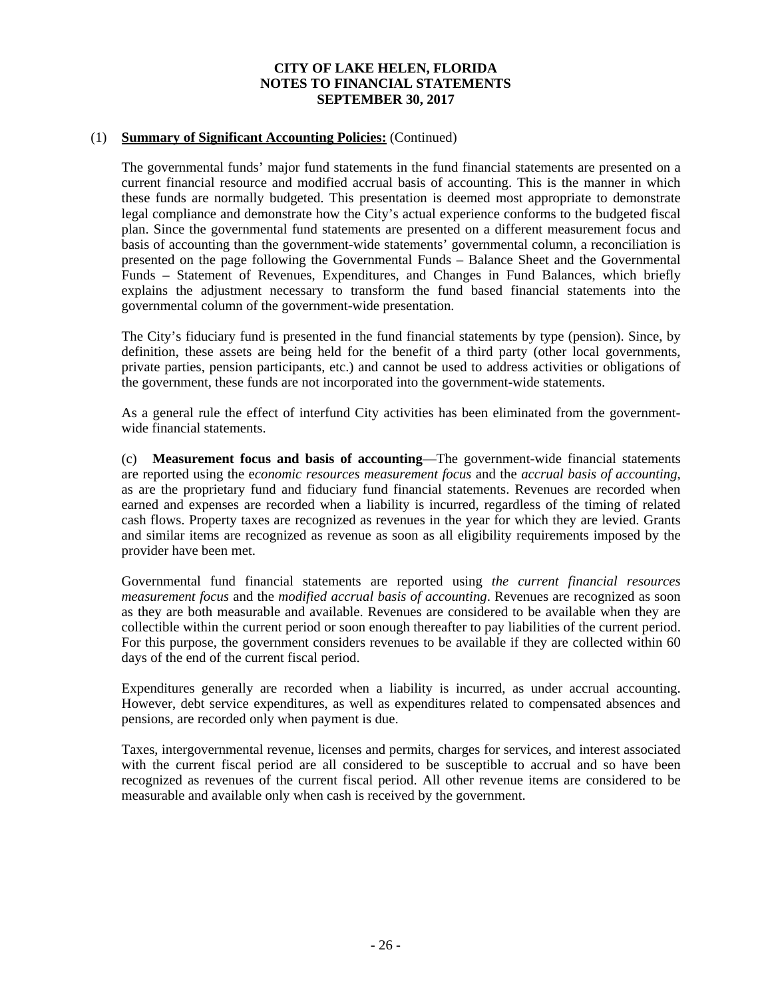### (1) **Summary of Significant Accounting Policies:** (Continued)

The governmental funds' major fund statements in the fund financial statements are presented on a current financial resource and modified accrual basis of accounting. This is the manner in which these funds are normally budgeted. This presentation is deemed most appropriate to demonstrate legal compliance and demonstrate how the City's actual experience conforms to the budgeted fiscal plan. Since the governmental fund statements are presented on a different measurement focus and basis of accounting than the government-wide statements' governmental column, a reconciliation is presented on the page following the Governmental Funds – Balance Sheet and the Governmental Funds – Statement of Revenues, Expenditures, and Changes in Fund Balances, which briefly explains the adjustment necessary to transform the fund based financial statements into the governmental column of the government-wide presentation.

The City's fiduciary fund is presented in the fund financial statements by type (pension). Since, by definition, these assets are being held for the benefit of a third party (other local governments, private parties, pension participants, etc.) and cannot be used to address activities or obligations of the government, these funds are not incorporated into the government-wide statements.

As a general rule the effect of interfund City activities has been eliminated from the governmentwide financial statements.

(c) **Measurement focus and basis of accounting**—The government-wide financial statements are reported using the e*conomic resources measurement focus* and the *accrual basis of accounting*, as are the proprietary fund and fiduciary fund financial statements. Revenues are recorded when earned and expenses are recorded when a liability is incurred, regardless of the timing of related cash flows. Property taxes are recognized as revenues in the year for which they are levied. Grants and similar items are recognized as revenue as soon as all eligibility requirements imposed by the provider have been met.

Governmental fund financial statements are reported using *the current financial resources measurement focus* and the *modified accrual basis of accounting*. Revenues are recognized as soon as they are both measurable and available. Revenues are considered to be available when they are collectible within the current period or soon enough thereafter to pay liabilities of the current period. For this purpose, the government considers revenues to be available if they are collected within 60 days of the end of the current fiscal period.

Expenditures generally are recorded when a liability is incurred, as under accrual accounting. However, debt service expenditures, as well as expenditures related to compensated absences and pensions, are recorded only when payment is due.

Taxes, intergovernmental revenue, licenses and permits, charges for services, and interest associated with the current fiscal period are all considered to be susceptible to accrual and so have been recognized as revenues of the current fiscal period. All other revenue items are considered to be measurable and available only when cash is received by the government.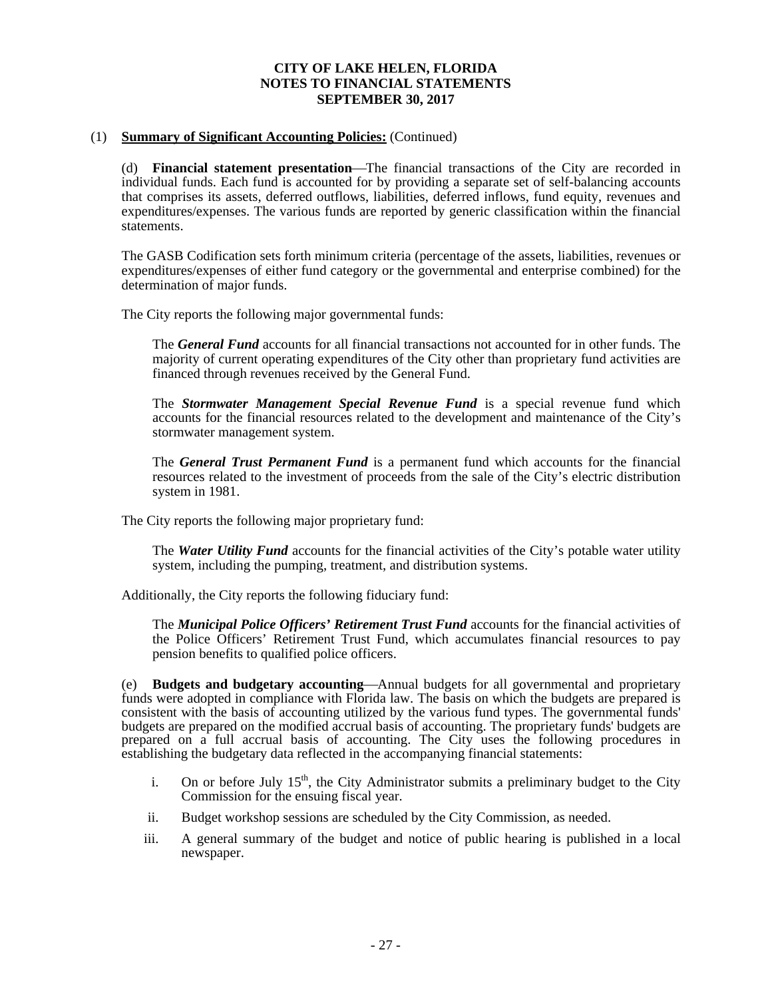### (1) **Summary of Significant Accounting Policies:** (Continued)

(d) **Financial statement presentation**—The financial transactions of the City are recorded in individual funds. Each fund is accounted for by providing a separate set of self-balancing accounts that comprises its assets, deferred outflows, liabilities, deferred inflows, fund equity, revenues and expenditures/expenses. The various funds are reported by generic classification within the financial statements.

The GASB Codification sets forth minimum criteria (percentage of the assets, liabilities, revenues or expenditures/expenses of either fund category or the governmental and enterprise combined) for the determination of major funds.

The City reports the following major governmental funds:

The *General Fund* accounts for all financial transactions not accounted for in other funds. The majority of current operating expenditures of the City other than proprietary fund activities are financed through revenues received by the General Fund.

The *Stormwater Management Special Revenue Fund* is a special revenue fund which accounts for the financial resources related to the development and maintenance of the City's stormwater management system.

The *General Trust Permanent Fund* is a permanent fund which accounts for the financial resources related to the investment of proceeds from the sale of the City's electric distribution system in 1981.

The City reports the following major proprietary fund:

The *Water Utility Fund* accounts for the financial activities of the City's potable water utility system, including the pumping, treatment, and distribution systems.

Additionally, the City reports the following fiduciary fund:

The *Municipal Police Officers' Retirement Trust Fund* accounts for the financial activities of the Police Officers' Retirement Trust Fund, which accumulates financial resources to pay pension benefits to qualified police officers.

(e) **Budgets and budgetary accounting**—Annual budgets for all governmental and proprietary funds were adopted in compliance with Florida law. The basis on which the budgets are prepared is consistent with the basis of accounting utilized by the various fund types. The governmental funds' budgets are prepared on the modified accrual basis of accounting. The proprietary funds' budgets are prepared on a full accrual basis of accounting. The City uses the following procedures in establishing the budgetary data reflected in the accompanying financial statements:

- i. On or before July  $15<sup>th</sup>$ , the City Administrator submits a preliminary budget to the City Commission for the ensuing fiscal year.
- ii. Budget workshop sessions are scheduled by the City Commission, as needed.
- iii. A general summary of the budget and notice of public hearing is published in a local newspaper.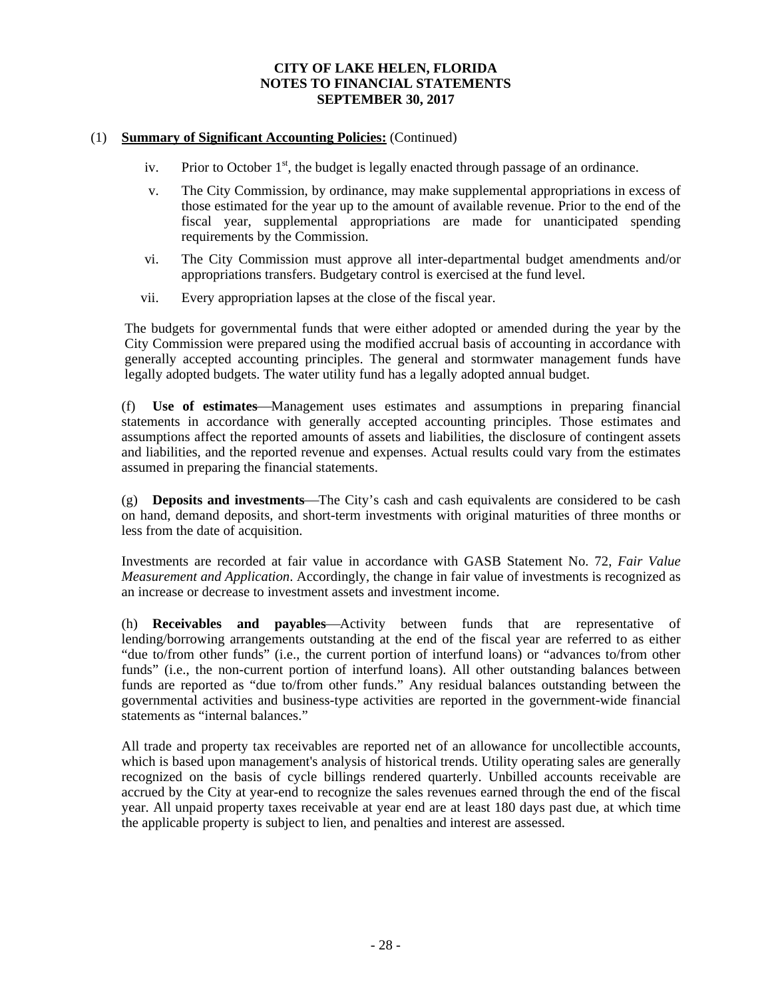### (1) **Summary of Significant Accounting Policies:** (Continued)

- iv. Prior to October  $1<sup>st</sup>$ , the budget is legally enacted through passage of an ordinance.
- v. The City Commission, by ordinance, may make supplemental appropriations in excess of those estimated for the year up to the amount of available revenue. Prior to the end of the fiscal year, supplemental appropriations are made for unanticipated spending requirements by the Commission.
- vi. The City Commission must approve all inter-departmental budget amendments and/or appropriations transfers. Budgetary control is exercised at the fund level.
- vii. Every appropriation lapses at the close of the fiscal year.

The budgets for governmental funds that were either adopted or amended during the year by the City Commission were prepared using the modified accrual basis of accounting in accordance with generally accepted accounting principles. The general and stormwater management funds have legally adopted budgets. The water utility fund has a legally adopted annual budget.

(f) **Use of estimates**Management uses estimates and assumptions in preparing financial statements in accordance with generally accepted accounting principles. Those estimates and assumptions affect the reported amounts of assets and liabilities, the disclosure of contingent assets and liabilities, and the reported revenue and expenses. Actual results could vary from the estimates assumed in preparing the financial statements.

 $(g)$  **Deposits and investments**—The City's cash and cash equivalents are considered to be cash on hand, demand deposits, and short-term investments with original maturities of three months or less from the date of acquisition.

Investments are recorded at fair value in accordance with GASB Statement No. 72, *Fair Value Measurement and Application*. Accordingly, the change in fair value of investments is recognized as an increase or decrease to investment assets and investment income.

(h) **Receivables and payables**—Activity between funds that are representative of lending/borrowing arrangements outstanding at the end of the fiscal year are referred to as either "due to/from other funds" (i.e., the current portion of interfund loans) or "advances to/from other funds" (i.e., the non-current portion of interfund loans). All other outstanding balances between funds are reported as "due to/from other funds." Any residual balances outstanding between the governmental activities and business-type activities are reported in the government-wide financial statements as "internal balances."

All trade and property tax receivables are reported net of an allowance for uncollectible accounts, which is based upon management's analysis of historical trends. Utility operating sales are generally recognized on the basis of cycle billings rendered quarterly. Unbilled accounts receivable are accrued by the City at year-end to recognize the sales revenues earned through the end of the fiscal year. All unpaid property taxes receivable at year end are at least 180 days past due, at which time the applicable property is subject to lien, and penalties and interest are assessed.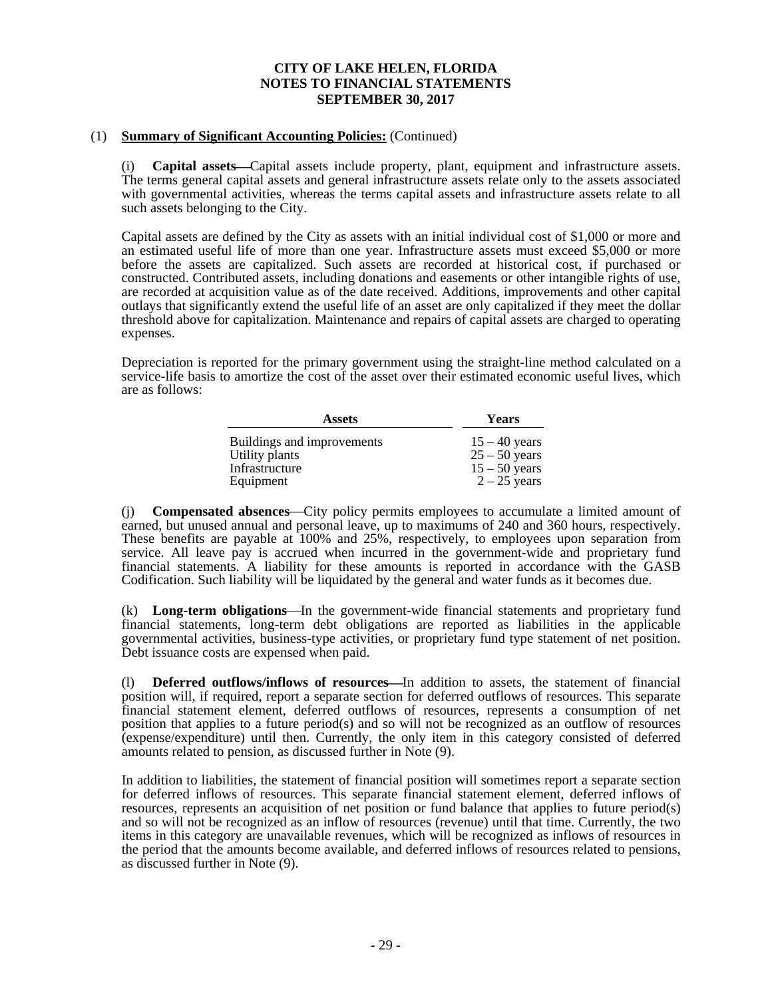#### (1) **Summary of Significant Accounting Policies:** (Continued)

(i) **Capital assets**—Capital assets include property, plant, equipment and infrastructure assets. The terms general capital assets and general infrastructure assets relate only to the assets associated with governmental activities, whereas the terms capital assets and infrastructure assets relate to all such assets belonging to the City.

Capital assets are defined by the City as assets with an initial individual cost of \$1,000 or more and an estimated useful life of more than one year. Infrastructure assets must exceed \$5,000 or more before the assets are capitalized. Such assets are recorded at historical cost, if purchased or constructed. Contributed assets, including donations and easements or other intangible rights of use, are recorded at acquisition value as of the date received. Additions, improvements and other capital outlays that significantly extend the useful life of an asset are only capitalized if they meet the dollar threshold above for capitalization. Maintenance and repairs of capital assets are charged to operating expenses.

Depreciation is reported for the primary government using the straight-line method calculated on a service-life basis to amortize the cost of the asset over their estimated economic useful lives, which are as follows:

| <b>Assets</b>                                | <b>Years</b>                       |
|----------------------------------------------|------------------------------------|
| Buildings and improvements<br>Utility plants | $15 - 40$ years<br>$25 - 50$ years |
| Infrastructure                               | $15 - 50$ years                    |
| Equipment                                    | $2 - 25$ years                     |

(j) **Compensated absences**—City policy permits employees to accumulate a limited amount of earned, but unused annual and personal leave, up to maximums of 240 and 360 hours, respectively. These benefits are payable at 100% and 25%, respectively, to employees upon separation from service. All leave pay is accrued when incurred in the government-wide and proprietary fund financial statements. A liability for these amounts is reported in accordance with the GASB Codification. Such liability will be liquidated by the general and water funds as it becomes due.

(k) **Long-term obligations**—In the government-wide financial statements and proprietary fund financial statements, long-term debt obligations are reported as liabilities in the applicable governmental activities, business-type activities, or proprietary fund type statement of net position. Debt issuance costs are expensed when paid.

(1) **Deferred outflows/inflows of resources**—In addition to assets, the statement of financial position will, if required, report a separate section for deferred outflows of resources. This separate financial statement element, deferred outflows of resources, represents a consumption of net position that applies to a future period(s) and so will not be recognized as an outflow of resources (expense/expenditure) until then. Currently, the only item in this category consisted of deferred amounts related to pension, as discussed further in Note (9).

In addition to liabilities, the statement of financial position will sometimes report a separate section for deferred inflows of resources. This separate financial statement element, deferred inflows of resources, represents an acquisition of net position or fund balance that applies to future period(s) and so will not be recognized as an inflow of resources (revenue) until that time. Currently, the two items in this category are unavailable revenues, which will be recognized as inflows of resources in the period that the amounts become available, and deferred inflows of resources related to pensions, as discussed further in Note (9).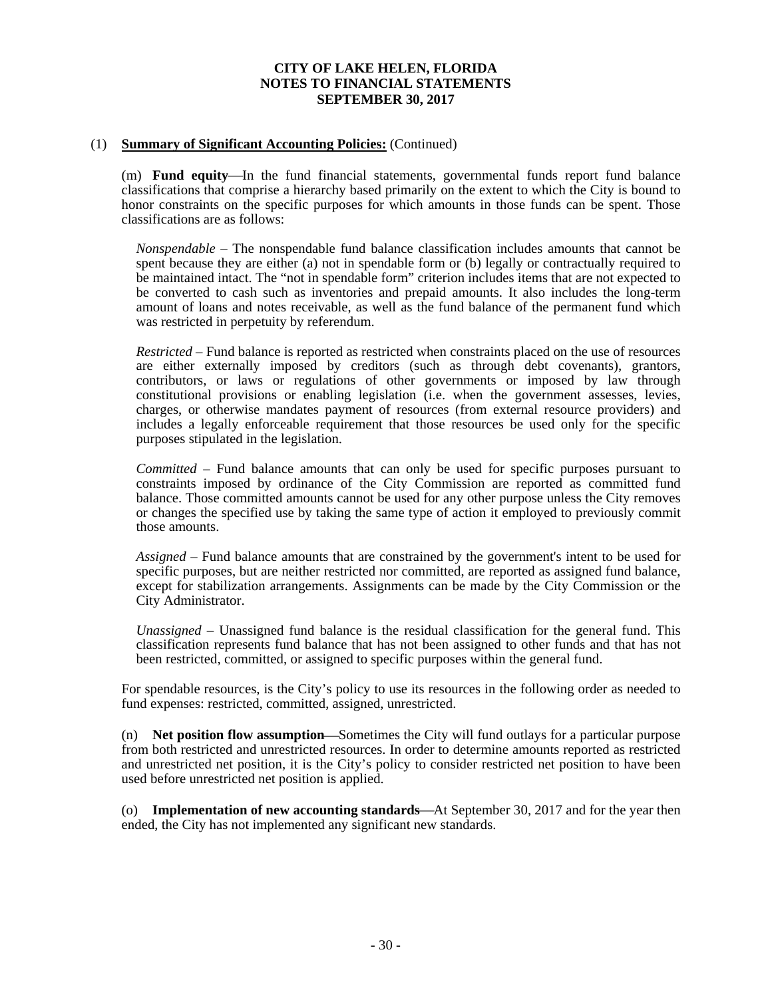#### (1) **Summary of Significant Accounting Policies:** (Continued)

(m) **Fund equity—In** the fund financial statements, governmental funds report fund balance classifications that comprise a hierarchy based primarily on the extent to which the City is bound to honor constraints on the specific purposes for which amounts in those funds can be spent. Those classifications are as follows:

*Nonspendable* – The nonspendable fund balance classification includes amounts that cannot be spent because they are either (a) not in spendable form or (b) legally or contractually required to be maintained intact. The "not in spendable form" criterion includes items that are not expected to be converted to cash such as inventories and prepaid amounts. It also includes the long-term amount of loans and notes receivable, as well as the fund balance of the permanent fund which was restricted in perpetuity by referendum.

*Restricted* – Fund balance is reported as restricted when constraints placed on the use of resources are either externally imposed by creditors (such as through debt covenants), grantors, contributors, or laws or regulations of other governments or imposed by law through constitutional provisions or enabling legislation (i.e. when the government assesses, levies, charges, or otherwise mandates payment of resources (from external resource providers) and includes a legally enforceable requirement that those resources be used only for the specific purposes stipulated in the legislation.

*Committed* – Fund balance amounts that can only be used for specific purposes pursuant to constraints imposed by ordinance of the City Commission are reported as committed fund balance. Those committed amounts cannot be used for any other purpose unless the City removes or changes the specified use by taking the same type of action it employed to previously commit those amounts.

*Assigned* – Fund balance amounts that are constrained by the government's intent to be used for specific purposes, but are neither restricted nor committed, are reported as assigned fund balance, except for stabilization arrangements. Assignments can be made by the City Commission or the City Administrator.

*Unassigned* – Unassigned fund balance is the residual classification for the general fund. This classification represents fund balance that has not been assigned to other funds and that has not been restricted, committed, or assigned to specific purposes within the general fund.

For spendable resources, is the City's policy to use its resources in the following order as needed to fund expenses: restricted, committed, assigned, unrestricted.

(n) **Net position flow assumption—Sometimes the City will fund outlays for a particular purpose** from both restricted and unrestricted resources. In order to determine amounts reported as restricted and unrestricted net position, it is the City's policy to consider restricted net position to have been used before unrestricted net position is applied.

(o) **Implementation of new accounting standards**—At September 30, 2017 and for the year then ended, the City has not implemented any significant new standards.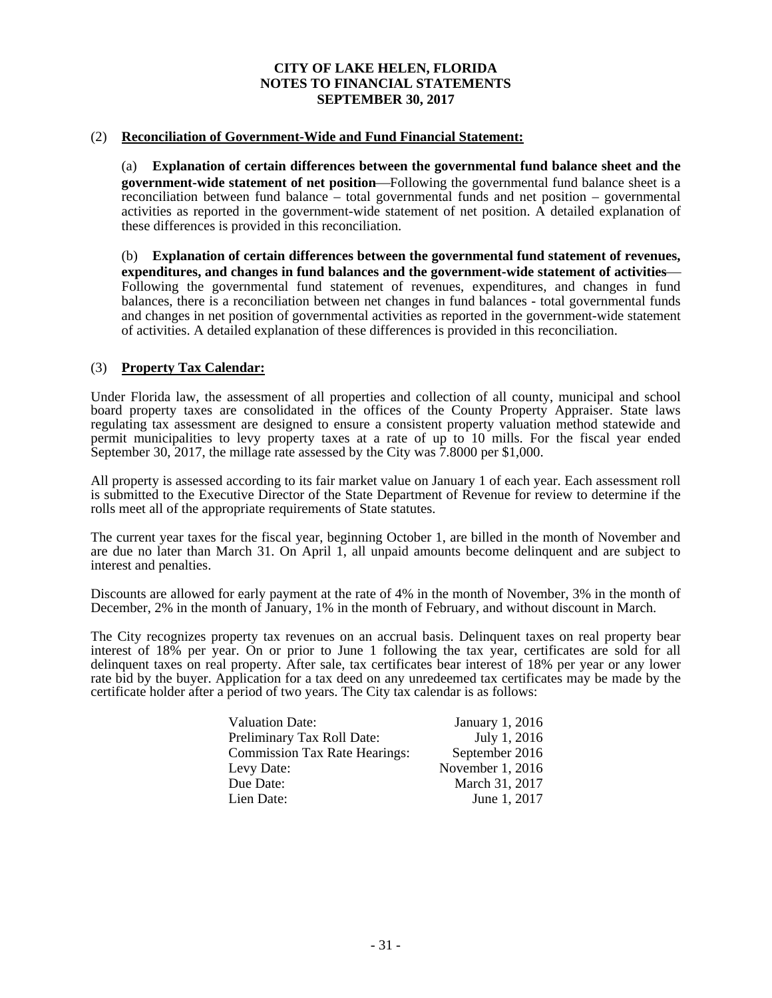### (2) **Reconciliation of Government-Wide and Fund Financial Statement:**

(a) **Explanation of certain differences between the governmental fund balance sheet and the government-wide statement of net position—Following the governmental fund balance sheet is a** reconciliation between fund balance – total governmental funds and net position – governmental activities as reported in the government-wide statement of net position. A detailed explanation of these differences is provided in this reconciliation.

(b) **Explanation of certain differences between the governmental fund statement of revenues, expenditures, and changes in fund balances and the government-wide statement of activities** Following the governmental fund statement of revenues, expenditures, and changes in fund balances, there is a reconciliation between net changes in fund balances - total governmental funds and changes in net position of governmental activities as reported in the government-wide statement of activities. A detailed explanation of these differences is provided in this reconciliation.

### (3) **Property Tax Calendar:**

Under Florida law, the assessment of all properties and collection of all county, municipal and school board property taxes are consolidated in the offices of the County Property Appraiser. State laws regulating tax assessment are designed to ensure a consistent property valuation method statewide and permit municipalities to levy property taxes at a rate of up to 10 mills. For the fiscal year ended September 30, 2017, the millage rate assessed by the City was 7.8000 per \$1,000.

All property is assessed according to its fair market value on January 1 of each year. Each assessment roll is submitted to the Executive Director of the State Department of Revenue for review to determine if the rolls meet all of the appropriate requirements of State statutes.

The current year taxes for the fiscal year, beginning October 1, are billed in the month of November and are due no later than March 31. On April 1, all unpaid amounts become delinquent and are subject to interest and penalties.

Discounts are allowed for early payment at the rate of 4% in the month of November, 3% in the month of December, 2% in the month of January, 1% in the month of February, and without discount in March.

The City recognizes property tax revenues on an accrual basis. Delinquent taxes on real property bear interest of 18% per year. On or prior to June 1 following the tax year, certificates are sold for all delinquent taxes on real property. After sale, tax certificates bear interest of 18% per year or any lower rate bid by the buyer. Application for a tax deed on any unredeemed tax certificates may be made by the certificate holder after a period of two years. The City tax calendar is as follows:

| <b>Valuation Date:</b>               | January 1, 2016  |
|--------------------------------------|------------------|
| Preliminary Tax Roll Date:           | July 1, 2016     |
| <b>Commission Tax Rate Hearings:</b> | September 2016   |
| Levy Date:                           | November 1, 2016 |
| Due Date:                            | March 31, 2017   |
| Lien Date:                           | June 1, 2017     |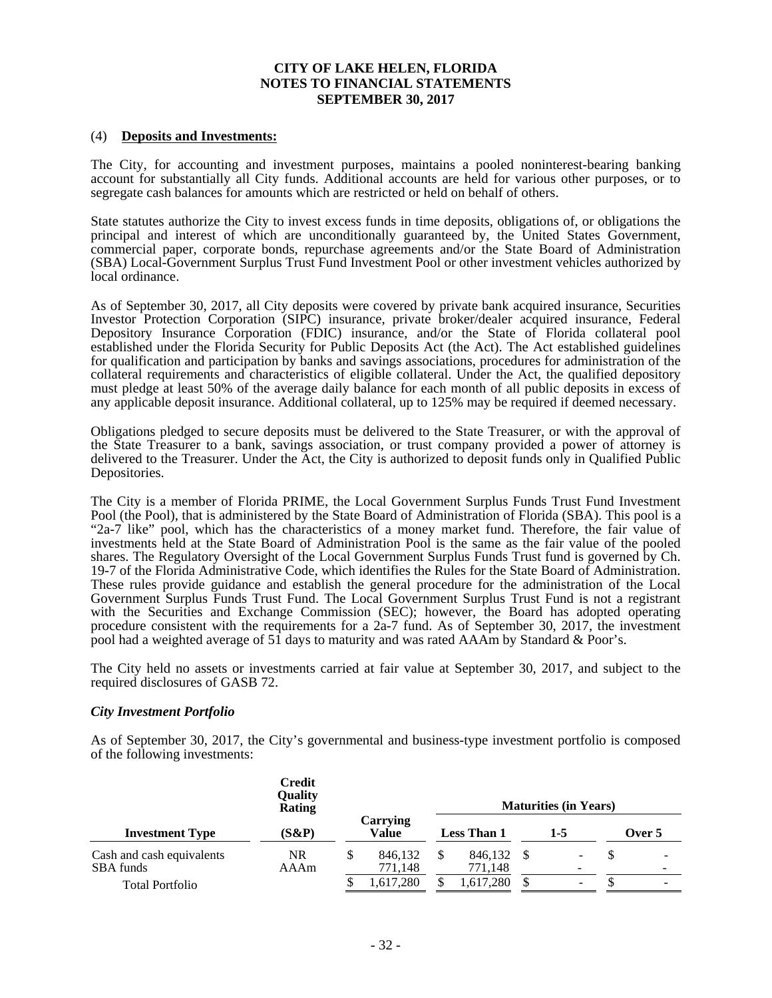#### (4) **Deposits and Investments:**

The City, for accounting and investment purposes, maintains a pooled noninterest-bearing banking account for substantially all City funds. Additional accounts are held for various other purposes, or to segregate cash balances for amounts which are restricted or held on behalf of others.

State statutes authorize the City to invest excess funds in time deposits, obligations of, or obligations the principal and interest of which are unconditionally guaranteed by, the United States Government, commercial paper, corporate bonds, repurchase agreements and/or the State Board of Administration (SBA) Local-Government Surplus Trust Fund Investment Pool or other investment vehicles authorized by local ordinance.

As of September 30, 2017, all City deposits were covered by private bank acquired insurance, Securities Investor Protection Corporation (SIPC) insurance, private broker/dealer acquired insurance, Federal Depository Insurance Corporation (FDIC) insurance, and/or the State of Florida collateral pool established under the Florida Security for Public Deposits Act (the Act). The Act established guidelines for qualification and participation by banks and savings associations, procedures for administration of the collateral requirements and characteristics of eligible collateral. Under the Act, the qualified depository must pledge at least 50% of the average daily balance for each month of all public deposits in excess of any applicable deposit insurance. Additional collateral, up to 125% may be required if deemed necessary.

Obligations pledged to secure deposits must be delivered to the State Treasurer, or with the approval of the State Treasurer to a bank, savings association, or trust company provided a power of attorney is delivered to the Treasurer. Under the Act, the City is authorized to deposit funds only in Qualified Public Depositories.

The City is a member of Florida PRIME, the Local Government Surplus Funds Trust Fund Investment Pool (the Pool), that is administered by the State Board of Administration of Florida (SBA). This pool is a "2a-7 like" pool, which has the characteristics of a money market fund. Therefore, the fair value of investments held at the State Board of Administration Pool is the same as the fair value of the pooled shares. The Regulatory Oversight of the Local Government Surplus Funds Trust fund is governed by Ch. 19-7 of the Florida Administrative Code, which identifies the Rules for the State Board of Administration. These rules provide guidance and establish the general procedure for the administration of the Local Government Surplus Funds Trust Fund. The Local Government Surplus Trust Fund is not a registrant with the Securities and Exchange Commission (SEC); however, the Board has adopted operating procedure consistent with the requirements for a 2a-7 fund. As of September 30, 2017, the investment pool had a weighted average of 51 days to maturity and was rated AAAm by Standard & Poor's.

The City held no assets or investments carried at fair value at September 30, 2017, and subject to the required disclosures of GASB 72.

#### *City Investment Portfolio*

As of September 30, 2017, the City's governmental and business-type investment portfolio is composed of the following investments:

|                                        |            | <b>Maturities (in Years)</b> |    |                       |  |                               |                               |  |
|----------------------------------------|------------|------------------------------|----|-----------------------|--|-------------------------------|-------------------------------|--|
| <b>Investment Type</b>                 | (S&P)      | Carrying<br><b>Value</b>     |    | <b>Less Than 1</b>    |  | $1-5$                         | Over 5                        |  |
| Cash and cash equivalents<br>SBA funds | NR<br>AAAm | 846.132<br>771,148           | \$ | 846,132 \$<br>771.148 |  | -<br>$\overline{\phantom{0}}$ | ٠<br>$\overline{\phantom{a}}$ |  |
| <b>Total Portfolio</b>                 |            | 1,617,280                    | \$ | 1,617,280             |  | -                             | $\overline{\phantom{a}}$      |  |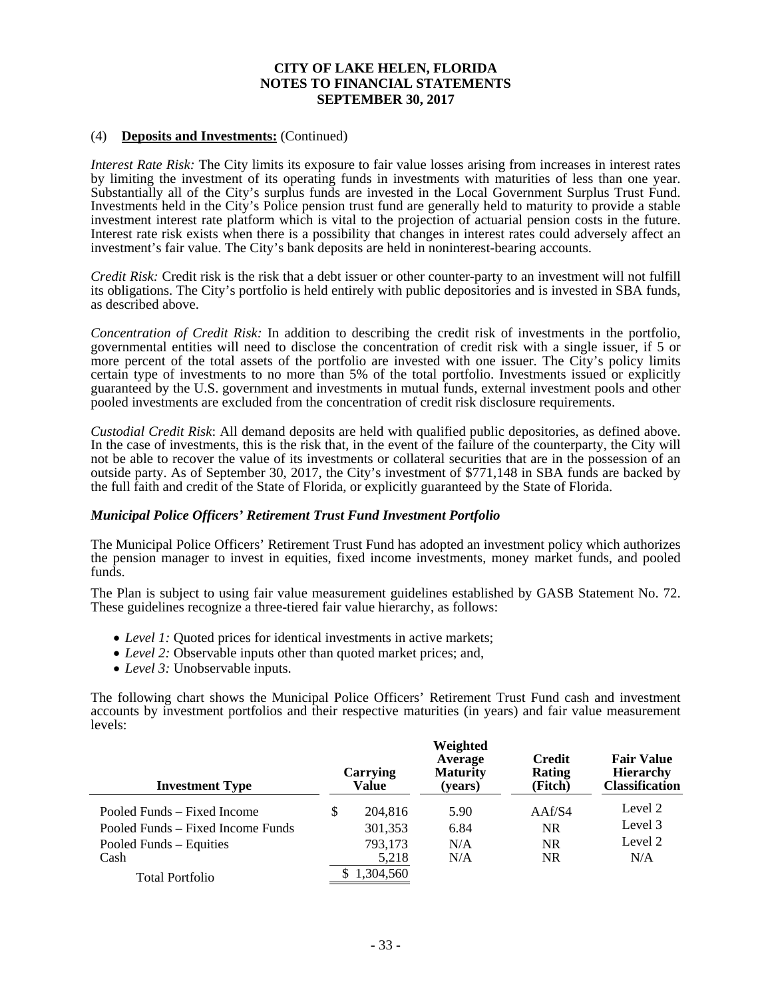#### (4) **Deposits and Investments:** (Continued)

*Interest Rate Risk:* The City limits its exposure to fair value losses arising from increases in interest rates by limiting the investment of its operating funds in investments with maturities of less than one year. Substantially all of the City's surplus funds are invested in the Local Government Surplus Trust Fund. Investments held in the City's Police pension trust fund are generally held to maturity to provide a stable investment interest rate platform which is vital to the projection of actuarial pension costs in the future. Interest rate risk exists when there is a possibility that changes in interest rates could adversely affect an investment's fair value. The City's bank deposits are held in noninterest-bearing accounts.

*Credit Risk:* Credit risk is the risk that a debt issuer or other counter-party to an investment will not fulfill its obligations. The City's portfolio is held entirely with public depositories and is invested in SBA funds, as described above.

*Concentration of Credit Risk:* In addition to describing the credit risk of investments in the portfolio, governmental entities will need to disclose the concentration of credit risk with a single issuer, if 5 or more percent of the total assets of the portfolio are invested with one issuer. The City's policy limits certain type of investments to no more than 5% of the total portfolio. Investments issued or explicitly guaranteed by the U.S. government and investments in mutual funds, external investment pools and other pooled investments are excluded from the concentration of credit risk disclosure requirements.

*Custodial Credit Risk*: All demand deposits are held with qualified public depositories, as defined above. In the case of investments, this is the risk that, in the event of the failure of the counterparty, the City will not be able to recover the value of its investments or collateral securities that are in the possession of an outside party. As of September 30, 2017, the City's investment of \$771,148 in SBA funds are backed by the full faith and credit of the State of Florida, or explicitly guaranteed by the State of Florida.

#### *Municipal Police Officers' Retirement Trust Fund Investment Portfolio*

The Municipal Police Officers' Retirement Trust Fund has adopted an investment policy which authorizes the pension manager to invest in equities, fixed income investments, money market funds, and pooled funds.

The Plan is subject to using fair value measurement guidelines established by GASB Statement No. 72. These guidelines recognize a three-tiered fair value hierarchy, as follows:

- Level 1: Quoted prices for identical investments in active markets;
- *Level 2:* Observable inputs other than quoted market prices; and,
- *Level 3:* Unobservable inputs.

The following chart shows the Municipal Police Officers' Retirement Trust Fund cash and investment accounts by investment portfolios and their respective maturities (in years) and fair value measurement levels:

| <b>Investment Type</b>            |   | Carrying<br>Value | Weighted<br>Average<br><b>Maturity</b><br>(years) | <b>Credit</b><br>Rating<br>(Fitch) | <b>Fair Value</b><br><b>Hierarchy</b><br><b>Classification</b> |
|-----------------------------------|---|-------------------|---------------------------------------------------|------------------------------------|----------------------------------------------------------------|
| Pooled Funds – Fixed Income       | S | 204.816           | 5.90                                              | AAf/S4                             | Level 2                                                        |
| Pooled Funds – Fixed Income Funds |   | 301,353           | 6.84                                              | <b>NR</b>                          | Level 3                                                        |
| Pooled Funds – Equities           |   | 793,173           | N/A                                               | <b>NR</b>                          | Level 2                                                        |
| Cash                              |   | 5,218             | N/A                                               | <b>NR</b>                          | N/A                                                            |
| <b>Total Portfolio</b>            |   | \$1,304,560       |                                                   |                                    |                                                                |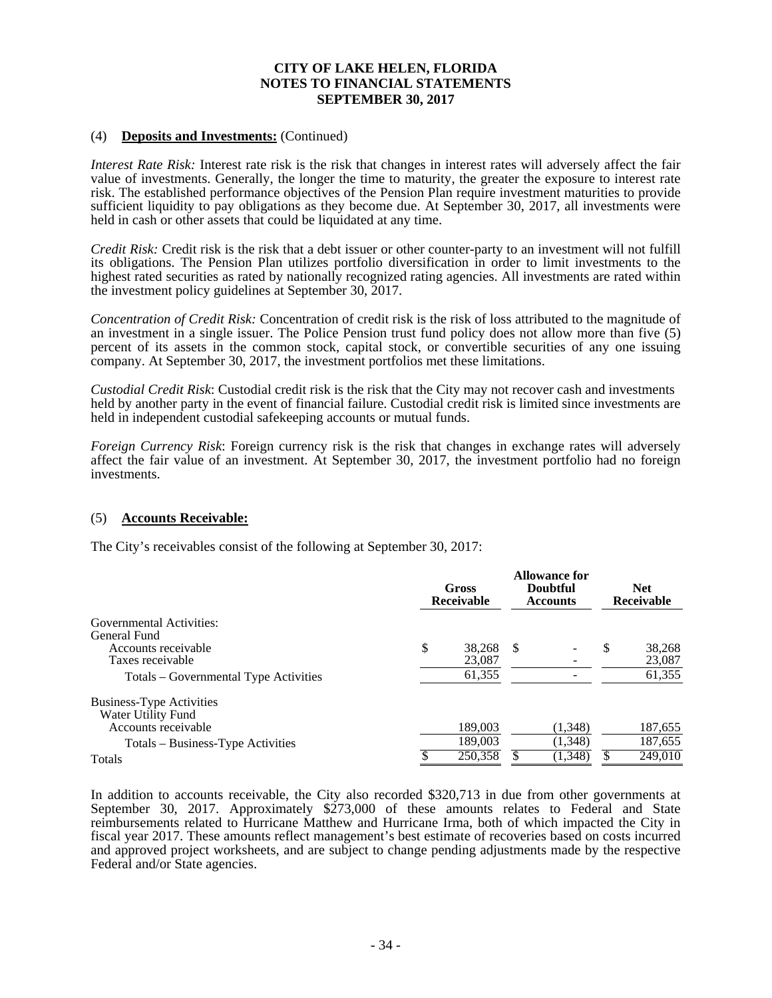#### (4) **Deposits and Investments:** (Continued)

*Interest Rate Risk:* Interest rate risk is the risk that changes in interest rates will adversely affect the fair value of investments. Generally, the longer the time to maturity, the greater the exposure to interest rate risk. The established performance objectives of the Pension Plan require investment maturities to provide sufficient liquidity to pay obligations as they become due. At September 30, 2017, all investments were held in cash or other assets that could be liquidated at any time.

*Credit Risk:* Credit risk is the risk that a debt issuer or other counter-party to an investment will not fulfill its obligations. The Pension Plan utilizes portfolio diversification in order to limit investments to the highest rated securities as rated by nationally recognized rating agencies. All investments are rated within the investment policy guidelines at September 30, 2017.

*Concentration of Credit Risk:* Concentration of credit risk is the risk of loss attributed to the magnitude of an investment in a single issuer. The Police Pension trust fund policy does not allow more than five (5) percent of its assets in the common stock, capital stock, or convertible securities of any one issuing company. At September 30, 2017, the investment portfolios met these limitations.

*Custodial Credit Risk*: Custodial credit risk is the risk that the City may not recover cash and investments held by another party in the event of financial failure. Custodial credit risk is limited since investments are held in independent custodial safekeeping accounts or mutual funds.

*Foreign Currency Risk*: Foreign currency risk is the risk that changes in exchange rates will adversely affect the fair value of an investment. At September 30, 2017, the investment portfolio had no foreign investments.

#### (5) **Accounts Receivable:**

The City's receivables consist of the following at September 30, 2017:

|                                                       | <b>Receivable</b> |         | <b>Allowance for</b><br><b>Doubtful</b><br><b>Accounts</b> | <b>Net</b><br>Receivable |   |         |
|-------------------------------------------------------|-------------------|---------|------------------------------------------------------------|--------------------------|---|---------|
| Governmental Activities:<br>General Fund              |                   |         |                                                            |                          |   |         |
| Accounts receivable                                   | \$                | 38,268  | -S                                                         |                          | S | 38,268  |
| Taxes receivable                                      |                   | 23,087  |                                                            |                          |   | 23,087  |
| Totals – Governmental Type Activities                 |                   | 61,355  |                                                            |                          |   | 61,355  |
| <b>Business-Type Activities</b><br>Water Utility Fund |                   |         |                                                            |                          |   |         |
| Accounts receivable                                   |                   | 189,003 |                                                            | (1,348)                  |   | 187,655 |
| Totals – Business-Type Activities                     |                   | 189,003 |                                                            | (1,348)                  |   | 187,655 |
| Totals                                                |                   | 250,358 | \$.                                                        | (1, 348)                 |   | 249,010 |

In addition to accounts receivable, the City also recorded \$320,713 in due from other governments at September 30, 2017. Approximately \$273,000 of these amounts relates to Federal and State reimbursements related to Hurricane Matthew and Hurricane Irma, both of which impacted the City in fiscal year 2017. These amounts reflect management's best estimate of recoveries based on costs incurred and approved project worksheets, and are subject to change pending adjustments made by the respective Federal and/or State agencies.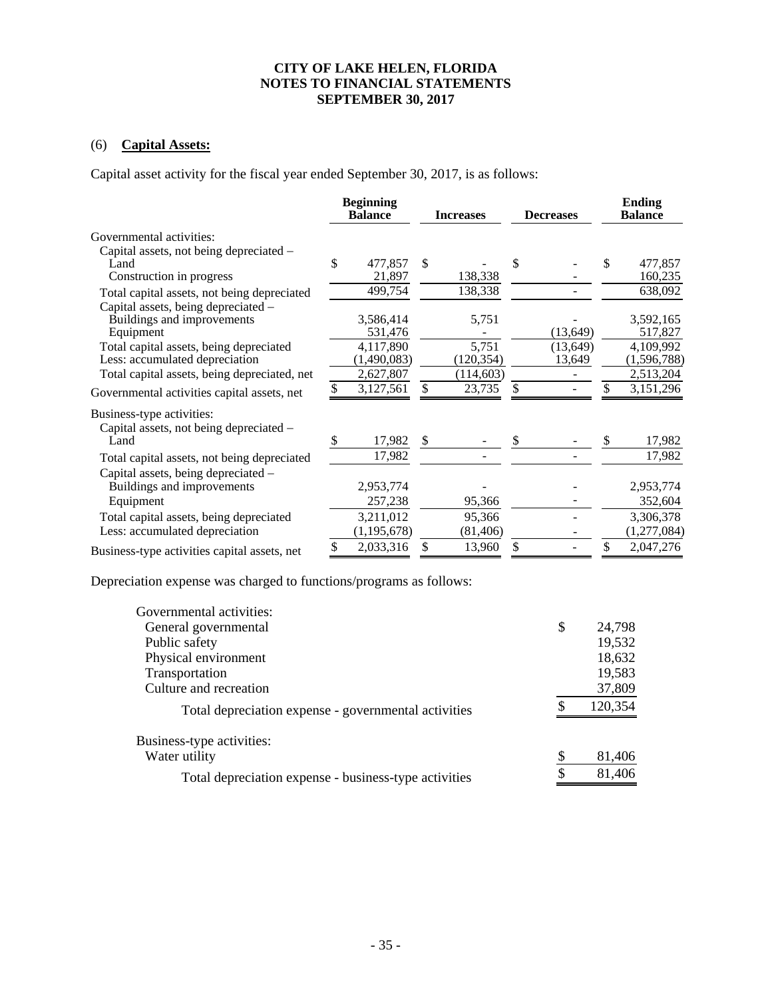# (6) **Capital Assets:**

Capital asset activity for the fiscal year ended September 30, 2017, is as follows:

|                                              | <b>Beginning</b><br><b>Balance</b> |               | <b>Increases</b> | <b>Decreases</b> |           |    | <b>Ending</b><br><b>Balance</b> |  |
|----------------------------------------------|------------------------------------|---------------|------------------|------------------|-----------|----|---------------------------------|--|
| Governmental activities:                     |                                    |               |                  |                  |           |    |                                 |  |
| Capital assets, not being depreciated –      |                                    |               |                  |                  |           |    |                                 |  |
| Land                                         | \$                                 | 477,857       | \$               | \$               |           |    | 477,857                         |  |
| Construction in progress                     |                                    | 21,897        | 138,338          |                  |           |    | 160,235                         |  |
| Total capital assets, not being depreciated  |                                    | 499,754       | 138,338          |                  |           |    | 638,092                         |  |
| Capital assets, being depreciated -          |                                    |               |                  |                  |           |    |                                 |  |
| Buildings and improvements                   |                                    | 3,586,414     | 5,751            |                  |           |    | 3,592,165                       |  |
| Equipment                                    |                                    | 531,476       |                  |                  | (13, 649) |    | 517,827                         |  |
| Total capital assets, being depreciated      |                                    | 4,117,890     | 5,751            |                  | (13, 649) |    | 4,109,992                       |  |
| Less: accumulated depreciation               |                                    | (1,490,083)   | (120, 354)       |                  | 13,649    |    | (1, 596, 788)                   |  |
| Total capital assets, being depreciated, net |                                    | 2,627,807     | (114, 603)       |                  |           |    | 2,513,204                       |  |
| Governmental activities capital assets, net  | \$                                 | 3,127,561     | \$<br>23,735     | <sup>\$</sup>    |           |    | 3,151,296                       |  |
| Business-type activities:                    |                                    |               |                  |                  |           |    |                                 |  |
| Capital assets, not being depreciated $-$    |                                    |               |                  |                  |           |    |                                 |  |
| Land                                         | S.                                 | 17,982        | \$               |                  |           |    | 17,982                          |  |
| Total capital assets, not being depreciated  |                                    | 17,982        |                  |                  |           |    | 17,982                          |  |
| Capital assets, being depreciated -          |                                    |               |                  |                  |           |    |                                 |  |
| Buildings and improvements                   |                                    | 2,953,774     |                  |                  |           |    | 2,953,774                       |  |
| Equipment                                    |                                    | 257,238       | 95,366           |                  |           |    | 352,604                         |  |
| Total capital assets, being depreciated      |                                    | 3,211,012     | 95,366           |                  |           |    | 3,306,378                       |  |
| Less: accumulated depreciation               |                                    | (1, 195, 678) | (81, 406)        |                  |           |    | (1,277,084)                     |  |
| Business-type activities capital assets, net | \$                                 | 2,033,316     | \$<br>13,960     | \$               |           | \$ | 2,047,276                       |  |

Depreciation expense was charged to functions/programs as follows:

| \$  | 24,798  |
|-----|---------|
|     | 19,532  |
|     | 18,632  |
|     | 19,583  |
|     | 37,809  |
|     | 120,354 |
|     |         |
| S   | 81,406  |
| \$. | 81,406  |
|     |         |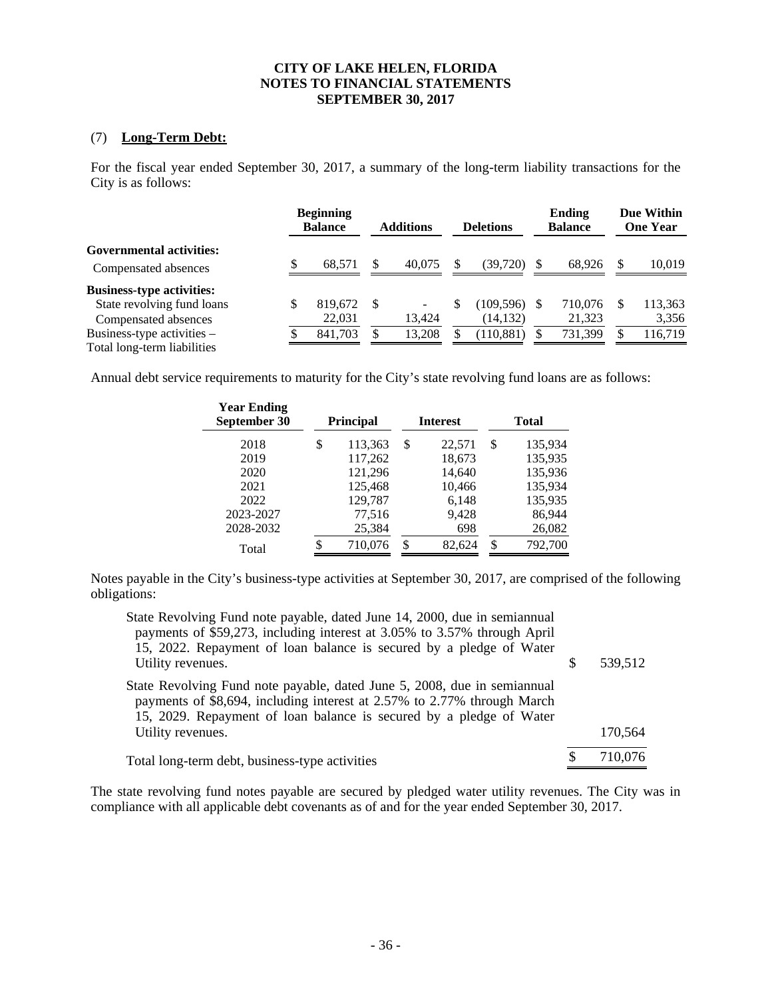# (7) **Long-Term Debt:**

For the fiscal year ended September 30, 2017, a summary of the long-term liability transactions for the City is as follows:

|                                  | <b>Beginning</b><br><b>Balance</b> |      | <b>Additions</b> |    | <b>Deletions</b> |     | Ending<br><b>Balance</b> |    | Due Within<br><b>One Year</b> |
|----------------------------------|------------------------------------|------|------------------|----|------------------|-----|--------------------------|----|-------------------------------|
| <b>Governmental activities:</b>  | 68.571                             | \$   | 40,075           | S  | (39.720)         | S   | 68.926                   | \$ | 10,019                        |
| Compensated absences             |                                    |      |                  |    |                  |     |                          |    |                               |
| <b>Business-type activities:</b> |                                    |      |                  |    |                  |     |                          |    |                               |
| State revolving fund loans       | \$<br>819.672                      | - \$ |                  | \$ | (109, 596)       | \$. | 710,076                  | S  | 113,363                       |
| Compensated absences             | 22,031                             |      | 13.424           |    | (14, 132)        |     | 21,323                   |    | 3,356                         |
| Business-type activities -       | 841,703                            | \$   | 13,208           |    | (110, 881)       | S   | 731,399                  | S  | 116,719                       |
| Total long-term liabilities      |                                    |      |                  |    |                  |     |                          |    |                               |

Annual debt service requirements to maturity for the City's state revolving fund loans are as follows:

| <b>Year Ending</b><br>September 30 | Principal |         |    |        | <b>Interest</b> |         |  | Total |  |
|------------------------------------|-----------|---------|----|--------|-----------------|---------|--|-------|--|
| 2018                               | \$        | 113,363 | \$ | 22,571 | S               | 135,934 |  |       |  |
| 2019                               |           | 117,262 |    | 18,673 |                 | 135,935 |  |       |  |
| 2020                               |           | 121,296 |    | 14,640 |                 | 135,936 |  |       |  |
| 2021                               |           | 125,468 |    | 10,466 |                 | 135,934 |  |       |  |
| 2022                               |           | 129,787 |    | 6,148  |                 | 135,935 |  |       |  |
| 2023-2027                          |           | 77,516  |    | 9,428  |                 | 86,944  |  |       |  |
| 2028-2032                          |           | 25,384  |    | 698    |                 | 26,082  |  |       |  |
| Total                              | ¢         | 710,076 | \$ | 82.624 | S               | 792,700 |  |       |  |

Notes payable in the City's business-type activities at September 30, 2017, are comprised of the following obligations:

| State Revolving Fund note payable, dated June 14, 2000, due in semiannual<br>payments of \$59,273, including interest at 3.05% to 3.57% through April<br>15, 2022. Repayment of loan balance is secured by a pledge of Water<br>Utility revenues. | S | 539,512 |
|---------------------------------------------------------------------------------------------------------------------------------------------------------------------------------------------------------------------------------------------------|---|---------|
| State Revolving Fund note payable, dated June 5, 2008, due in semiannual<br>payments of \$8,694, including interest at 2.57% to 2.77% through March<br>15, 2029. Repayment of loan balance is secured by a pledge of Water                        |   |         |
| Utility revenues.                                                                                                                                                                                                                                 |   | 170,564 |
| Total long-term debt, business-type activities                                                                                                                                                                                                    |   | 710,076 |

The state revolving fund notes payable are secured by pledged water utility revenues. The City was in compliance with all applicable debt covenants as of and for the year ended September 30, 2017.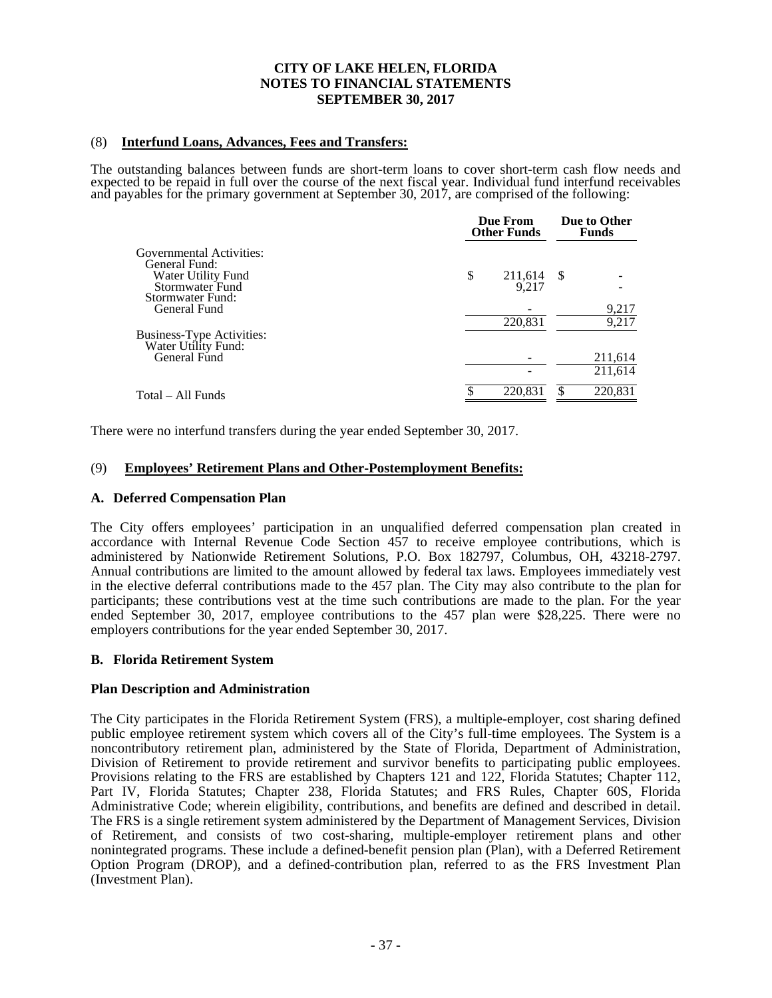### (8) **Interfund Loans, Advances, Fees and Transfers:**

The outstanding balances between funds are short-term loans to cover short-term cash flow needs and expected to be repaid in full over the course of the next fiscal year. Individual fund interfund receivables and payables for the primary government at September 30, 2017, are comprised of the following:

|                                           | Due From<br><b>Other Funds</b> |     | Due to Other<br><b>Funds</b> |  |  |
|-------------------------------------------|--------------------------------|-----|------------------------------|--|--|
| Governmental Activities:<br>General Fund: |                                |     |                              |  |  |
| Water Utility Fund<br>Stormwater Fund     | \$<br>211,614<br>9,217         | - S |                              |  |  |
| Stormwater Fund:<br>General Fund          |                                |     | 9,217                        |  |  |
| Business-Type Activities:                 | 220,831                        |     | 9,217                        |  |  |
| Water Utility Fund:<br>General Fund       |                                |     | 211,614                      |  |  |
|                                           |                                |     | 211,614                      |  |  |
| Total – All Funds                         | 220,831                        |     | 220,831                      |  |  |

There were no interfund transfers during the year ended September 30, 2017.

## (9) **Employees' Retirement Plans and Other-Postemployment Benefits:**

### **A. Deferred Compensation Plan**

The City offers employees' participation in an unqualified deferred compensation plan created in accordance with Internal Revenue Code Section 457 to receive employee contributions, which is administered by Nationwide Retirement Solutions, P.O. Box 182797, Columbus, OH, 43218-2797. Annual contributions are limited to the amount allowed by federal tax laws. Employees immediately vest in the elective deferral contributions made to the 457 plan. The City may also contribute to the plan for participants; these contributions vest at the time such contributions are made to the plan. For the year ended September 30, 2017, employee contributions to the 457 plan were \$28,225. There were no employers contributions for the year ended September 30, 2017.

#### **B. Florida Retirement System**

## **Plan Description and Administration**

The City participates in the Florida Retirement System (FRS), a multiple-employer, cost sharing defined public employee retirement system which covers all of the City's full-time employees. The System is a noncontributory retirement plan, administered by the State of Florida, Department of Administration, Division of Retirement to provide retirement and survivor benefits to participating public employees. Provisions relating to the FRS are established by Chapters 121 and 122, Florida Statutes; Chapter 112, Part IV, Florida Statutes; Chapter 238, Florida Statutes; and FRS Rules, Chapter 60S, Florida Administrative Code; wherein eligibility, contributions, and benefits are defined and described in detail. The FRS is a single retirement system administered by the Department of Management Services, Division of Retirement, and consists of two cost-sharing, multiple-employer retirement plans and other nonintegrated programs. These include a defined-benefit pension plan (Plan), with a Deferred Retirement Option Program (DROP), and a defined-contribution plan, referred to as the FRS Investment Plan (Investment Plan).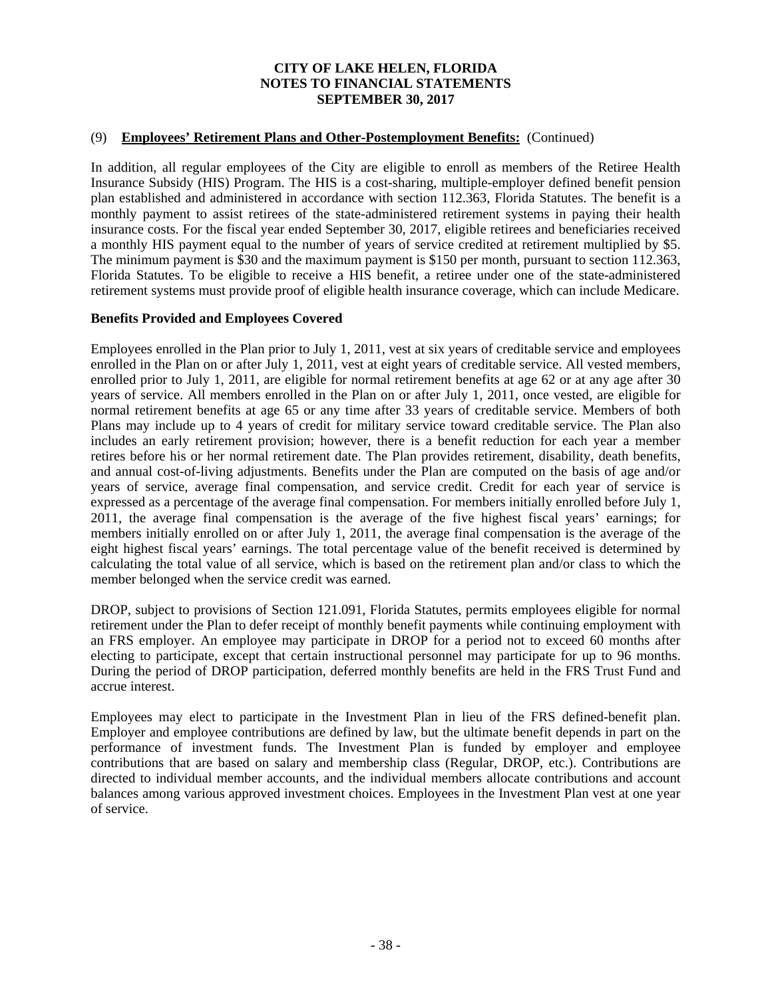### (9) **Employees' Retirement Plans and Other-Postemployment Benefits:** (Continued)

In addition, all regular employees of the City are eligible to enroll as members of the Retiree Health Insurance Subsidy (HIS) Program. The HIS is a cost-sharing, multiple-employer defined benefit pension plan established and administered in accordance with section 112.363, Florida Statutes. The benefit is a monthly payment to assist retirees of the state-administered retirement systems in paying their health insurance costs. For the fiscal year ended September 30, 2017, eligible retirees and beneficiaries received a monthly HIS payment equal to the number of years of service credited at retirement multiplied by \$5. The minimum payment is \$30 and the maximum payment is \$150 per month, pursuant to section 112.363, Florida Statutes. To be eligible to receive a HIS benefit, a retiree under one of the state-administered retirement systems must provide proof of eligible health insurance coverage, which can include Medicare.

## **Benefits Provided and Employees Covered**

Employees enrolled in the Plan prior to July 1, 2011, vest at six years of creditable service and employees enrolled in the Plan on or after July 1, 2011, vest at eight years of creditable service. All vested members, enrolled prior to July 1, 2011, are eligible for normal retirement benefits at age 62 or at any age after 30 years of service. All members enrolled in the Plan on or after July 1, 2011, once vested, are eligible for normal retirement benefits at age 65 or any time after 33 years of creditable service. Members of both Plans may include up to 4 years of credit for military service toward creditable service. The Plan also includes an early retirement provision; however, there is a benefit reduction for each year a member retires before his or her normal retirement date. The Plan provides retirement, disability, death benefits, and annual cost-of-living adjustments. Benefits under the Plan are computed on the basis of age and/or years of service, average final compensation, and service credit. Credit for each year of service is expressed as a percentage of the average final compensation. For members initially enrolled before July 1, 2011, the average final compensation is the average of the five highest fiscal years' earnings; for members initially enrolled on or after July 1, 2011, the average final compensation is the average of the eight highest fiscal years' earnings. The total percentage value of the benefit received is determined by calculating the total value of all service, which is based on the retirement plan and/or class to which the member belonged when the service credit was earned.

DROP, subject to provisions of Section 121.091, Florida Statutes, permits employees eligible for normal retirement under the Plan to defer receipt of monthly benefit payments while continuing employment with an FRS employer. An employee may participate in DROP for a period not to exceed 60 months after electing to participate, except that certain instructional personnel may participate for up to 96 months. During the period of DROP participation, deferred monthly benefits are held in the FRS Trust Fund and accrue interest.

Employees may elect to participate in the Investment Plan in lieu of the FRS defined-benefit plan. Employer and employee contributions are defined by law, but the ultimate benefit depends in part on the performance of investment funds. The Investment Plan is funded by employer and employee contributions that are based on salary and membership class (Regular, DROP, etc.). Contributions are directed to individual member accounts, and the individual members allocate contributions and account balances among various approved investment choices. Employees in the Investment Plan vest at one year of service.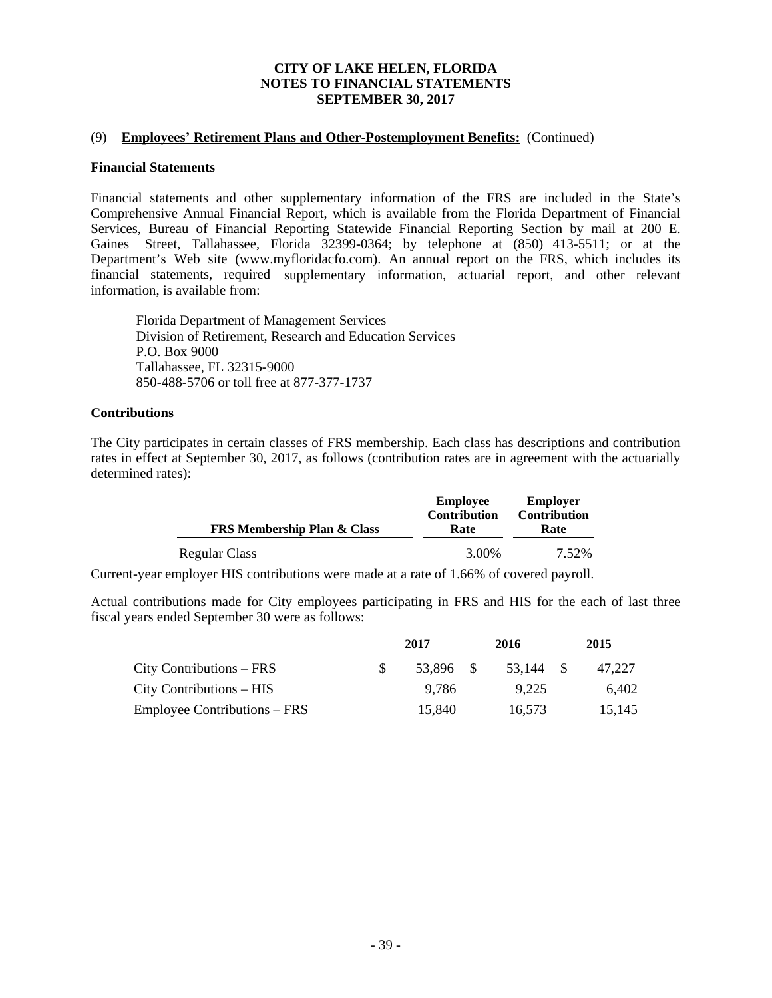#### (9) **Employees' Retirement Plans and Other-Postemployment Benefits:** (Continued)

#### **Financial Statements**

Financial statements and other supplementary information of the FRS are included in the State's Comprehensive Annual Financial Report, which is available from the Florida Department of Financial Services, Bureau of Financial Reporting Statewide Financial Reporting Section by mail at 200 E. Gaines Street, Tallahassee, Florida 32399-0364; by telephone at (850) 413-5511; or at the Department's Web site (www.myfloridacfo.com). An annual report on the FRS, which includes its financial statements, required supplementary information, actuarial report, and other relevant information, is available from:

Florida Department of Management Services Division of Retirement, Research and Education Services P.O. Box 9000 Tallahassee, FL 32315-9000 850-488-5706 or toll free at 877-377-1737

## **Contributions**

The City participates in certain classes of FRS membership. Each class has descriptions and contribution rates in effect at September 30, 2017, as follows (contribution rates are in agreement with the actuarially determined rates):

| <b>FRS Membership Plan &amp; Class</b> | <b>Employee</b><br><b>Contribution</b><br>Rate | Employer<br><b>Contribution</b><br>Rate |
|----------------------------------------|------------------------------------------------|-----------------------------------------|
| <b>Regular Class</b>                   | 3.00%                                          | 7.52%                                   |

Current-year employer HIS contributions were made at a rate of 1.66% of covered payroll.

Actual contributions made for City employees participating in FRS and HIS for the each of last three fiscal years ended September 30 were as follows:

|                              | 2017      | 2016      | 2015   |
|------------------------------|-----------|-----------|--------|
| City Contributions – FRS     | 53.896 \$ | 53.144 \$ | 47.227 |
| $City$ Contributions $- HIS$ | 9.786     | 9.225     | 6.402  |
| Employee Contributions – FRS | 15.840    | 16.573    | 15,145 |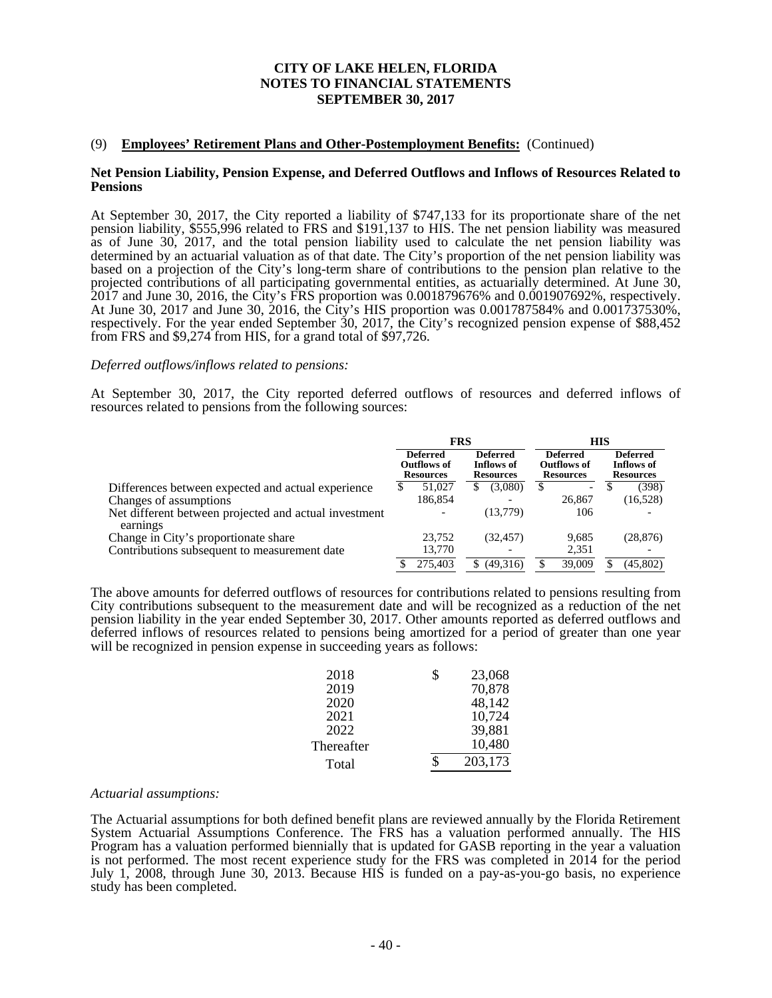#### (9) **Employees' Retirement Plans and Other-Postemployment Benefits:** (Continued)

#### **Net Pension Liability, Pension Expense, and Deferred Outflows and Inflows of Resources Related to Pensions**

At September 30, 2017, the City reported a liability of \$747,133 for its proportionate share of the net pension liability, \$555,996 related to FRS and \$191,137 to HIS. The net pension liability was measured as of June 30, 2017, and the total pension liability used to calculate the net pension liability was determined by an actuarial valuation as of that date. The City's proportion of the net pension liability was based on a projection of the City's long-term share of contributions to the pension plan relative to the projected contributions of all participating governmental entities, as actuarially determined. At June 30, 2017 and June 30, 2016, the City's FRS proportion was 0.001879676% and 0.001907692%, respectively. At June 30, 2017 and June 30, 2016, the City's HIS proportion was 0.001787584% and 0.001737530%, respectively. For the year ended September 30, 2017, the City's recognized pension expense of \$88,452 from FRS and \$9,274 from HIS, for a grand total of \$97,726.

#### *Deferred outflows/inflows related to pensions:*

At September 30, 2017, the City reported deferred outflows of resources and deferred inflows of resources related to pensions from the following sources:

|                                                                   | <b>FRS</b> |                                                           |  |                                                   | <b>HIS</b> |                                                           |  |                                                   |
|-------------------------------------------------------------------|------------|-----------------------------------------------------------|--|---------------------------------------------------|------------|-----------------------------------------------------------|--|---------------------------------------------------|
|                                                                   |            | <b>Deferred</b><br><b>Outflows of</b><br><b>Resources</b> |  | <b>Deferred</b><br>Inflows of<br><b>Resources</b> |            | <b>Deferred</b><br><b>Outflows of</b><br><b>Resources</b> |  | <b>Deferred</b><br>Inflows of<br><b>Resources</b> |
| Differences between expected and actual experience                |            | 51,027                                                    |  | (3,080)                                           |            | $\overline{\phantom{a}}$                                  |  | (398)                                             |
| Changes of assumptions                                            |            | 186,854                                                   |  |                                                   |            | 26,867                                                    |  | (16, 528)                                         |
| Net different between projected and actual investment<br>earnings |            |                                                           |  | (13, 779)                                         |            | 106                                                       |  |                                                   |
| Change in City's proportionate share                              |            | 23.752                                                    |  | (32, 457)                                         |            | 9,685                                                     |  | (28, 876)                                         |
| Contributions subsequent to measurement date                      |            | 13,770                                                    |  |                                                   |            | 2,351                                                     |  |                                                   |
|                                                                   |            | 275,403                                                   |  | (49.316)                                          |            | 39,009                                                    |  | (45, 802)                                         |

The above amounts for deferred outflows of resources for contributions related to pensions resulting from City contributions subsequent to the measurement date and will be recognized as a reduction of the net pension liability in the year ended September 30, 2017. Other amounts reported as deferred outflows and deferred inflows of resources related to pensions being amortized for a period of greater than one year will be recognized in pension expense in succeeding years as follows:

| 2018       | \$<br>23,068 |
|------------|--------------|
| 2019       | 70,878       |
| 2020       | 48,142       |
| 2021       | 10,724       |
| 2022       | 39,881       |
| Thereafter | 10,480       |
| Total      | 203,173      |

#### *Actuarial assumptions:*

The Actuarial assumptions for both defined benefit plans are reviewed annually by the Florida Retirement System Actuarial Assumptions Conference. The FRS has a valuation performed annually. The HIS Program has a valuation performed biennially that is updated for GASB reporting in the year a valuation is not performed. The most recent experience study for the FRS was completed in 2014 for the period July 1, 2008, through June 30, 2013. Because HIS is funded on a pay-as-you-go basis, no experience study has been completed.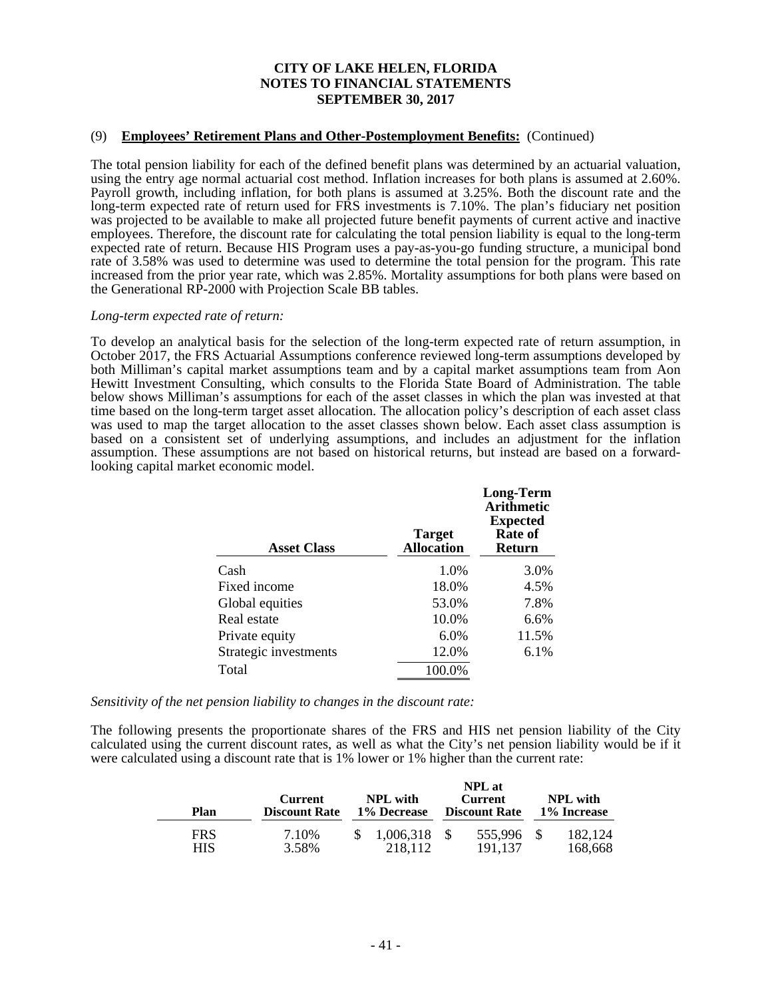#### (9) **Employees' Retirement Plans and Other-Postemployment Benefits:** (Continued)

The total pension liability for each of the defined benefit plans was determined by an actuarial valuation, using the entry age normal actuarial cost method. Inflation increases for both plans is assumed at 2.60%. Payroll growth, including inflation, for both plans is assumed at 3.25%. Both the discount rate and the long-term expected rate of return used for FRS investments is 7.10%. The plan's fiduciary net position was projected to be available to make all projected future benefit payments of current active and inactive employees. Therefore, the discount rate for calculating the total pension liability is equal to the long-term expected rate of return. Because HIS Program uses a pay-as-you-go funding structure, a municipal bond rate of 3.58% was used to determine was used to determine the total pension for the program. This rate increased from the prior year rate, which was 2.85%. Mortality assumptions for both plans were based on the Generational RP-2000 with Projection Scale BB tables.

#### *Long-term expected rate of return:*

To develop an analytical basis for the selection of the long-term expected rate of return assumption, in October 2017, the FRS Actuarial Assumptions conference reviewed long-term assumptions developed by both Milliman's capital market assumptions team and by a capital market assumptions team from Aon Hewitt Investment Consulting, which consults to the Florida State Board of Administration. The table below shows Milliman's assumptions for each of the asset classes in which the plan was invested at that time based on the long-term target asset allocation. The allocation policy's description of each asset class was used to map the target allocation to the asset classes shown below. Each asset class assumption is based on a consistent set of underlying assumptions, and includes an adjustment for the inflation assumption. These assumptions are not based on historical returns, but instead are based on a forwardlooking capital market economic model.

| <b>Asset Class</b>    | <b>Target</b><br><b>Allocation</b> | <b>Long-Term</b><br><b>Arithmetic</b><br><b>Expected</b><br>Rate of<br>Return |
|-----------------------|------------------------------------|-------------------------------------------------------------------------------|
| Cash                  | 1.0%                               | 3.0%                                                                          |
| Fixed income          | 18.0%                              | 4.5%                                                                          |
| Global equities       | 53.0%                              | 7.8%                                                                          |
| Real estate           | 10.0%                              | 6.6%                                                                          |
| Private equity        | 6.0%                               | 11.5%                                                                         |
| Strategic investments | 12.0%                              | 6.1%                                                                          |
| Total                 | 100.0%                             |                                                                               |

*Sensitivity of the net pension liability to changes in the discount rate:* 

The following presents the proportionate shares of the FRS and HIS net pension liability of the City calculated using the current discount rates, as well as what the City's net pension liability would be if it were calculated using a discount rate that is 1% lower or 1% higher than the current rate:

| Plan              | <b>Current</b><br><b>Discount Rate</b> | <b>NPL</b> with<br>1% Decrease |                      |     | <b>NPL</b> at<br><b>Current</b><br><b>Discount Rate</b> | <b>NPL</b> with<br>1% Increase |
|-------------------|----------------------------------------|--------------------------------|----------------------|-----|---------------------------------------------------------|--------------------------------|
| <b>FRS</b><br>HIS | 7.10%<br>3.58%                         |                                | 1,006,318<br>218.112 | - S | 555.996<br>191.137                                      | 182,124<br>168,668             |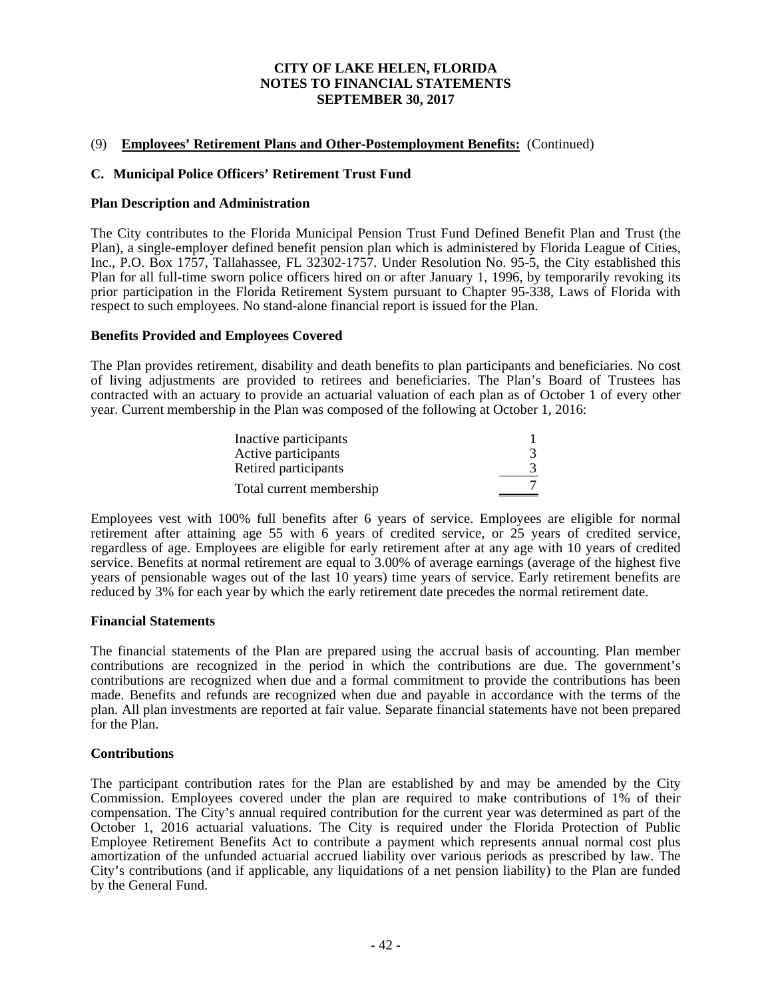### (9) **Employees' Retirement Plans and Other-Postemployment Benefits:** (Continued)

### **C. Municipal Police Officers' Retirement Trust Fund**

#### **Plan Description and Administration**

The City contributes to the Florida Municipal Pension Trust Fund Defined Benefit Plan and Trust (the Plan), a single-employer defined benefit pension plan which is administered by Florida League of Cities, Inc., P.O. Box 1757, Tallahassee, FL 32302-1757. Under Resolution No. 95-5, the City established this Plan for all full-time sworn police officers hired on or after January 1, 1996, by temporarily revoking its prior participation in the Florida Retirement System pursuant to Chapter 95-338, Laws of Florida with respect to such employees. No stand-alone financial report is issued for the Plan.

### **Benefits Provided and Employees Covered**

The Plan provides retirement, disability and death benefits to plan participants and beneficiaries. No cost of living adjustments are provided to retirees and beneficiaries. The Plan's Board of Trustees has contracted with an actuary to provide an actuarial valuation of each plan as of October 1 of every other year. Current membership in the Plan was composed of the following at October 1, 2016:

| Inactive participants    |  |
|--------------------------|--|
| Active participants      |  |
| Retired participants     |  |
| Total current membership |  |

Employees vest with 100% full benefits after 6 years of service. Employees are eligible for normal retirement after attaining age 55 with 6 years of credited service, or 25 years of credited service, regardless of age. Employees are eligible for early retirement after at any age with 10 years of credited service. Benefits at normal retirement are equal to 3.00% of average earnings (average of the highest five years of pensionable wages out of the last 10 years) time years of service. Early retirement benefits are reduced by 3% for each year by which the early retirement date precedes the normal retirement date.

#### **Financial Statements**

The financial statements of the Plan are prepared using the accrual basis of accounting. Plan member contributions are recognized in the period in which the contributions are due. The government's contributions are recognized when due and a formal commitment to provide the contributions has been made. Benefits and refunds are recognized when due and payable in accordance with the terms of the plan. All plan investments are reported at fair value. Separate financial statements have not been prepared for the Plan.

#### **Contributions**

The participant contribution rates for the Plan are established by and may be amended by the City Commission. Employees covered under the plan are required to make contributions of 1% of their compensation. The City's annual required contribution for the current year was determined as part of the October 1, 2016 actuarial valuations. The City is required under the Florida Protection of Public Employee Retirement Benefits Act to contribute a payment which represents annual normal cost plus amortization of the unfunded actuarial accrued liability over various periods as prescribed by law. The City's contributions (and if applicable, any liquidations of a net pension liability) to the Plan are funded by the General Fund.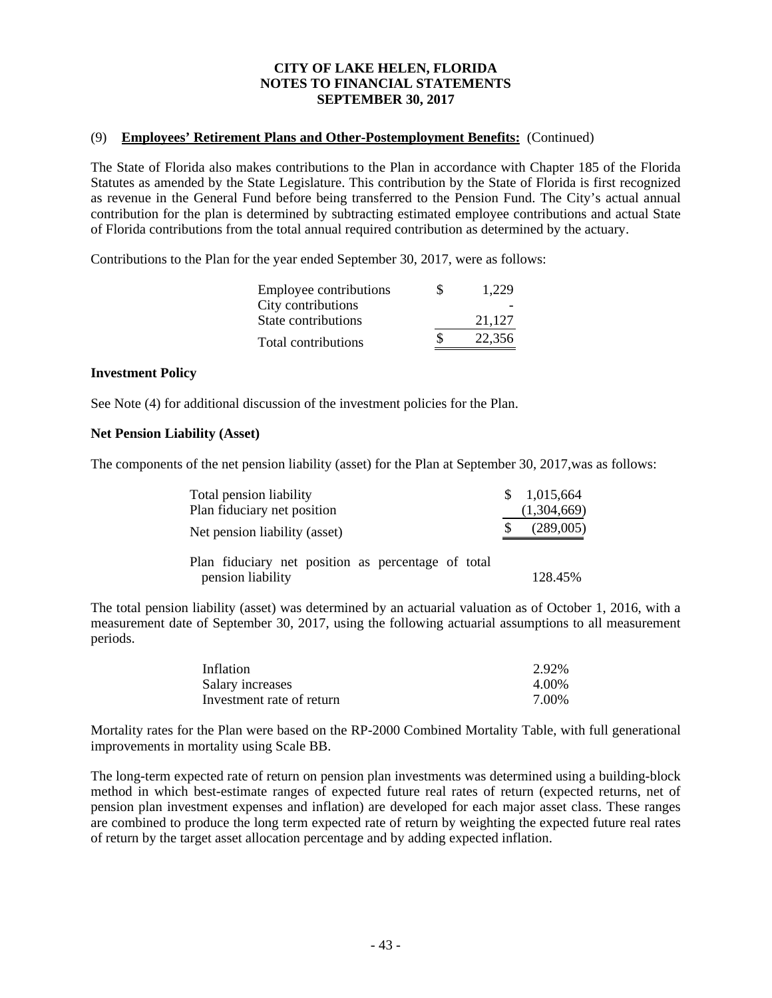### (9) **Employees' Retirement Plans and Other-Postemployment Benefits:** (Continued)

The State of Florida also makes contributions to the Plan in accordance with Chapter 185 of the Florida Statutes as amended by the State Legislature. This contribution by the State of Florida is first recognized as revenue in the General Fund before being transferred to the Pension Fund. The City's actual annual contribution for the plan is determined by subtracting estimated employee contributions and actual State of Florida contributions from the total annual required contribution as determined by the actuary.

Contributions to the Plan for the year ended September 30, 2017, were as follows:

| S  | 1.229  |
|----|--------|
|    |        |
|    | 21,127 |
| S. | 22,356 |
|    |        |

#### **Investment Policy**

See Note (4) for additional discussion of the investment policies for the Plan.

## **Net Pension Liability (Asset)**

The components of the net pension liability (asset) for the Plan at September 30, 2017,was as follows:

| Total pension liability<br>Plan fiduciary net position                  | \$1,015,664<br>(1,304,669) |
|-------------------------------------------------------------------------|----------------------------|
| Net pension liability (asset)                                           | (289,005)                  |
| Plan fiduciary net position as percentage of total<br>pension liability | 128.45%                    |

The total pension liability (asset) was determined by an actuarial valuation as of October 1, 2016, with a measurement date of September 30, 2017, using the following actuarial assumptions to all measurement periods.

| Inflation                 | 2.92% |
|---------------------------|-------|
| Salary increases          | 4.00% |
| Investment rate of return | 7.00% |

Mortality rates for the Plan were based on the RP-2000 Combined Mortality Table, with full generational improvements in mortality using Scale BB.

The long-term expected rate of return on pension plan investments was determined using a building-block method in which best-estimate ranges of expected future real rates of return (expected returns, net of pension plan investment expenses and inflation) are developed for each major asset class. These ranges are combined to produce the long term expected rate of return by weighting the expected future real rates of return by the target asset allocation percentage and by adding expected inflation.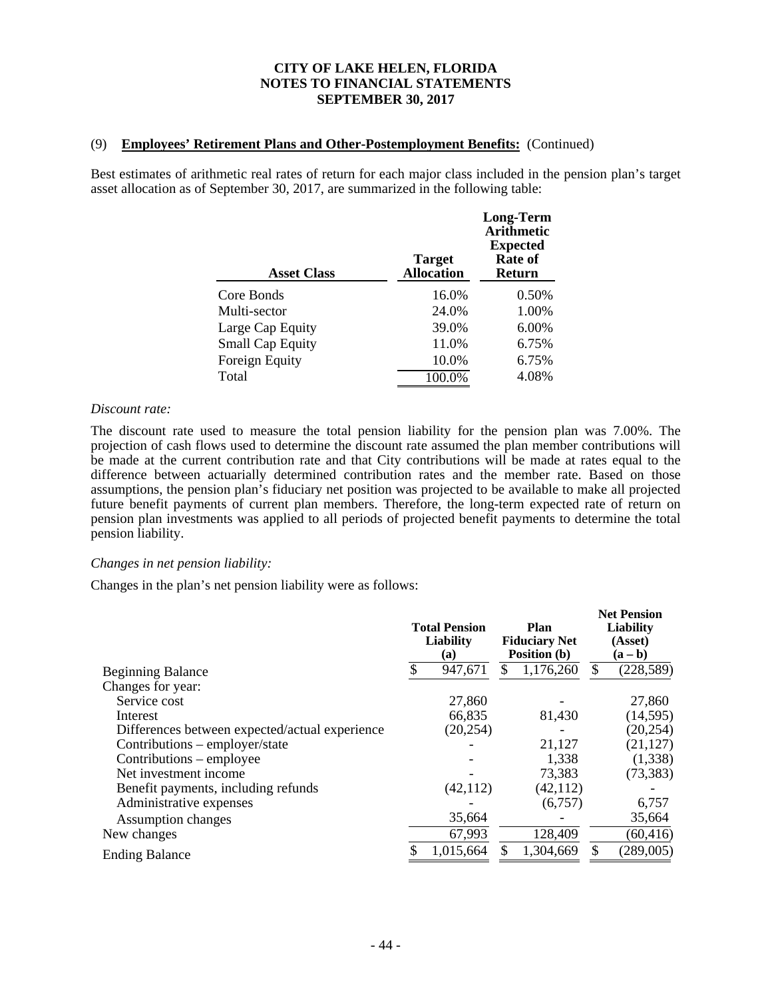### (9) **Employees' Retirement Plans and Other-Postemployment Benefits:** (Continued)

Best estimates of arithmetic real rates of return for each major class included in the pension plan's target asset allocation as of September 30, 2017, are summarized in the following table:

| <b>Asset Class</b>      | <b>Target</b><br><b>Allocation</b> | <b>Long-Term</b><br><b>Arithmetic</b><br><b>Expected</b><br>Rate of<br>Return |
|-------------------------|------------------------------------|-------------------------------------------------------------------------------|
| Core Bonds              | 16.0%                              | 0.50%                                                                         |
| Multi-sector            | 24.0%                              | 1.00%                                                                         |
| Large Cap Equity        | 39.0%                              | 6.00%                                                                         |
| <b>Small Cap Equity</b> | 11.0%                              | 6.75%                                                                         |
| Foreign Equity          | 10.0%                              | 6.75%                                                                         |
| Total                   | 100.0%                             | 4.08%                                                                         |
|                         |                                    |                                                                               |

#### *Discount rate:*

The discount rate used to measure the total pension liability for the pension plan was 7.00%. The projection of cash flows used to determine the discount rate assumed the plan member contributions will be made at the current contribution rate and that City contributions will be made at rates equal to the difference between actuarially determined contribution rates and the member rate. Based on those assumptions, the pension plan's fiduciary net position was projected to be available to make all projected future benefit payments of current plan members. Therefore, the long-term expected rate of return on pension plan investments was applied to all periods of projected benefit payments to determine the total pension liability.

### *Changes in net pension liability:*

Changes in the plan's net pension liability were as follows:

|                                                | <b>Total Pension</b><br><b>Liability</b><br>(a) | Plan<br><b>Fiduciary Net</b><br>Position (b) | <b>Net Pension</b><br><b>Liability</b><br>(Asset)<br>$(a - b)$ |
|------------------------------------------------|-------------------------------------------------|----------------------------------------------|----------------------------------------------------------------|
| <b>Beginning Balance</b>                       | \$<br>947,671                                   | 1,176,260                                    | \$<br>(228, 589)                                               |
| Changes for year:                              |                                                 |                                              |                                                                |
| Service cost                                   | 27,860                                          |                                              | 27,860                                                         |
| Interest                                       | 66,835                                          | 81,430                                       | (14, 595)                                                      |
| Differences between expected/actual experience | (20, 254)                                       |                                              | (20, 254)                                                      |
| Contributions – employer/state                 |                                                 | 21,127                                       | (21, 127)                                                      |
| Contributions – employee                       |                                                 | 1,338                                        | (1,338)                                                        |
| Net investment income                          |                                                 | 73,383                                       | (73, 383)                                                      |
| Benefit payments, including refunds            | (42, 112)                                       | (42, 112)                                    |                                                                |
| Administrative expenses                        |                                                 | (6,757)                                      | 6,757                                                          |
| Assumption changes                             | 35,664                                          |                                              | 35,664                                                         |
| New changes                                    | 67,993                                          | 128,409                                      | (60, 416)                                                      |
| <b>Ending Balance</b>                          | 1,015,664                                       | 1,304,669                                    | \$<br>(289,005)                                                |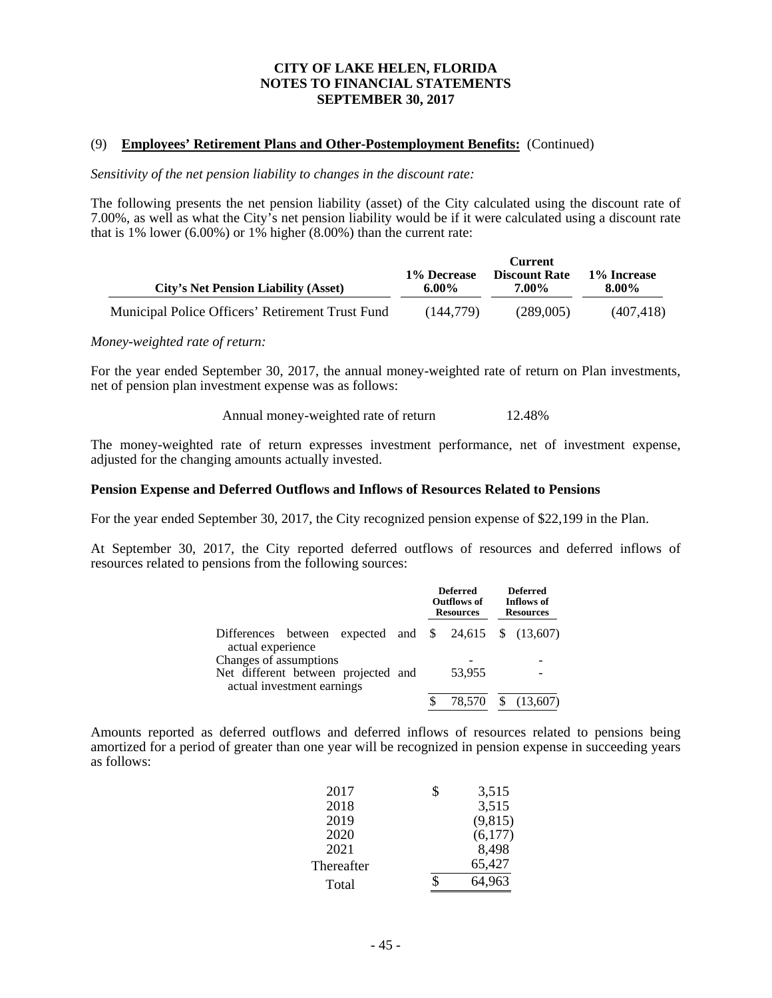#### (9) **Employees' Retirement Plans and Other-Postemployment Benefits:** (Continued)

#### *Sensitivity of the net pension liability to changes in the discount rate:*

The following presents the net pension liability (asset) of the City calculated using the discount rate of 7.00%, as well as what the City's net pension liability would be if it were calculated using a discount rate that is 1% lower  $(6.00\%)$  or 1% higher  $(8.00\%)$  than the current rate:

|                                                  | <b>Current</b>       |                               |                      |
|--------------------------------------------------|----------------------|-------------------------------|----------------------|
| City's Net Pension Liability (Asset)             | 1% Decrease<br>6.00% | <b>Discount Rate</b><br>7.00% | 1% Increase<br>8.00% |
| Municipal Police Officers' Retirement Trust Fund | (144.779)            | (289.005)                     | (407.418)            |

#### *Money-weighted rate of return:*

For the year ended September 30, 2017, the annual money-weighted rate of return on Plan investments, net of pension plan investment expense was as follows:

Annual money-weighted rate of return 12.48%

The money-weighted rate of return expresses investment performance, net of investment expense, adjusted for the changing amounts actually invested.

#### **Pension Expense and Deferred Outflows and Inflows of Resources Related to Pensions**

For the year ended September 30, 2017, the City recognized pension expense of \$22,199 in the Plan.

At September 30, 2017, the City reported deferred outflows of resources and deferred inflows of resources related to pensions from the following sources:

|                                                                             | Deferred<br><b>Outflows of</b><br><b>Resources</b> |        | <b>Deferred</b><br>Inflows of<br><b>Resources</b> |
|-----------------------------------------------------------------------------|----------------------------------------------------|--------|---------------------------------------------------|
| Differences between expected and $$24,615$ $$(13,607)$<br>actual experience |                                                    |        |                                                   |
| Changes of assumptions                                                      |                                                    |        |                                                   |
| Net different between projected and<br>actual investment earnings           |                                                    | 53,955 |                                                   |
|                                                                             |                                                    | 78,570 |                                                   |

Amounts reported as deferred outflows and deferred inflows of resources related to pensions being amortized for a period of greater than one year will be recognized in pension expense in succeeding years as follows:

| 2017       | 3,515    |
|------------|----------|
| 2018       | 3,515    |
| 2019       | (9, 815) |
| 2020       | (6,177)  |
| 2021       | 8,498    |
| Thereafter | 65,427   |
| Total      | 64,963   |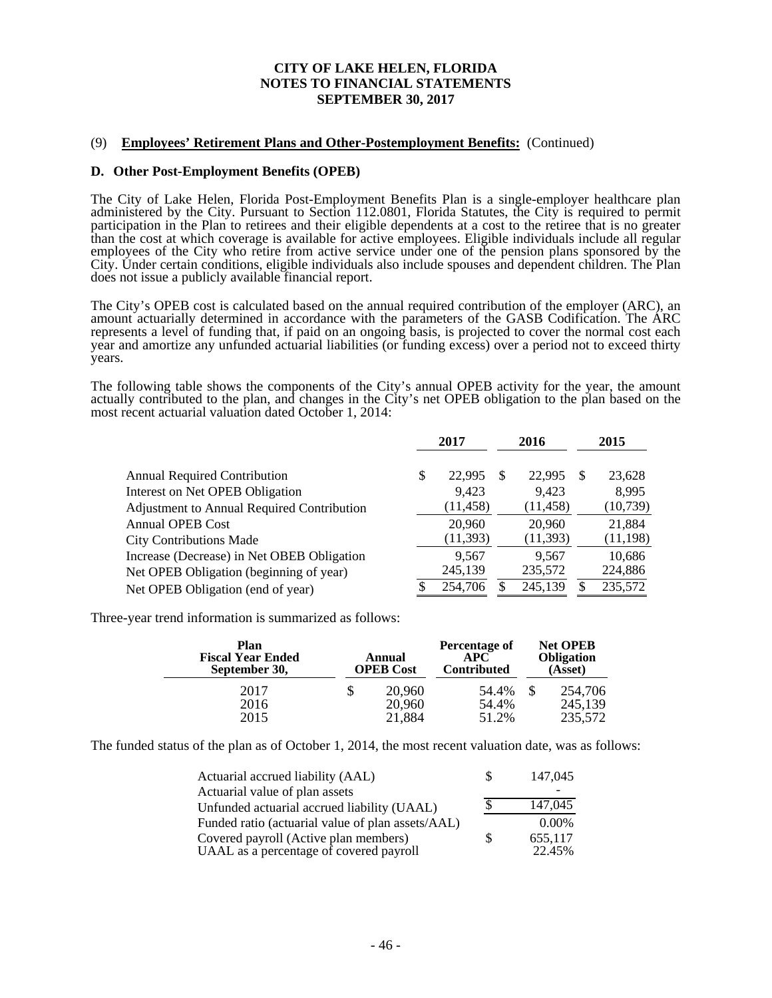#### (9) **Employees' Retirement Plans and Other-Postemployment Benefits:** (Continued)

#### **D. Other Post-Employment Benefits (OPEB)**

The City of Lake Helen, Florida Post-Employment Benefits Plan is a single-employer healthcare plan administered by the City. Pursuant to Section 112.0801, Florida Statutes, the City is required to permit participation in the Plan to retirees and their eligible dependents at a cost to the retiree that is no greater than the cost at which coverage is available for active employees. Eligible individuals include all regular employees of the City who retire from active service under one of the pension plans sponsored by the City. Under certain conditions, eligible individuals also include spouses and dependent children. The Plan does not issue a publicly available financial report.

The City's OPEB cost is calculated based on the annual required contribution of the employer (ARC), an amount actuarially determined in accordance with the parameters of the GASB Codification. The ARC represents a level of funding that, if paid on an ongoing basis, is projected to cover the normal cost each year and amortize any unfunded actuarial liabilities (or funding excess) over a period not to exceed thirty years.

The following table shows the components of the City's annual OPEB activity for the year, the amount actually contributed to the plan, and changes in the City's net OPEB obligation to the plan based on the most recent actuarial valuation dated October 1, 2014:

|                                            | 2017         |   | 2016      |   | 2015      |
|--------------------------------------------|--------------|---|-----------|---|-----------|
| <b>Annual Required Contribution</b>        | \$<br>22.995 | S | 22,995    | S | 23,628    |
| Interest on Net OPEB Obligation            | 9,423        |   | 9,423     |   | 8,995     |
| Adjustment to Annual Required Contribution | (11, 458)    |   | (11, 458) |   | (10, 739) |
| <b>Annual OPEB Cost</b>                    | 20,960       |   | 20,960    |   | 21,884    |
| <b>City Contributions Made</b>             | (11, 393)    |   | (11, 393) |   | (11, 198) |
| Increase (Decrease) in Net OBEB Obligation | 9.567        |   | 9.567     |   | 10,686    |
| Net OPEB Obligation (beginning of year)    | 245,139      |   | 235,572   |   | 224,886   |
| Net OPEB Obligation (end of year)          | 254,706      |   | 245,139   |   | 235,572   |

Three-year trend information is summarized as follows:

| Plan<br><b>Fiscal Year Ended</b><br>September 30, |   | Annual<br><b>OPEB Cost</b> | Percentage of<br>APC<br><b>Contributed</b> |   | <b>Net OPEB</b><br><b>Obligation</b><br>(A <sub>sset</sub> ) |
|---------------------------------------------------|---|----------------------------|--------------------------------------------|---|--------------------------------------------------------------|
| 2017                                              | S | 20,960                     | 54.4%                                      | S | 254,706                                                      |
| 2016                                              |   | 20,960                     | 54.4%                                      |   | 245,139                                                      |
| 2015                                              |   | 21,884                     | 51.2%                                      |   | 235,572                                                      |

The funded status of the plan as of October 1, 2014, the most recent valuation date, was as follows:

| Actuarial accrued liability (AAL)                 | 147,045  |
|---------------------------------------------------|----------|
| Actuarial value of plan assets                    |          |
| Unfunded actuarial accrued liability (UAAL)       | 147,045  |
| Funded ratio (actuarial value of plan assets/AAL) | $0.00\%$ |
| Covered payroll (Active plan members)             | 655,117  |
| UAAL as a percentage of covered payroll           | 22.45%   |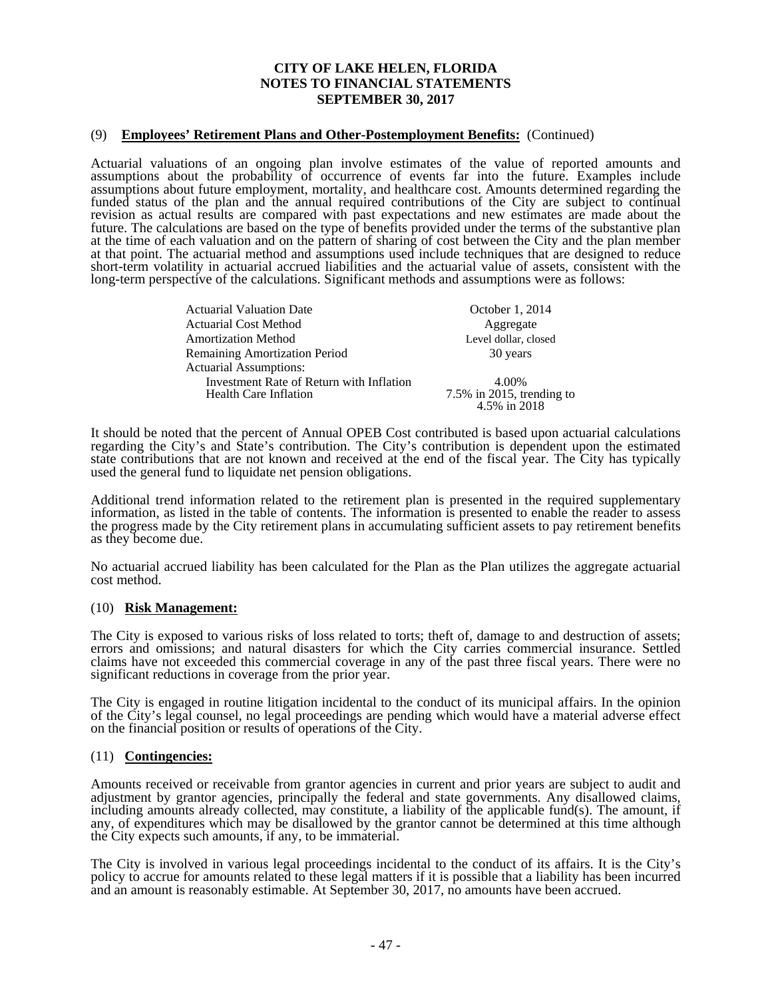#### (9) **Employees' Retirement Plans and Other-Postemployment Benefits:** (Continued)

Actuarial valuations of an ongoing plan involve estimates of the value of reported amounts and assumptions about the probability of occurrence of events far into the future. Examples include assumptions about future employment, mortality, and healthcare cost. Amounts determined regarding the funded status of the plan and the annual required contributions of the City are subject to continual revision as actual results are compared with past expectations and new estimates are made about the future. The calculations are based on the type of benefits provided under the terms of the substantive plan at the time of each valuation and on the pattern of sharing of cost between the City and the plan member at that point. The actuarial method and assumptions used include techniques that are designed to reduce short-term volatility in actuarial accrued liabilities and the actuarial value of assets, consistent with the long-term perspective of the calculations. Significant methods and assumptions were as follows:

| <b>Actuarial Valuation Date</b>          | October 1, 2014              |
|------------------------------------------|------------------------------|
| <b>Actuarial Cost Method</b>             | Aggregate                    |
| <b>Amortization Method</b>               | Level dollar, closed         |
| <b>Remaining Amortization Period</b>     | 30 years                     |
| <b>Actuarial Assumptions:</b>            |                              |
| Investment Rate of Return with Inflation | 4.00%                        |
| <b>Health Care Inflation</b>             | $7.5\%$ in 2015, trending to |
|                                          | 4.5% in 2018                 |

It should be noted that the percent of Annual OPEB Cost contributed is based upon actuarial calculations regarding the City's and State's contribution. The City's contribution is dependent upon the estimated state contributions that are not known and received at the end of the fiscal year. The City has typically used the general fund to liquidate net pension obligations.

Additional trend information related to the retirement plan is presented in the required supplementary information, as listed in the table of contents. The information is presented to enable the reader to assess the progress made by the City retirement plans in accumulating sufficient assets to pay retirement benefits as they become due.

No actuarial accrued liability has been calculated for the Plan as the Plan utilizes the aggregate actuarial cost method.

#### (10) **Risk Management:**

The City is exposed to various risks of loss related to torts; theft of, damage to and destruction of assets; errors and omissions; and natural disasters for which the City carries commercial insurance. Settled claims have not exceeded this commercial coverage in any of the past three fiscal years. There were no significant reductions in coverage from the prior year.

The City is engaged in routine litigation incidental to the conduct of its municipal affairs. In the opinion of the City's legal counsel, no legal proceedings are pending which would have a material adverse effect on the financial position or results of operations of the City.

#### (11) **Contingencies:**

Amounts received or receivable from grantor agencies in current and prior years are subject to audit and adjustment by grantor agencies, principally the federal and state governments. Any disallowed claims, including amounts already collected, may constitute, a liability of the applicable fund(s). The amount, if any, of expenditures which may be disallowed by the grantor cannot be determined at this time although the City expects such amounts, if any, to be immaterial.

The City is involved in various legal proceedings incidental to the conduct of its affairs. It is the City's policy to accrue for amounts related to these legal matters if it is possible that a liability has been incurred and an amount is reasonably estimable. At September 30, 2017, no amounts have been accrued.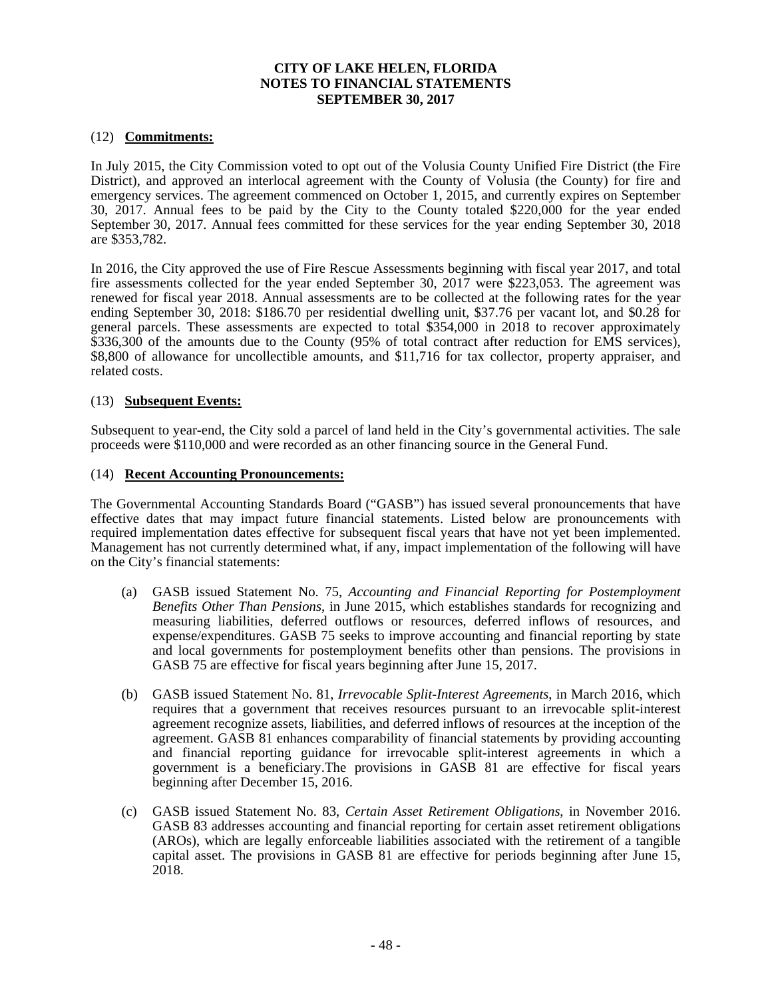## (12) **Commitments:**

In July 2015, the City Commission voted to opt out of the Volusia County Unified Fire District (the Fire District), and approved an interlocal agreement with the County of Volusia (the County) for fire and emergency services. The agreement commenced on October 1, 2015, and currently expires on September 30, 2017. Annual fees to be paid by the City to the County totaled \$220,000 for the year ended September 30, 2017. Annual fees committed for these services for the year ending September 30, 2018 are \$353,782.

In 2016, the City approved the use of Fire Rescue Assessments beginning with fiscal year 2017, and total fire assessments collected for the year ended September 30, 2017 were \$223,053. The agreement was renewed for fiscal year 2018. Annual assessments are to be collected at the following rates for the year ending September 30, 2018: \$186.70 per residential dwelling unit, \$37.76 per vacant lot, and \$0.28 for general parcels. These assessments are expected to total \$354,000 in 2018 to recover approximately \$336,300 of the amounts due to the County (95% of total contract after reduction for EMS services), \$8,800 of allowance for uncollectible amounts, and \$11,716 for tax collector, property appraiser, and related costs.

### (13) **Subsequent Events:**

Subsequent to year-end, the City sold a parcel of land held in the City's governmental activities. The sale proceeds were \$110,000 and were recorded as an other financing source in the General Fund.

### (14) **Recent Accounting Pronouncements:**

The Governmental Accounting Standards Board ("GASB") has issued several pronouncements that have effective dates that may impact future financial statements. Listed below are pronouncements with required implementation dates effective for subsequent fiscal years that have not yet been implemented. Management has not currently determined what, if any, impact implementation of the following will have on the City's financial statements:

- (a) GASB issued Statement No. 75, *Accounting and Financial Reporting for Postemployment Benefits Other Than Pensions*, in June 2015, which establishes standards for recognizing and measuring liabilities, deferred outflows or resources, deferred inflows of resources, and expense/expenditures. GASB 75 seeks to improve accounting and financial reporting by state and local governments for postemployment benefits other than pensions. The provisions in GASB 75 are effective for fiscal years beginning after June 15, 2017.
- (b) GASB issued Statement No. 81, *Irrevocable Split-Interest Agreements*, in March 2016, which requires that a government that receives resources pursuant to an irrevocable split-interest agreement recognize assets, liabilities, and deferred inflows of resources at the inception of the agreement. GASB 81 enhances comparability of financial statements by providing accounting and financial reporting guidance for irrevocable split-interest agreements in which a government is a beneficiary.The provisions in GASB 81 are effective for fiscal years beginning after December 15, 2016.
- (c) GASB issued Statement No. 83, *Certain Asset Retirement Obligations*, in November 2016. GASB 83 addresses accounting and financial reporting for certain asset retirement obligations (AROs), which are legally enforceable liabilities associated with the retirement of a tangible capital asset. The provisions in GASB 81 are effective for periods beginning after June 15, 2018.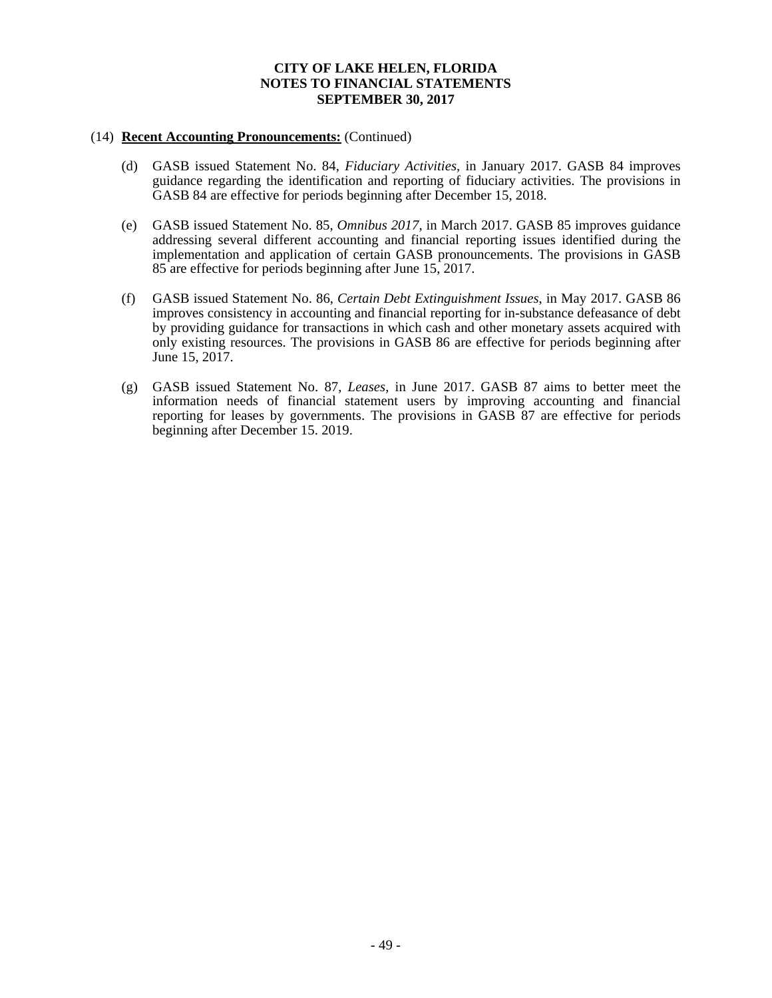#### (14) **Recent Accounting Pronouncements:** (Continued)

- (d) GASB issued Statement No. 84, *Fiduciary Activities*, in January 2017. GASB 84 improves guidance regarding the identification and reporting of fiduciary activities. The provisions in GASB 84 are effective for periods beginning after December 15, 2018.
- (e) GASB issued Statement No. 85, *Omnibus 2017*, in March 2017. GASB 85 improves guidance addressing several different accounting and financial reporting issues identified during the implementation and application of certain GASB pronouncements. The provisions in GASB 85 are effective for periods beginning after June 15, 2017.
- (f) GASB issued Statement No. 86, *Certain Debt Extinguishment Issues*, in May 2017. GASB 86 improves consistency in accounting and financial reporting for in-substance defeasance of debt by providing guidance for transactions in which cash and other monetary assets acquired with only existing resources. The provisions in GASB 86 are effective for periods beginning after June 15, 2017.
- (g) GASB issued Statement No. 87, *Leases*, in June 2017. GASB 87 aims to better meet the information needs of financial statement users by improving accounting and financial reporting for leases by governments. The provisions in GASB 87 are effective for periods beginning after December 15. 2019.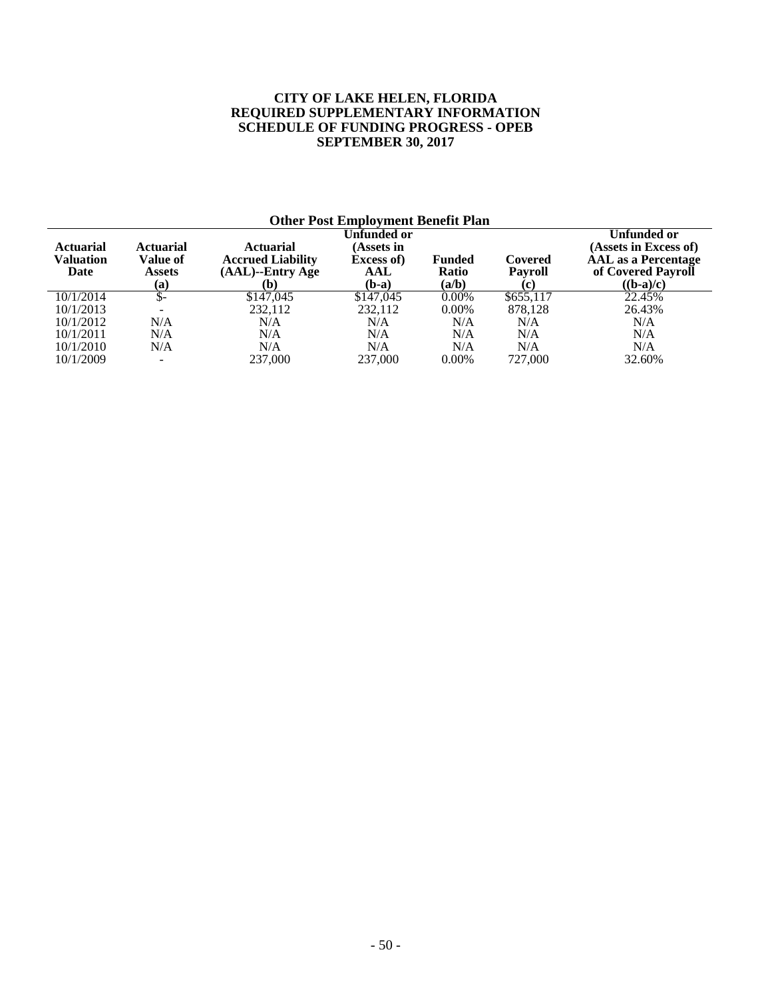### **CITY OF LAKE HELEN, FLORIDA REQUIRED SUPPLEMENTARY INFORMATION SCHEDULE OF FUNDING PROGRESS - OPEB SEPTEMBER 30, 2017**

| <b>Other Post Employment Benefit Plan</b> |                          |                          |                |                       |                       |                                   |  |  |
|-------------------------------------------|--------------------------|--------------------------|----------------|-----------------------|-----------------------|-----------------------------------|--|--|
|                                           |                          |                          | Unfunded or    |                       |                       | Unfunded or                       |  |  |
| <b>Actuarial</b>                          | <b>Actuarial</b>         | Actuarial                | (Assets in     |                       |                       | (Assets in Excess of)             |  |  |
| <b>Valuation</b>                          | Value of                 | <b>Accrued Liability</b> | Excess of)     | <b>Funded</b>         | Covered               | <b>AAL</b> as a Percentage        |  |  |
| Date                                      | <b>Assets</b><br>(a)     | (AAL)--Entry Age<br>(b)  | AAL<br>$(b-a)$ | <b>Ratio</b><br>(a/b) | <b>Pavroll</b><br>(c) | of Covered Payroll<br>$((b-a)/c)$ |  |  |
|                                           |                          |                          |                |                       |                       |                                   |  |  |
| 10/1/2014                                 | \$-                      | \$147,045                | \$147,045      | $0.00\%$              | \$655,117             | 22.45%                            |  |  |
| 10/1/2013                                 |                          | 232.112                  | 232,112        | $0.00\%$              | 878.128               | 26.43%                            |  |  |
| 10/1/2012                                 | N/A                      | N/A                      | N/A            | N/A                   | N/A                   | N/A                               |  |  |
| 10/1/2011                                 | N/A                      | N/A                      | N/A            | N/A                   | N/A                   | N/A                               |  |  |
| 10/1/2010                                 | N/A                      | N/A                      | N/A            | N/A                   | N/A                   | N/A                               |  |  |
| 10/1/2009                                 | $\overline{\phantom{a}}$ | 237,000                  | 237,000        | $0.00\%$              | 727,000               | 32.60%                            |  |  |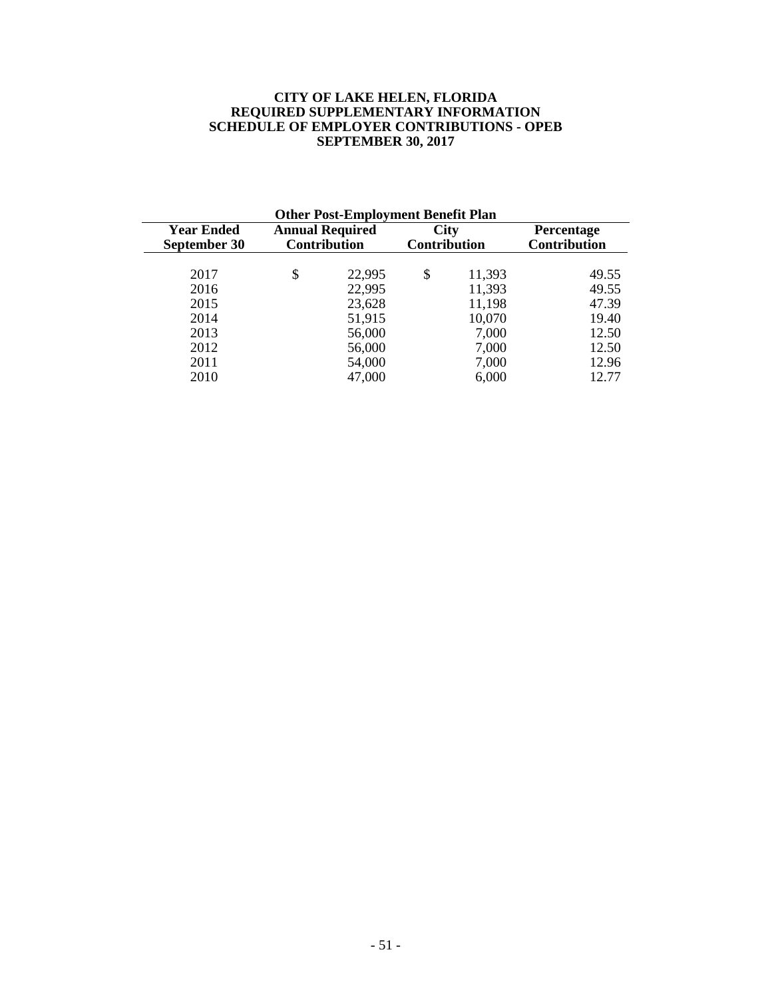## **CITY OF LAKE HELEN, FLORIDA REQUIRED SUPPLEMENTARY INFORMATION SCHEDULE OF EMPLOYER CONTRIBUTIONS - OPEB SEPTEMBER 30, 2017**

| <b>Other Post-Employment Benefit Plan</b> |    |                        |              |        |                   |  |  |  |  |
|-------------------------------------------|----|------------------------|--------------|--------|-------------------|--|--|--|--|
| <b>Year Ended</b>                         |    | <b>Annual Required</b> |              | City   | <b>Percentage</b> |  |  |  |  |
| September 30                              |    | Contribution           | Contribution |        | Contribution      |  |  |  |  |
| 2017                                      | \$ | 22,995                 | \$           | 11,393 | 49.55             |  |  |  |  |
| 2016                                      |    | 22,995                 |              | 11,393 | 49.55             |  |  |  |  |
| 2015                                      |    | 23,628                 |              | 11,198 | 47.39             |  |  |  |  |
| 2014                                      |    | 51,915                 |              | 10,070 | 19.40             |  |  |  |  |
| 2013                                      |    | 56,000                 |              | 7,000  | 12.50             |  |  |  |  |
| 2012                                      |    | 56,000                 |              | 7,000  | 12.50             |  |  |  |  |
| 2011                                      |    | 54,000                 |              | 7,000  | 12.96             |  |  |  |  |
| 2010                                      |    | 47,000                 |              | 6,000  | 12.77             |  |  |  |  |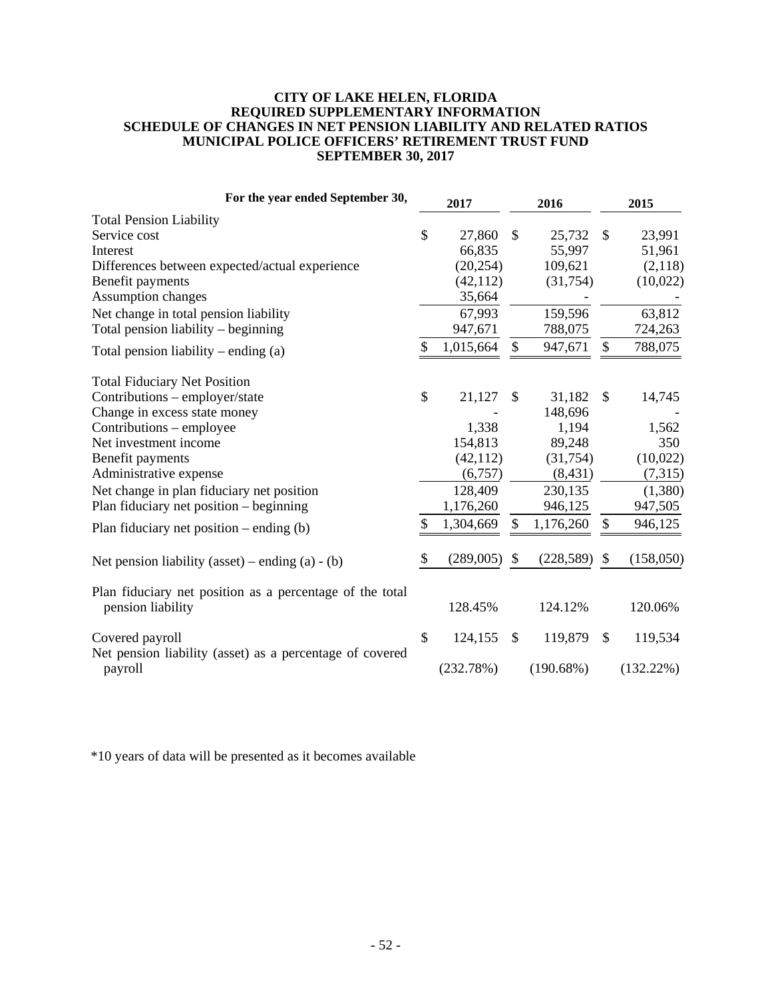### **CITY OF LAKE HELEN, FLORIDA REQUIRED SUPPLEMENTARY INFORMATION SCHEDULE OF CHANGES IN NET PENSION LIABILITY AND RELATED RATIOS MUNICIPAL POLICE OFFICERS' RETIREMENT TRUST FUND SEPTEMBER 30, 2017**

| For the year ended September 30,                                              |    | 2017      |               | 2016       |               | 2015         |
|-------------------------------------------------------------------------------|----|-----------|---------------|------------|---------------|--------------|
| <b>Total Pension Liability</b>                                                |    |           |               |            |               |              |
| Service cost                                                                  | \$ | 27,860    | $\mathcal{S}$ | 25,732     | \$            | 23,991       |
| Interest                                                                      |    | 66,835    |               | 55,997     |               | 51,961       |
| Differences between expected/actual experience                                |    | (20, 254) |               | 109,621    |               | (2,118)      |
| Benefit payments                                                              |    | (42, 112) |               | (31, 754)  |               | (10,022)     |
| Assumption changes                                                            |    | 35,664    |               |            |               |              |
| Net change in total pension liability                                         |    | 67,993    |               | 159,596    |               | 63,812       |
| Total pension liability – beginning                                           |    | 947,671   |               | 788,075    |               | 724,263      |
| Total pension liability – ending (a)                                          | \$ | 1,015,664 | \$            | 947,671    | \$            | 788,075      |
| <b>Total Fiduciary Net Position</b>                                           |    |           |               |            |               |              |
| Contributions - employer/state                                                | \$ | 21,127    | \$            | 31,182     | \$            | 14,745       |
| Change in excess state money                                                  |    |           |               | 148,696    |               |              |
| Contributions – employee                                                      |    | 1,338     |               | 1,194      |               | 1,562        |
| Net investment income                                                         |    | 154,813   |               | 89,248     |               | 350          |
| Benefit payments                                                              |    | (42, 112) |               | (31, 754)  |               | (10,022)     |
| Administrative expense                                                        |    | (6,757)   |               | (8, 431)   |               | (7, 315)     |
| Net change in plan fiduciary net position                                     |    | 128,409   |               | 230,135    |               | (1,380)      |
| Plan fiduciary net position - beginning                                       |    | 1,176,260 |               | 946,125    |               | 947,505      |
| Plan fiduciary net position $-$ ending (b)                                    | \$ | 1,304,669 | \$            | 1,176,260  | \$            | 946,125      |
| Net pension liability (asset) – ending (a) - (b)                              | \$ | (289,005) | \$            | (228, 589) | \$            | (158,050)    |
| Plan fiduciary net position as a percentage of the total<br>pension liability |    | 128.45%   |               | 124.12%    |               | 120.06%      |
| Covered payroll<br>Net pension liability (asset) as a percentage of covered   | \$ | 124,155   | $\mathcal{S}$ | 119,879    | $\mathcal{S}$ | 119,534      |
| payroll                                                                       |    | (232.78%) |               | (190.68%)  |               | $(132.22\%)$ |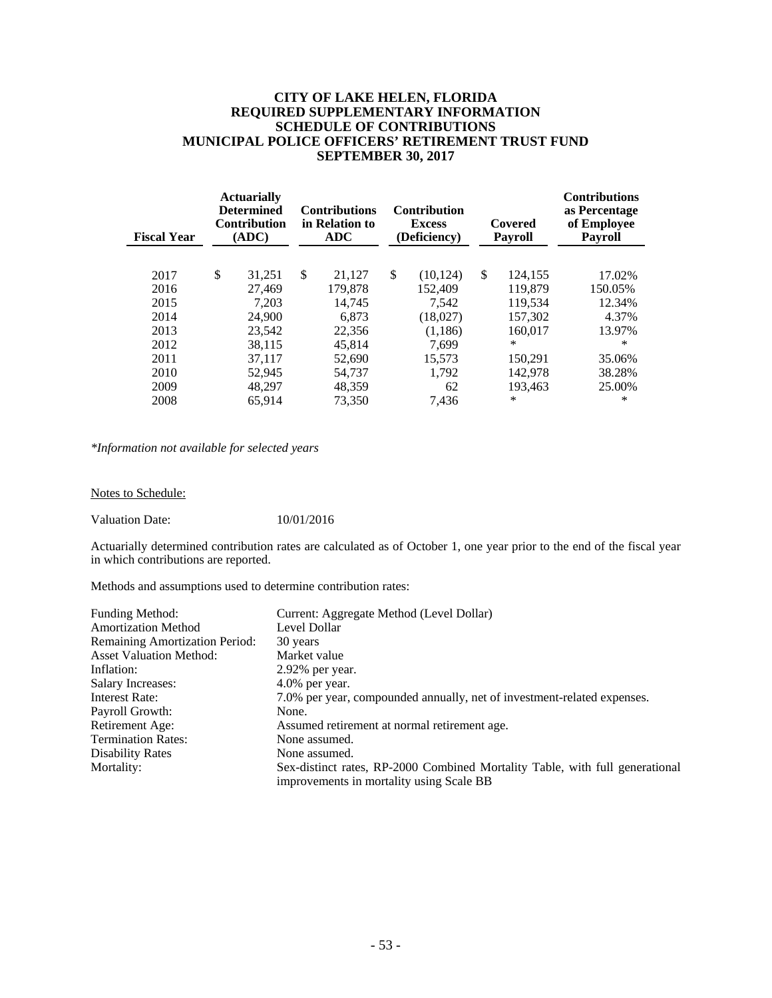#### **CITY OF LAKE HELEN, FLORIDA REQUIRED SUPPLEMENTARY INFORMATION SCHEDULE OF CONTRIBUTIONS MUNICIPAL POLICE OFFICERS' RETIREMENT TRUST FUND SEPTEMBER 30, 2017**

| <b>Fiscal Year</b> | <b>Actuarially</b><br><b>Determined</b><br><b>Contribution</b><br>(ADC) |    | <b>Contribution</b><br><b>Excess</b><br><b>ADC</b><br>(Deficiency) |    | <b>Contributions</b><br>in Relation to |    | Covered<br><b>Payroll</b> |         | <b>Contributions</b><br>as Percentage<br>of Employee<br><b>Payroll</b> |
|--------------------|-------------------------------------------------------------------------|----|--------------------------------------------------------------------|----|----------------------------------------|----|---------------------------|---------|------------------------------------------------------------------------|
|                    |                                                                         |    |                                                                    |    |                                        |    |                           |         |                                                                        |
| 2017               | \$<br>31,251                                                            | \$ | 21,127                                                             | \$ | (10, 124)                              | \$ | 124,155                   | 17.02%  |                                                                        |
| 2016               | 27.469                                                                  |    | 179,878                                                            |    | 152.409                                |    | 119,879                   | 150.05% |                                                                        |
| 2015               | 7,203                                                                   |    | 14,745                                                             |    | 7,542                                  |    | 119,534                   | 12.34%  |                                                                        |
| 2014               | 24,900                                                                  |    | 6.873                                                              |    | (18,027)                               |    | 157.302                   | 4.37%   |                                                                        |
| 2013               | 23.542                                                                  |    | 22,356                                                             |    | (1.186)                                |    | 160.017                   | 13.97%  |                                                                        |
| 2012               | 38,115                                                                  |    | 45.814                                                             |    | 7.699                                  |    | *                         | *       |                                                                        |
| 2011               | 37.117                                                                  |    | 52,690                                                             |    | 15.573                                 |    | 150,291                   | 35.06%  |                                                                        |
| 2010               | 52.945                                                                  |    | 54.737                                                             |    | 1.792                                  |    | 142,978                   | 38.28%  |                                                                        |
| 2009               | 48,297                                                                  |    | 48,359                                                             |    | 62                                     |    | 193,463                   | 25.00%  |                                                                        |
| 2008               | 65,914                                                                  |    | 73,350                                                             |    | 7,436                                  |    | $\ast$                    | *       |                                                                        |

*\*Information not available for selected years* 

Notes to Schedule:

Valuation Date: 10/01/2016

Actuarially determined contribution rates are calculated as of October 1, one year prior to the end of the fiscal year in which contributions are reported.

Methods and assumptions used to determine contribution rates:

| Funding Method:                       | Current: Aggregate Method (Level Dollar)                                                                                 |
|---------------------------------------|--------------------------------------------------------------------------------------------------------------------------|
| <b>Amortization Method</b>            | Level Dollar                                                                                                             |
| <b>Remaining Amortization Period:</b> | 30 years                                                                                                                 |
| <b>Asset Valuation Method:</b>        | Market value                                                                                                             |
| Inflation:                            | $2.92\%$ per year.                                                                                                       |
| Salary Increases:                     | $4.0\%$ per year.                                                                                                        |
| Interest Rate:                        | 7.0% per year, compounded annually, net of investment-related expenses.                                                  |
| Payroll Growth:                       | None.                                                                                                                    |
| Retirement Age:                       | Assumed retirement at normal retirement age.                                                                             |
| <b>Termination Rates:</b>             | None assumed.                                                                                                            |
| <b>Disability Rates</b>               | None assumed.                                                                                                            |
| Mortality:                            | Sex-distinct rates, RP-2000 Combined Mortality Table, with full generational<br>improvements in mortality using Scale BB |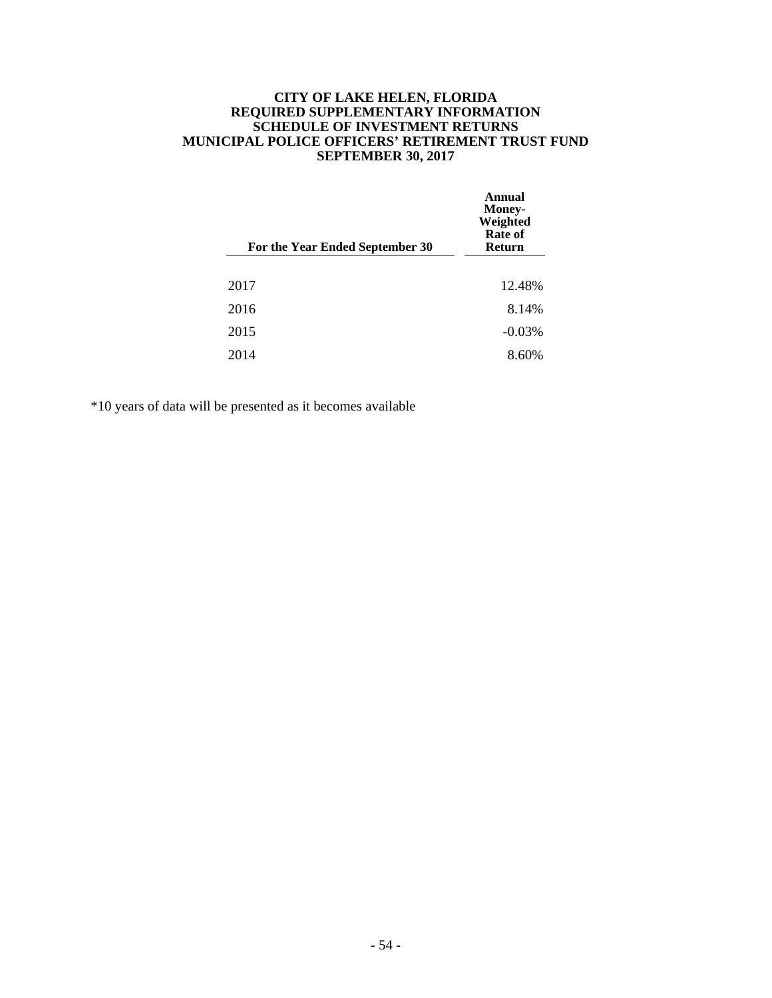### **CITY OF LAKE HELEN, FLORIDA REQUIRED SUPPLEMENTARY INFORMATION SCHEDULE OF INVESTMENT RETURNS MUNICIPAL POLICE OFFICERS' RETIREMENT TRUST FUND SEPTEMBER 30, 2017**

| For the Year Ended September 30 | <b>Annual</b><br><b>Money-</b><br>Weighted<br>Rate of<br>Return |
|---------------------------------|-----------------------------------------------------------------|
|                                 |                                                                 |
| 2017                            | 12.48%                                                          |
| 2016                            | 8.14%                                                           |
| 2015                            | $-0.03%$                                                        |
| 2014                            | 8.60%                                                           |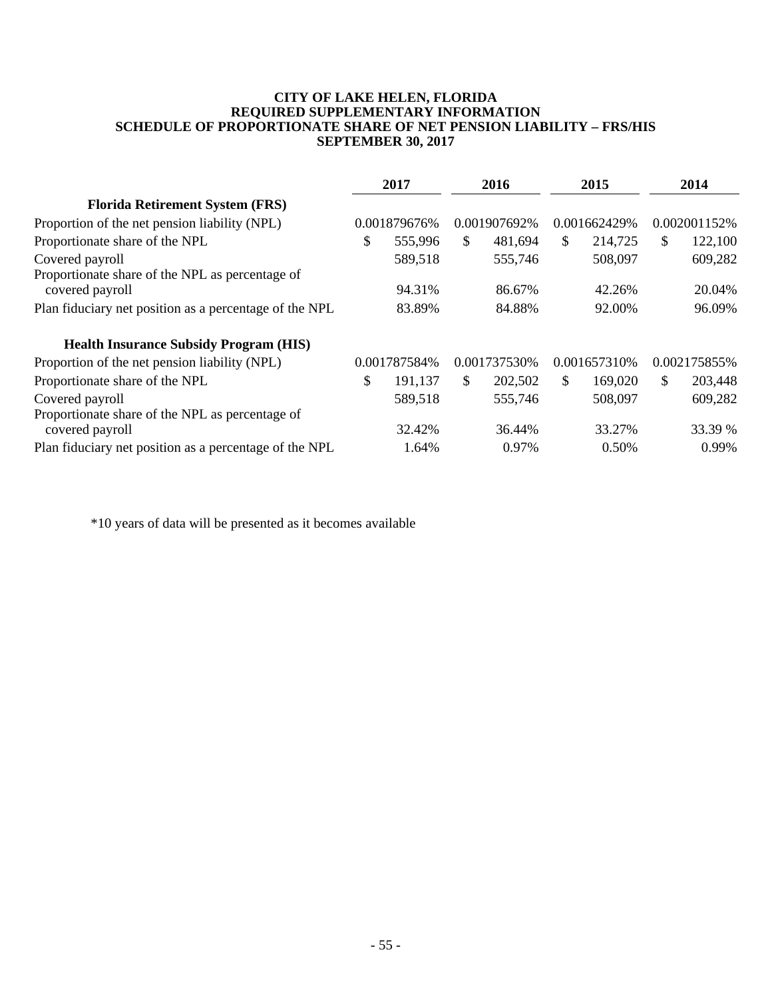### **CITY OF LAKE HELEN, FLORIDA REQUIRED SUPPLEMENTARY INFORMATION SCHEDULE OF PROPORTIONATE SHARE OF NET PENSION LIABILITY – FRS/HIS SEPTEMBER 30, 2017**

|                                                                    | 2017 |              | 2016 |              | 2015 |               |     | 2014         |
|--------------------------------------------------------------------|------|--------------|------|--------------|------|---------------|-----|--------------|
| <b>Florida Retirement System (FRS)</b>                             |      |              |      |              |      |               |     |              |
| Proportion of the net pension liability (NPL)                      |      | 0.001879676% |      | 0.001907692% |      | 0.001662429%  |     | 0.002001152% |
| Proportionate share of the NPL                                     | \$   | 555,996      | \$   | 481,694      | \$   | 214,725       | \$  | 122,100      |
| Covered payroll                                                    |      | 589,518      |      | 555,746      |      | 508,097       |     | 609,282      |
| Proportionate share of the NPL as percentage of<br>covered payroll |      | 94.31%       |      | 86.67%       |      | 42.26%        |     | 20.04%       |
| Plan fiduciary net position as a percentage of the NPL             |      | 83.89%       |      | 84.88%       |      | 92.00%        |     | 96.09%       |
| <b>Health Insurance Subsidy Program (HIS)</b>                      |      |              |      |              |      |               |     |              |
| Proportion of the net pension liability (NPL)                      |      | 0.001787584% |      | 0.001737530% |      | 0.001657310\% |     | 0.002175855% |
| Proportionate share of the NPL                                     | \$   | 191,137      | \$   | 202,502      | \$   | 169,020       | \$. | 203,448      |
| Covered payroll                                                    |      | 589,518      |      | 555,746      |      | 508,097       |     | 609,282      |
| Proportionate share of the NPL as percentage of<br>covered payroll |      | 32.42%       |      | 36.44%       |      | 33.27%        |     | 33.39 %      |
| Plan fiduciary net position as a percentage of the NPL             |      | 1.64%        |      | 0.97%        |      | 0.50%         |     | 0.99%        |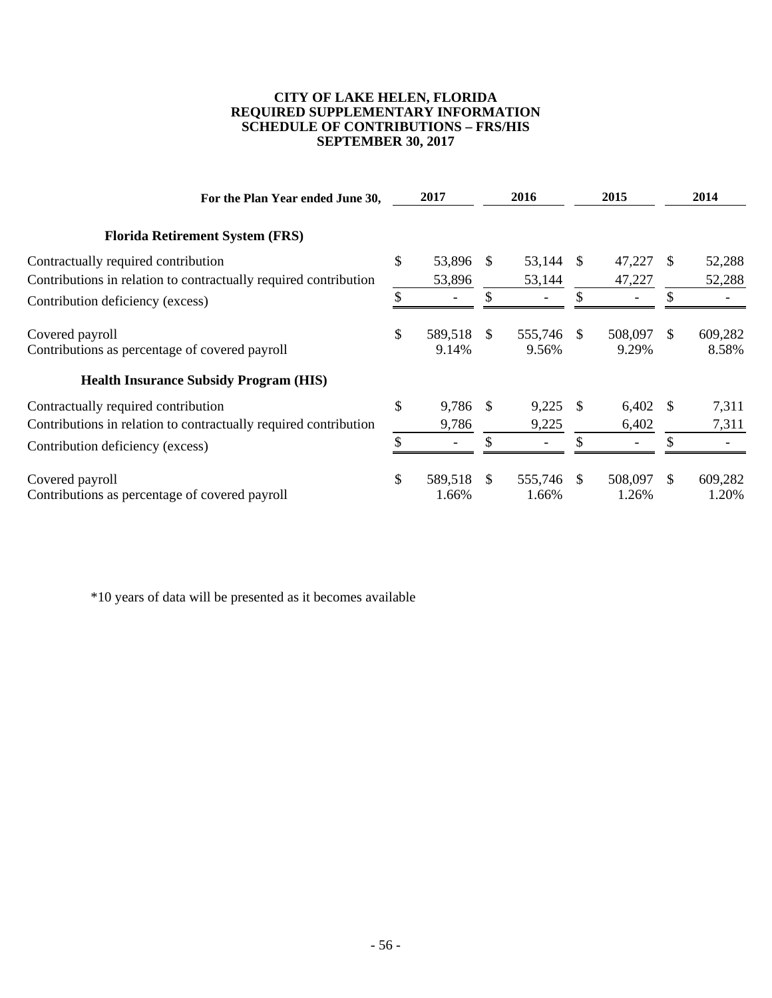## **CITY OF LAKE HELEN, FLORIDA REQUIRED SUPPLEMENTARY INFORMATION SCHEDULE OF CONTRIBUTIONS – FRS/HIS SEPTEMBER 30, 2017**

| For the Plan Year ended June 30,                                  | 2017                   |               | 2016             |          | 2015             | 2014          |                  |
|-------------------------------------------------------------------|------------------------|---------------|------------------|----------|------------------|---------------|------------------|
| <b>Florida Retirement System (FRS)</b>                            |                        |               |                  |          |                  |               |                  |
| Contractually required contribution                               | \$<br>53,896 \$        |               | 53,144           | -S       | 47,227           | <sup>\$</sup> | 52,288           |
| Contributions in relation to contractually required contribution  | 53,896                 |               | 53,144           |          | 47,227           |               | 52,288           |
| Contribution deficiency (excess)                                  |                        | \$            |                  |          |                  |               |                  |
| Covered payroll<br>Contributions as percentage of covered payroll | \$<br>589,518<br>9.14% | <sup>\$</sup> | 555,746<br>9.56% | <b>S</b> | 508,097<br>9.29% | -S            | 609,282<br>8.58% |
| <b>Health Insurance Subsidy Program (HIS)</b>                     |                        |               |                  |          |                  |               |                  |
| Contractually required contribution                               | \$<br>$9,786$ \$       |               | 9,225            | -\$      | $6,402$ \$       |               | 7,311            |
| Contributions in relation to contractually required contribution  | 9,786                  |               | 9,225            |          | 6,402            |               | 7,311            |
| Contribution deficiency (excess)                                  | \$                     | \$            |                  | \$       |                  |               |                  |
| Covered payroll                                                   | \$<br>589,518          | <sup>\$</sup> | 555,746          | <b>S</b> | 508,097          | \$.           | 609,282          |
| Contributions as percentage of covered payroll                    | 1.66%                  |               | 1.66%            |          | 1.26%            |               | 1.20%            |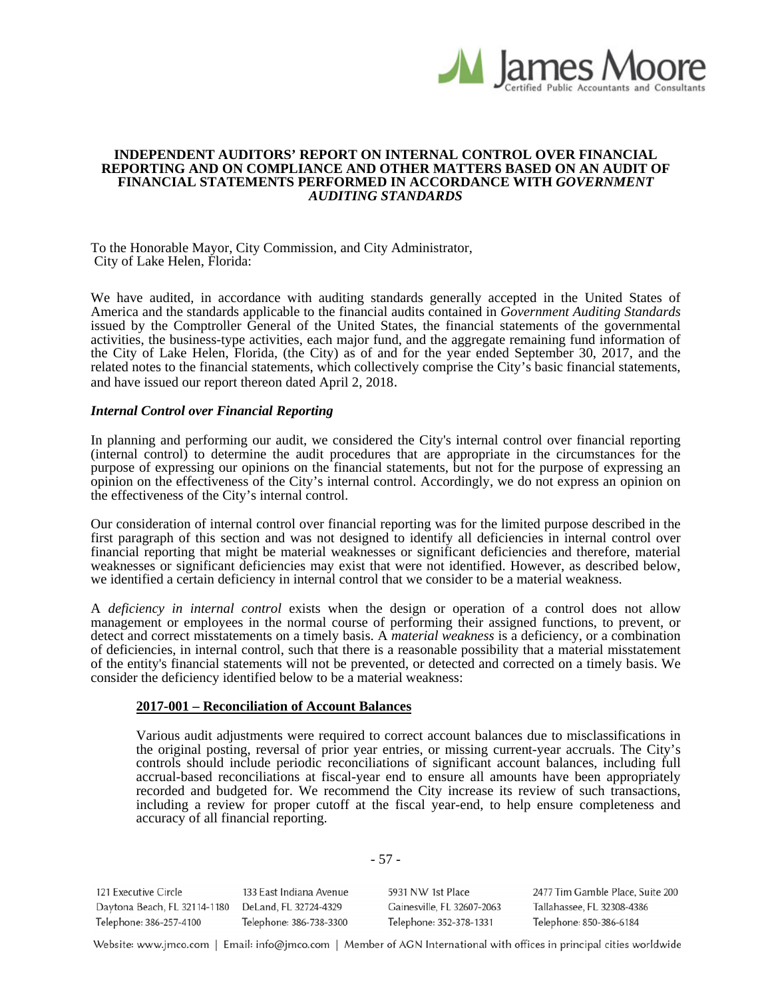

#### **INDEPENDENT AUDITORS' REPORT ON INTERNAL CONTROL OVER FINANCIAL REPORTING AND ON COMPLIANCE AND OTHER MATTERS BASED ON AN AUDIT OF FINANCIAL STATEMENTS PERFORMED IN ACCORDANCE WITH** *GOVERNMENT AUDITING STANDARDS*

To the Honorable Mayor, City Commission, and City Administrator, City of Lake Helen, Florida:

We have audited, in accordance with auditing standards generally accepted in the United States of America and the standards applicable to the financial audits contained in *Government Auditing Standards* issued by the Comptroller General of the United States, the financial statements of the governmental activities, the business-type activities, each major fund, and the aggregate remaining fund information of the City of Lake Helen, Florida, (the City) as of and for the year ended September 30, 2017, and the related notes to the financial statements, which collectively comprise the City's basic financial statements, and have issued our report thereon dated April 2, 2018.

#### *Internal Control over Financial Reporting*

In planning and performing our audit, we considered the City's internal control over financial reporting (internal control) to determine the audit procedures that are appropriate in the circumstances for the purpose of expressing our opinions on the financial statements, but not for the purpose of expressing an opinion on the effectiveness of the City's internal control. Accordingly, we do not express an opinion on the effectiveness of the City's internal control.

Our consideration of internal control over financial reporting was for the limited purpose described in the first paragraph of this section and was not designed to identify all deficiencies in internal control over financial reporting that might be material weaknesses or significant deficiencies and therefore, material weaknesses or significant deficiencies may exist that were not identified. However, as described below, we identified a certain deficiency in internal control that we consider to be a material weakness.

A *deficiency in internal control* exists when the design or operation of a control does not allow management or employees in the normal course of performing their assigned functions, to prevent, or detect and correct misstatements on a timely basis. A *material weakness* is a deficiency, or a combination of deficiencies, in internal control, such that there is a reasonable possibility that a material misstatement of the entity's financial statements will not be prevented, or detected and corrected on a timely basis. We consider the deficiency identified below to be a material weakness:

#### **2017-001 – Reconciliation of Account Balances**

Various audit adjustments were required to correct account balances due to misclassifications in the original posting, reversal of prior year entries, or missing current-year accruals. The City's controls should include periodic reconciliations of significant account balances, including full accrual-based reconciliations at fiscal-year end to ensure all amounts have been appropriately recorded and budgeted for. We recommend the City increase its review of such transactions, including a review for proper cutoff at the fiscal year-end, to help ensure completeness and accuracy of all financial reporting.

| 121 Executive Circle         | 133 East Indiana Avenue | 5931 NW 1st Place          | 2477 Tim Gamble Place, Suite 200 |
|------------------------------|-------------------------|----------------------------|----------------------------------|
| Daytona Beach, FL 32114-1180 | DeLand, FL 32724-4329   | Gainesville, FL 32607-2063 | Tallahassee, FL 32308-4386       |
| Telephone: 386-257-4100      | Telephone: 386-738-3300 | Telephone: 352-378-1331    | Telephone: 850-386-6184          |

Website: www.jmco.com | Email: info@jmco.com | Member of AGN International with offices in principal cities worldwide

- 57 -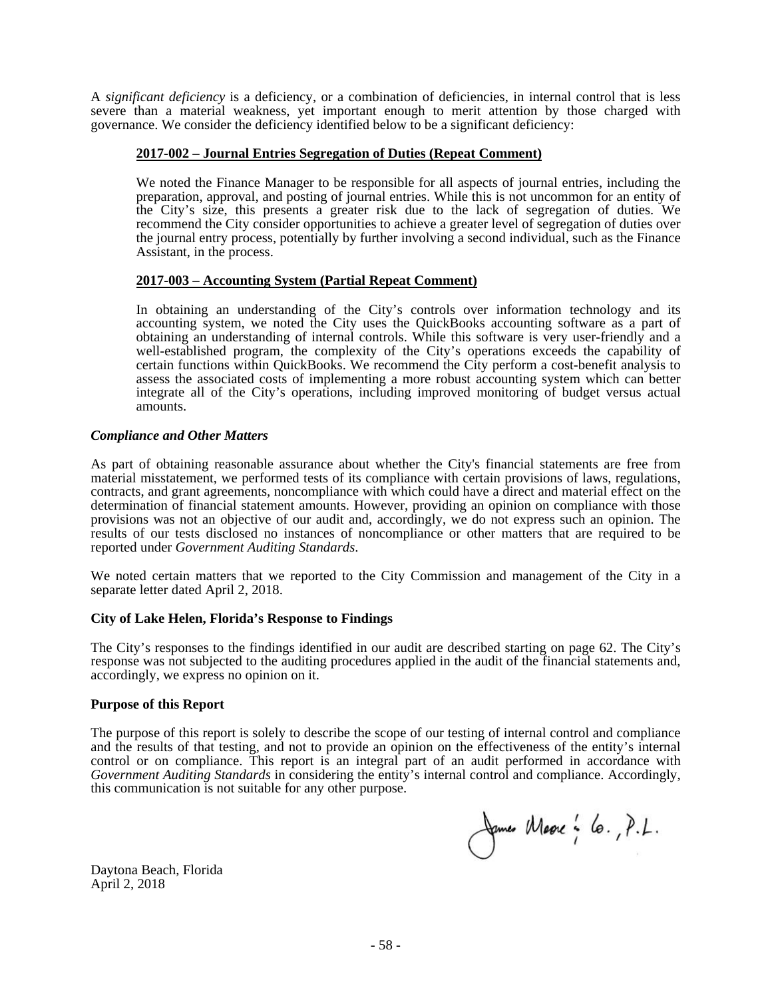A *significant deficiency* is a deficiency, or a combination of deficiencies, in internal control that is less severe than a material weakness, yet important enough to merit attention by those charged with governance. We consider the deficiency identified below to be a significant deficiency:

### **2017-002 – Journal Entries Segregation of Duties (Repeat Comment)**

We noted the Finance Manager to be responsible for all aspects of journal entries, including the preparation, approval, and posting of journal entries. While this is not uncommon for an entity of the City's size, this presents a greater risk due to the lack of segregation of duties. We recommend the City consider opportunities to achieve a greater level of segregation of duties over the journal entry process, potentially by further involving a second individual, such as the Finance Assistant, in the process.

### **2017-003 – Accounting System (Partial Repeat Comment)**

In obtaining an understanding of the City's controls over information technology and its accounting system, we noted the City uses the QuickBooks accounting software as a part of obtaining an understanding of internal controls. While this software is very user-friendly and a well-established program, the complexity of the City's operations exceeds the capability of certain functions within QuickBooks. We recommend the City perform a cost-benefit analysis to assess the associated costs of implementing a more robust accounting system which can better integrate all of the City's operations, including improved monitoring of budget versus actual amounts.

### *Compliance and Other Matters*

As part of obtaining reasonable assurance about whether the City's financial statements are free from material misstatement, we performed tests of its compliance with certain provisions of laws, regulations, contracts, and grant agreements, noncompliance with which could have a direct and material effect on the determination of financial statement amounts. However, providing an opinion on compliance with those provisions was not an objective of our audit and, accordingly, we do not express such an opinion. The results of our tests disclosed no instances of noncompliance or other matters that are required to be reported under *Government Auditing Standards*.

We noted certain matters that we reported to the City Commission and management of the City in a separate letter dated April 2, 2018.

#### **City of Lake Helen, Florida's Response to Findings**

The City's responses to the findings identified in our audit are described starting on page 62. The City's response was not subjected to the auditing procedures applied in the audit of the financial statements and, accordingly, we express no opinion on it.

#### **Purpose of this Report**

The purpose of this report is solely to describe the scope of our testing of internal control and compliance and the results of that testing, and not to provide an opinion on the effectiveness of the entity's internal control or on compliance. This report is an integral part of an audit performed in accordance with *Government Auditing Standards* in considering the entity's internal control and compliance. Accordingly, this communication is not suitable for any other purpose.

James Masse : 6., P.L.

Daytona Beach, Florida April 2, 2018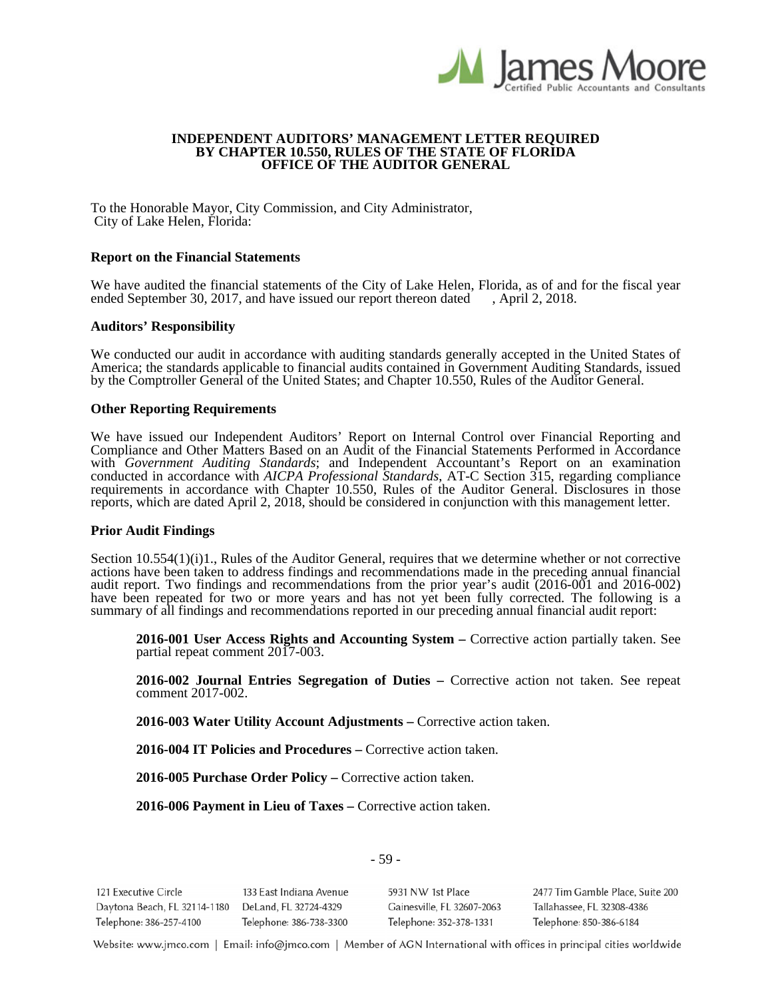

#### **INDEPENDENT AUDITORS' MANAGEMENT LETTER REQUIRED BY CHAPTER 10.550, RULES OF THE STATE OF FLORIDA OFFICE OF THE AUDITOR GENERAL**

To the Honorable Mayor, City Commission, and City Administrator, City of Lake Helen, Florida:

#### **Report on the Financial Statements**

We have audited the financial statements of the City of Lake Helen, Florida, as of and for the fiscal year ended September 30, 2017, and have issued our report thereon dated , April 2, 2018.

#### **Auditors' Responsibility**

We conducted our audit in accordance with auditing standards generally accepted in the United States of America; the standards applicable to financial audits contained in Government Auditing Standards, issued by the Comptroller General of the United States; and Chapter 10.550, Rules of the Auditor General.

#### **Other Reporting Requirements**

We have issued our Independent Auditors' Report on Internal Control over Financial Reporting and Compliance and Other Matters Based on an Audit of the Financial Statements Performed in Accordance with *Government Auditing Standards*; and Independent Accountant's Report on an examination conducted in accordance with *AICPA Professional Standards*, AT-C Section 315, regarding compliance requirements in accordance with Chapter 10.550, Rules of the Auditor General. Disclosures in those reports, which are dated April 2, 2018, should be considered in conjunction with this management letter.

#### **Prior Audit Findings**

Section 10.554(1)(i)1., Rules of the Auditor General, requires that we determine whether or not corrective actions have been taken to address findings and recommendations made in the preceding annual financial audit report. Two findings and recommendations from the prior year's audit (2016-001 and 2016-002) have been repeated for two or more years and has not yet been fully corrected. The following is a summary of all findings and recommendations reported in our preceding annual financial audit report:

**2016-001 User Access Rights and Accounting System –** Corrective action partially taken. See partial repeat comment 2017-003.

**2016-002 Journal Entries Segregation of Duties –** Corrective action not taken. See repeat comment 2017-002.

**2016-003 Water Utility Account Adjustments –** Corrective action taken.

**2016-004 IT Policies and Procedures –** Corrective action taken.

**2016-005 Purchase Order Policy –** Corrective action taken.

**2016-006 Payment in Lieu of Taxes –** Corrective action taken.

121 Executive Circle 133 East Indiana Avenue 5931 NW 1st Place 2477 Tim Gamble Place, Suite 200 Daytona Beach, FL 32114-1180 DeLand, FL 32724-4329 Gainesville, FL 32607-2063 Tallahassee, FL 32308-4386 Telephone: 386-257-4100 Telephone: 386-738-3300 Telephone: 352-378-1331 Telephone: 850-386-6184

Website: www.jmco.com | Email: info@jmco.com | Member of AGN International with offices in principal cities worldwide

- 59 -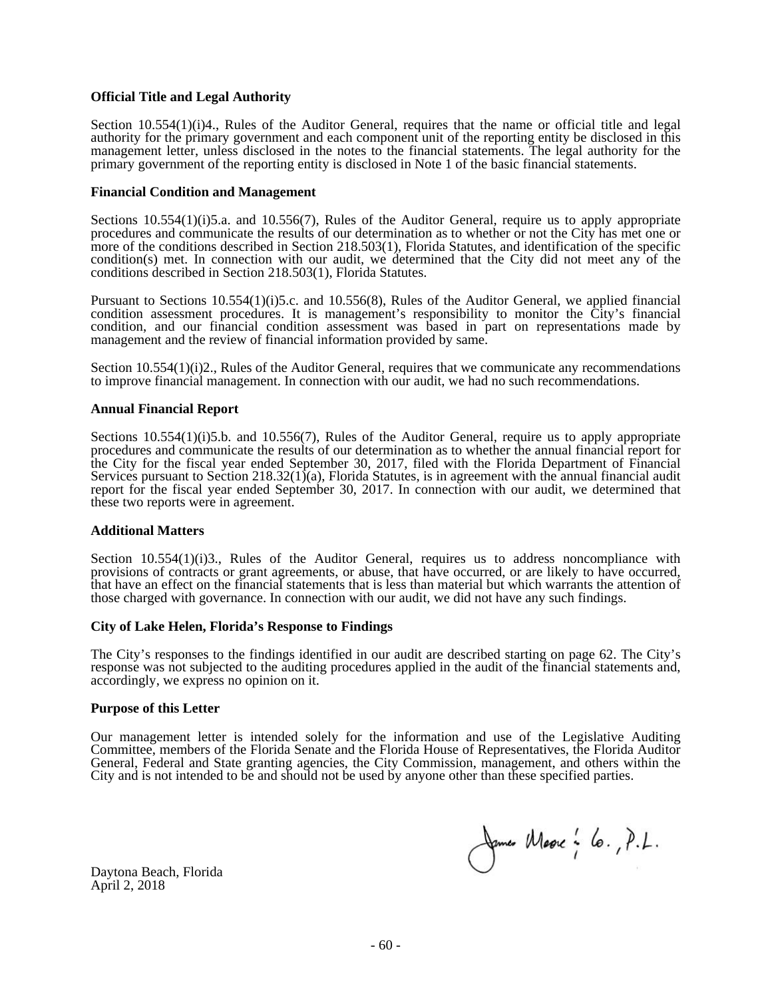#### **Official Title and Legal Authority**

Section 10.554(1)(i)4., Rules of the Auditor General, requires that the name or official title and legal authority for the primary government and each component unit of the reporting entity be disclosed in this management letter, unless disclosed in the notes to the financial statements. The legal authority for the primary government of the reporting entity is disclosed in Note 1 of the basic financial statements.

#### **Financial Condition and Management**

Sections 10.554(1)(i)5.a. and 10.556(7), Rules of the Auditor General, require us to apply appropriate procedures and communicate the results of our determination as to whether or not the City has met one or more of the conditions described in Section 218.503(1), Florida Statutes, and identification of the specific condition(s) met. In connection with our audit, we determined that the City did not meet any of the conditions described in Section 218.503(1), Florida Statutes.

Pursuant to Sections 10.554(1)(i)5.c. and 10.556(8), Rules of the Auditor General, we applied financial condition assessment procedures. It is management's responsibility to monitor the City's financial condition, and our financial condition assessment was based in part on representations made by management and the review of financial information provided by same.

Section 10.554(1)(i)2., Rules of the Auditor General, requires that we communicate any recommendations to improve financial management. In connection with our audit, we had no such recommendations.

#### **Annual Financial Report**

Sections 10.554(1)(i)5.b. and 10.556(7), Rules of the Auditor General, require us to apply appropriate procedures and communicate the results of our determination as to whether the annual financial report for the City for the fiscal year ended September 30, 2017, filed with the Florida Department of Financial Services pursuant to Section 218.32(1) $\hat{a}$ ), Florida Statutes, is in agreement with the annual financial audit report for the fiscal year ended September 30, 2017. In connection with our audit, we determined that these two reports were in agreement.

#### **Additional Matters**

Section 10.554(1)(i)3., Rules of the Auditor General, requires us to address noncompliance with provisions of contracts or grant agreements, or abuse, that have occurred, or are likely to have occurred, that have an effect on the financial statements that is less than material but which warrants the attention of those charged with governance. In connection with our audit, we did not have any such findings.

#### **City of Lake Helen, Florida's Response to Findings**

The City's responses to the findings identified in our audit are described starting on page 62. The City's response was not subjected to the auditing procedures applied in the audit of the financial statements and, accordingly, we express no opinion on it.

#### **Purpose of this Letter**

Our management letter is intended solely for the information and use of the Legislative Auditing Committee, members of the Florida Senate and the Florida House of Representatives, the Florida Auditor General, Federal and State granting agencies, the City Commission, management, and others within the City and is not intended to be and should not be used by anyone other than these specified parties.

James Masse : 6., P.L.

Daytona Beach, Florida April 2, 2018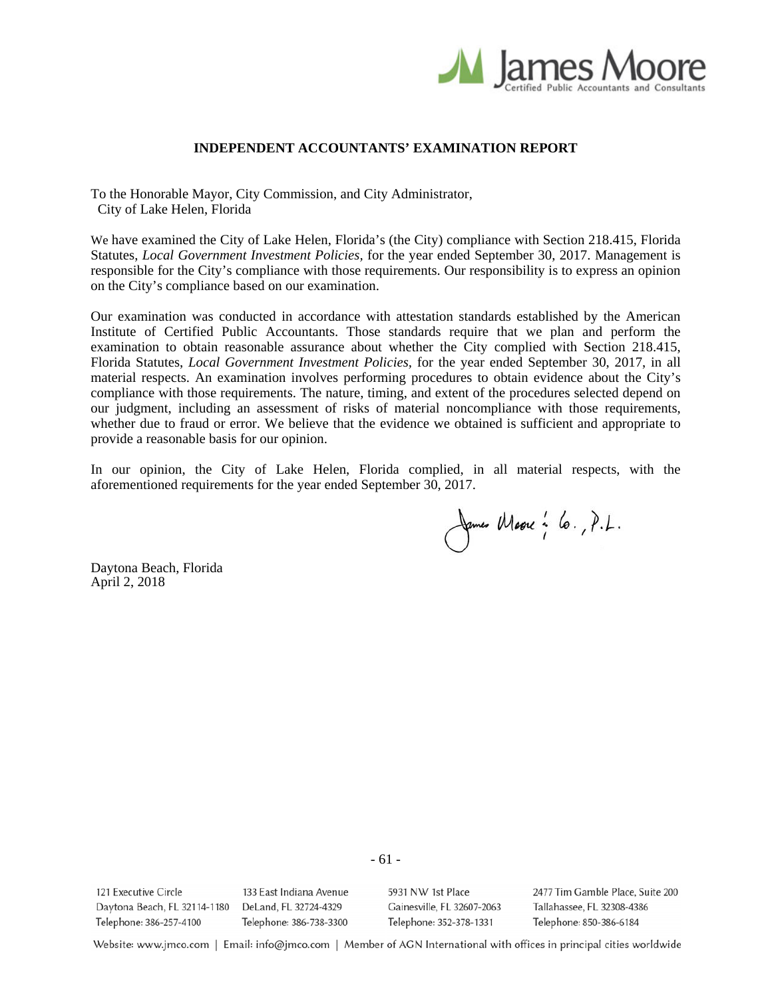

### **INDEPENDENT ACCOUNTANTS' EXAMINATION REPORT**

To the Honorable Mayor, City Commission, and City Administrator, City of Lake Helen, Florida

We have examined the City of Lake Helen, Florida's (the City) compliance with Section 218.415, Florida Statutes, *Local Government Investment Policies,* for the year ended September 30, 2017. Management is responsible for the City's compliance with those requirements. Our responsibility is to express an opinion on the City's compliance based on our examination.

Our examination was conducted in accordance with attestation standards established by the American Institute of Certified Public Accountants. Those standards require that we plan and perform the examination to obtain reasonable assurance about whether the City complied with Section 218.415, Florida Statutes, *Local Government Investment Policies,* for the year ended September 30, 2017, in all material respects. An examination involves performing procedures to obtain evidence about the City's compliance with those requirements. The nature, timing, and extent of the procedures selected depend on our judgment, including an assessment of risks of material noncompliance with those requirements, whether due to fraud or error. We believe that the evidence we obtained is sufficient and appropriate to provide a reasonable basis for our opinion.

In our opinion, the City of Lake Helen, Florida complied, in all material respects, with the aforementioned requirements for the year ended September 30, 2017.

James Marre 2 6., P.L.

Daytona Beach, Florida April 2, 2018

121 Executive Circle 133 East Indiana Avenue Daytona Beach, FL 32114-1180 DeLand, FL 32724-4329 Telephone: 386-257-4100 Telephone: 386-738-3300

5931 NW 1st Place Gainesville, FL 32607-2063 Telephone: 352-378-1331

2477 Tim Gamble Place, Suite 200 Tallahassee, FL 32308-4386 Telephone: 850-386-6184

Website: www.jmco.com | Email: info@jmco.com | Member of AGN International with offices in principal cities worldwide